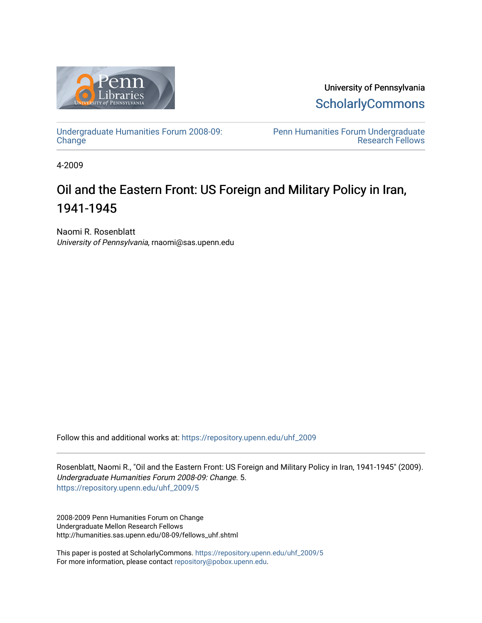

University of Pennsylvania **ScholarlyCommons** 

[Undergraduate Humanities Forum 2008-09:](https://repository.upenn.edu/uhf_2009)  **[Change](https://repository.upenn.edu/uhf_2009)** 

[Penn Humanities Forum Undergraduate](https://repository.upenn.edu/uhf_fellows)  [Research Fellows](https://repository.upenn.edu/uhf_fellows) 

4-2009

### Oil and the Eastern Front: US Foreign and Military Policy in Iran, 1941-1945

Naomi R. Rosenblatt University of Pennsylvania, rnaomi@sas.upenn.edu

Follow this and additional works at: [https://repository.upenn.edu/uhf\\_2009](https://repository.upenn.edu/uhf_2009?utm_source=repository.upenn.edu%2Fuhf_2009%2F5&utm_medium=PDF&utm_campaign=PDFCoverPages) 

Rosenblatt, Naomi R., "Oil and the Eastern Front: US Foreign and Military Policy in Iran, 1941-1945" (2009). Undergraduate Humanities Forum 2008-09: Change. 5. [https://repository.upenn.edu/uhf\\_2009/5](https://repository.upenn.edu/uhf_2009/5?utm_source=repository.upenn.edu%2Fuhf_2009%2F5&utm_medium=PDF&utm_campaign=PDFCoverPages) 

2008-2009 Penn Humanities Forum on Change Undergraduate Mellon Research Fellows http://humanities.sas.upenn.edu/08-09/fellows\_uhf.shtml

This paper is posted at ScholarlyCommons. [https://repository.upenn.edu/uhf\\_2009/5](https://repository.upenn.edu/uhf_2009/5)  For more information, please contact [repository@pobox.upenn.edu.](mailto:repository@pobox.upenn.edu)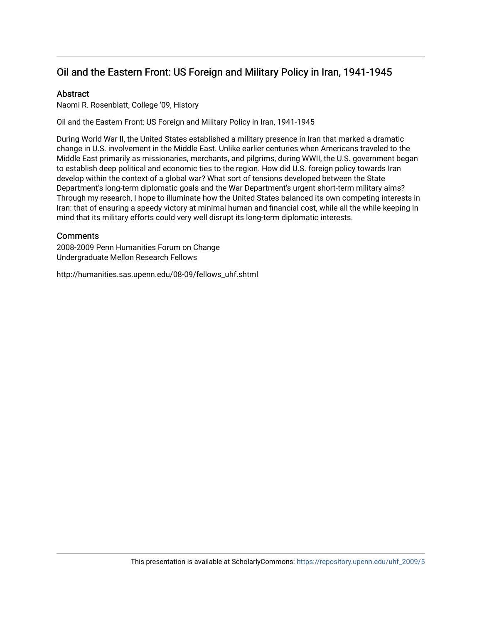### Oil and the Eastern Front: US Foreign and Military Policy in Iran, 1941-1945

### **Abstract**

Naomi R. Rosenblatt, College '09, History

Oil and the Eastern Front: US Foreign and Military Policy in Iran, 1941-1945

During World War II, the United States established a military presence in Iran that marked a dramatic change in U.S. involvement in the Middle East. Unlike earlier centuries when Americans traveled to the Middle East primarily as missionaries, merchants, and pilgrims, during WWII, the U.S. government began to establish deep political and economic ties to the region. How did U.S. foreign policy towards Iran develop within the context of a global war? What sort of tensions developed between the State Department's long-term diplomatic goals and the War Department's urgent short-term military aims? Through my research, I hope to illuminate how the United States balanced its own competing interests in Iran: that of ensuring a speedy victory at minimal human and financial cost, while all the while keeping in mind that its military efforts could very well disrupt its long-term diplomatic interests.

#### **Comments**

2008-2009 Penn Humanities Forum on Change Undergraduate Mellon Research Fellows

http://humanities.sas.upenn.edu/08-09/fellows\_uhf.shtml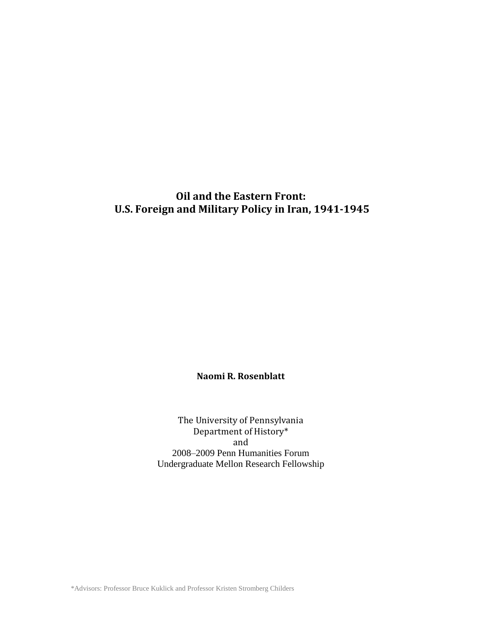### **Oil and the Eastern Front: U.S. Foreign and Military Policy in Iran, 1941-1945**

### **Naomi R. Rosenblatt**

The University of Pennsylvania Department of History\* and 2008–2009 Penn Humanities Forum Undergraduate Mellon Research Fellowship

\*Advisors: Professor Bruce Kuklick and Professor Kristen Stromberg Childers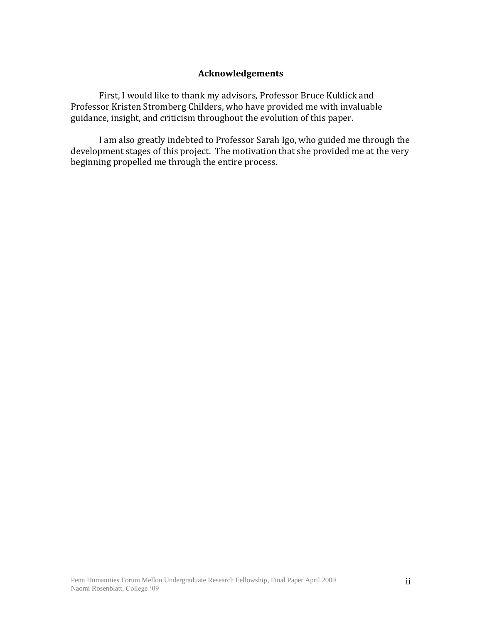### **Acknowledgements**

First, I would like to thank my advisors, Professor Bruce Kuklick and Professor Kristen Stromberg Childers, who have provided me with invaluable guidance, insight, and criticism throughout the evolution of this paper.

I am also greatly indebted to Professor Sarah Igo, who guided me through the development stages of this project. The motivation that she provided me at the very beginning propelled me through the entire process.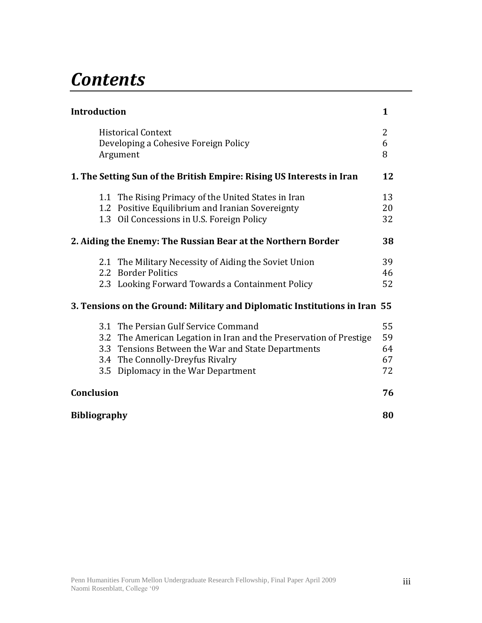# *Contents*

| <b>Introduction</b>                                                                                                                                                                                                                         | $\mathbf{1}$               |
|---------------------------------------------------------------------------------------------------------------------------------------------------------------------------------------------------------------------------------------------|----------------------------|
| <b>Historical Context</b><br>Developing a Cohesive Foreign Policy<br>Argument                                                                                                                                                               | 2<br>6<br>8                |
| 1. The Setting Sun of the British Empire: Rising US Interests in Iran                                                                                                                                                                       | 12                         |
| 1.1 The Rising Primacy of the United States in Iran<br>1.2 Positive Equilibrium and Iranian Sovereignty<br>1.3 Oil Concessions in U.S. Foreign Policy                                                                                       | 13<br>20<br>32             |
| 2. Aiding the Enemy: The Russian Bear at the Northern Border                                                                                                                                                                                | 38                         |
| 2.1 The Military Necessity of Aiding the Soviet Union<br>2.2 Border Politics<br>2.3 Looking Forward Towards a Containment Policy                                                                                                            | 39<br>46<br>52             |
| 3. Tensions on the Ground: Military and Diplomatic Institutions in Iran 55                                                                                                                                                                  |                            |
| 3.1 The Persian Gulf Service Command<br>3.2 The American Legation in Iran and the Preservation of Prestige<br>3.3 Tensions Between the War and State Departments<br>3.4 The Connolly-Dreyfus Rivalry<br>3.5 Diplomacy in the War Department | 55<br>59<br>64<br>67<br>72 |
| Conclusion                                                                                                                                                                                                                                  | 76                         |
| <b>Bibliography</b>                                                                                                                                                                                                                         | 80                         |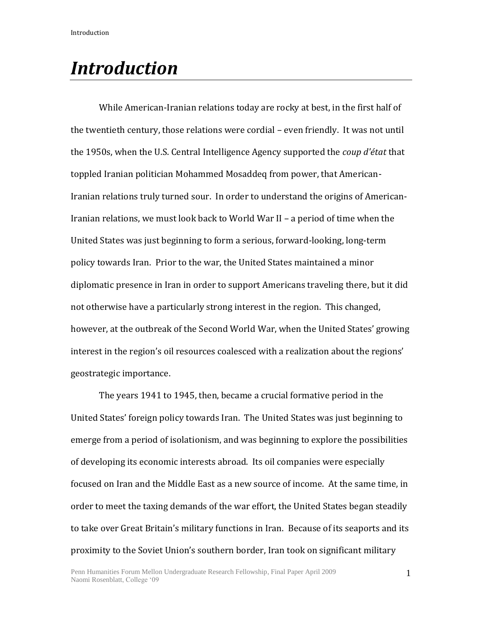While American-Iranian relations today are rocky at best, in the first half of the twentieth century, those relations were cordial – even friendly. It was not until the 1950s, when the U.S. Central Intelligence Agency supported the *coup d'état* that toppled Iranian politician Mohammed Mosaddeq from power, that American-Iranian relations truly turned sour. In order to understand the origins of American-Iranian relations, we must look back to World War II – a period of time when the United States was just beginning to form a serious, forward-looking, long-term policy towards Iran. Prior to the war, the United States maintained a minor diplomatic presence in Iran in order to support Americans traveling there, but it did not otherwise have a particularly strong interest in the region. This changed, however, at the outbreak of the Second World War, when the United States' growing interest in the region's oil resources coalesced with a realization about the regions' geostrategic importance.

The years 1941 to 1945, then, became a crucial formative period in the United States' foreign policy towards Iran. The United States was just beginning to emerge from a period of isolationism, and was beginning to explore the possibilities of developing its economic interests abroad. Its oil companies were especially focused on Iran and the Middle East as a new source of income. At the same time, in order to meet the taxing demands of the war effort, the United States began steadily to take over Great Britain's military functions in Iran. Because of its seaports and its proximity to the Soviet Union's southern border, Iran took on significant military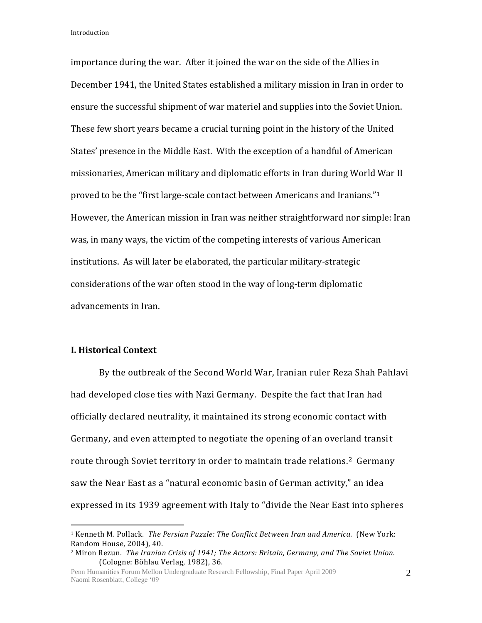importance during the war. After it joined the war on the side of the Allies in December 1941, the United States established a military mission in Iran in order to ensure the successful shipment of war materiel and supplies into the Soviet Union. These few short years became a crucial turning point in the history of the United States' presence in the Middle East. With the exception of a handful of American missionaries, American military and diplomatic efforts in Iran during World War II proved to be the "first large-scale contact between Americans and Iranians."<sup>1</sup> However, the American mission in Iran was neither straightforward nor simple: Iran was, in many ways, the victim of the competing interests of various American institutions. As will later be elaborated, the particular military-strategic considerations of the war often stood in the way of long-term diplomatic advancements in Iran.

### **I. Historical Context**

 $\overline{a}$ 

By the outbreak of the Second World War, Iranian ruler Reza Shah Pahlavi had developed close ties with Nazi Germany. Despite the fact that Iran had officially declared neutrality, it maintained its strong economic contact with Germany, and even attempted to negotiate the opening of an overland transit route through Soviet territory in order to maintain trade relations.<sup>2</sup> Germany saw the Near East as a "natural economic basin of German activity," an idea expressed in its 1939 agreement with Italy to "divide the Near East into spheres

<sup>1</sup> Kenneth M. Pollack. *The Persian Puzzle: The Conflict Between Iran and America.* (New York: Random House, 2004), 40.

<sup>2</sup> Miron Rezun. *The Iranian Crisis of 1941; The Actors: Britain, Germany, and The Soviet Union.* (Cologne: Böhlau Verlag, 1982), 36.

Penn Humanities Forum Mellon Undergraduate Research Fellowship, Final Paper April 2009 Naomi Rosenblatt, College '09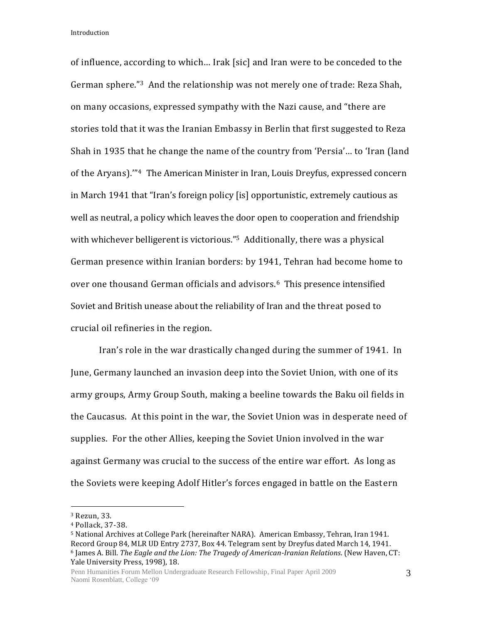of influence, according to which… Irak [sic] and Iran were to be conceded to the German sphere."3 And the relationship was not merely one of trade: Reza Shah, on many occasions, expressed sympathy with the Nazi cause, and "there are stories told that it was the Iranian Embassy in Berlin that first suggested to Reza Shah in 1935 that he change the name of the country from 'Persia'… to 'Iran (land of the Aryans).'"4 The American Minister in Iran, Louis Dreyfus, expressed concern in March 1941 that "Iran's foreign policy [is] opportunistic, extremely cautious as well as neutral, a policy which leaves the door open to cooperation and friendship with whichever belligerent is victorious."<sup>5</sup> Additionally, there was a physical German presence within Iranian borders: by 1941, Tehran had become home to over one thousand German officials and advisors.6 This presence intensified Soviet and British unease about the reliability of Iran and the threat posed to crucial oil refineries in the region.

Iran's role in the war drastically changed during the summer of 1941. In June, Germany launched an invasion deep into the Soviet Union, with one of its army groups, Army Group South, making a beeline towards the Baku oil fields in the Caucasus. At this point in the war, the Soviet Union was in desperate need of supplies. For the other Allies, keeping the Soviet Union involved in the war against Germany was crucial to the success of the entire war effort. As long as the Soviets were keeping Adolf Hitler's forces engaged in battle on the Eastern

<sup>3</sup> Rezun, 33.

<sup>4</sup> Pollack, 37-38.

<sup>5</sup> National Archives at College Park (hereinafter NARA). American Embassy, Tehran, Iran 1941. Record Group 84, MLR UD Entry 2737, Box 44. Telegram sent by Dreyfus dated March 14, 1941. <sup>6</sup> James A. Bill. *The Eagle and the Lion: The Tragedy of American-Iranian Relations*. (New Haven, CT: Yale University Press, 1998), 18.

Penn Humanities Forum Mellon Undergraduate Research Fellowship, Final Paper April 2009 Naomi Rosenblatt, College '09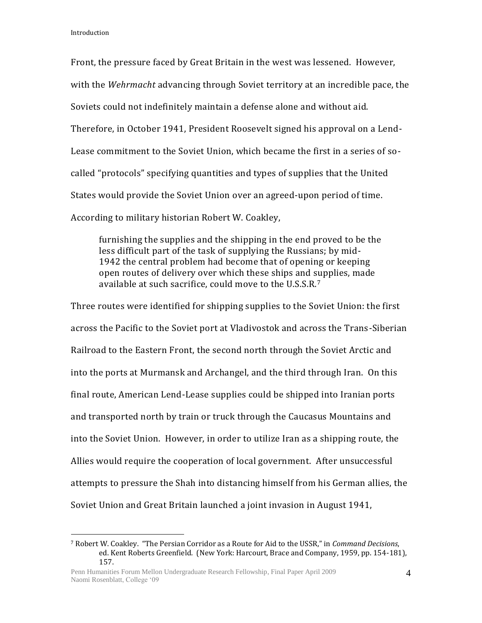$\overline{a}$ 

Front, the pressure faced by Great Britain in the west was lessened. However, with the *Wehrmacht* advancing through Soviet territory at an incredible pace, the Soviets could not indefinitely maintain a defense alone and without aid. Therefore, in October 1941, President Roosevelt signed his approval on a Lend-Lease commitment to the Soviet Union, which became the first in a series of socalled "protocols" specifying quantities and types of supplies that the United States would provide the Soviet Union over an agreed-upon period of time. According to military historian Robert W. Coakley,

furnishing the supplies and the shipping in the end proved to be the less difficult part of the task of supplying the Russians; by mid-1942 the central problem had become that of opening or keeping open routes of delivery over which these ships and supplies, made available at such sacrifice, could move to the U.S.S.R.<sup>7</sup>

Three routes were identified for shipping supplies to the Soviet Union: the first across the Pacific to the Soviet port at Vladivostok and across the Trans-Siberian Railroad to the Eastern Front, the second north through the Soviet Arctic and into the ports at Murmansk and Archangel, and the third through Iran. On this final route, American Lend-Lease supplies could be shipped into Iranian ports and transported north by train or truck through the Caucasus Mountains and into the Soviet Union. However, in order to utilize Iran as a shipping route, the Allies would require the cooperation of local government. After unsuccessful attempts to pressure the Shah into distancing himself from his German allies, the Soviet Union and Great Britain launched a joint invasion in August 1941,

<sup>7</sup> Robert W. Coakley. "The Persian Corridor as a Route for Aid to the USSR," in *Command Decisions*, ed. Kent Roberts Greenfield. (New York: Harcourt, Brace and Company, 1959, pp. 154-181), 157.

Penn Humanities Forum Mellon Undergraduate Research Fellowship, Final Paper April 2009 Naomi Rosenblatt, College '09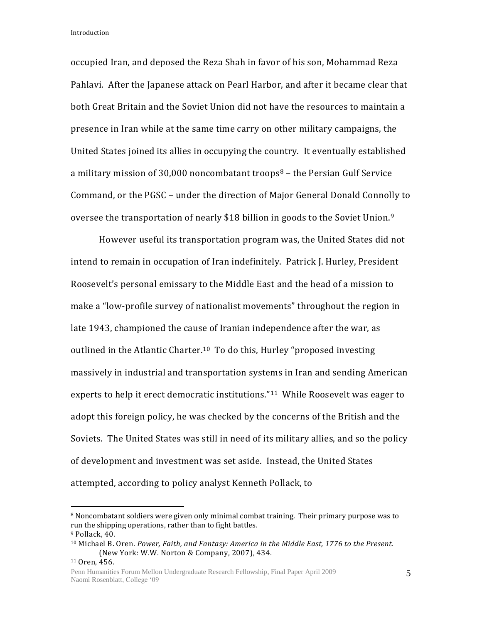occupied Iran, and deposed the Reza Shah in favor of his son, Mohammad Reza Pahlavi. After the Japanese attack on Pearl Harbor, and after it became clear that both Great Britain and the Soviet Union did not have the resources to maintain a presence in Iran while at the same time carry on other military campaigns, the United States joined its allies in occupying the country. It eventually established a military mission of 30,000 noncombatant troops $8$  – the Persian Gulf Service Command, or the PGSC – under the direction of Major General Donald Connolly to oversee the transportation of nearly \$18 billion in goods to the Soviet Union.<sup>9</sup>

However useful its transportation program was, the United States did not intend to remain in occupation of Iran indefinitely. Patrick J. Hurley, President Roosevelt's personal emissary to the Middle East and the head of a mission to make a "low-profile survey of nationalist movements" throughout the region in late 1943, championed the cause of Iranian independence after the war, as outlined in the Atlantic Charter.<sup>10</sup> To do this, Hurley "proposed investing massively in industrial and transportation systems in Iran and sending American experts to help it erect democratic institutions."<sup>11</sup> While Roosevelt was eager to adopt this foreign policy, he was checked by the concerns of the British and the Soviets. The United States was still in need of its military allies, and so the policy of development and investment was set aside. Instead, the United States attempted, according to policy analyst Kenneth Pollack, to

<sup>8</sup> Noncombatant soldiers were given only minimal combat training. Their primary purpose was to run the shipping operations, rather than to fight battles.

<sup>9</sup> Pollack, 40.

<sup>10</sup> Michael B. Oren. *Power, Faith, and Fantasy: America in the Middle East, 1776 to the Present.* (New York: W.W. Norton & Company, 2007), 434.

<sup>11</sup> Oren, 456.

Penn Humanities Forum Mellon Undergraduate Research Fellowship, Final Paper April 2009 Naomi Rosenblatt, College '09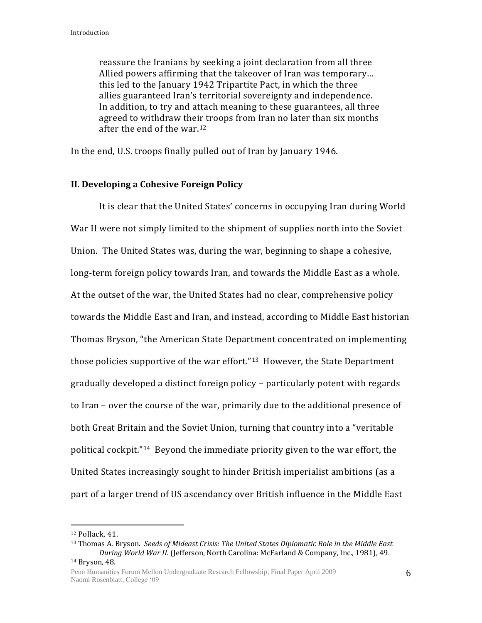reassure the Iranians by seeking a joint declaration from all three Allied powers affirming that the takeover of Iran was temporary… this led to the January 1942 Tripartite Pact, in which the three allies guaranteed Iran's territorial sovereignty and independence. In addition, to try and attach meaning to these guarantees, all three agreed to withdraw their troops from Iran no later than six months after the end of the war.<sup>12</sup>

In the end, U.S. troops finally pulled out of Iran by January 1946.

### **II. Developing a Cohesive Foreign Policy**

It is clear that the United States' concerns in occupying Iran during World War II were not simply limited to the shipment of supplies north into the Soviet Union. The United States was, during the war, beginning to shape a cohesive, long-term foreign policy towards Iran, and towards the Middle East as a whole. At the outset of the war, the United States had no clear, comprehensive policy towards the Middle East and Iran, and instead, according to Middle East historian Thomas Bryson, "the American State Department concentrated on implementing those policies supportive of the war effort."13 However, the State Department gradually developed a distinct foreign policy – particularly potent with regards to Iran – over the course of the war, primarily due to the additional presence of both Great Britain and the Soviet Union, turning that country into a "veritable political cockpit."14 Beyond the immediate priority given to the war effort, the United States increasingly sought to hinder British imperialist ambitions (as a part of a larger trend of US ascendancy over British influence in the Middle East

<sup>12</sup> Pollack, 41.

<sup>13</sup> Thomas A. Bryson. *Seeds of Mideast Crisis: The United States Diplomatic Role in the Middle East During World War II.* (Jefferson, North Carolina: McFarland & Company, Inc., 1981), 49. <sup>14</sup> Bryson, 48.

Penn Humanities Forum Mellon Undergraduate Research Fellowship, Final Paper April 2009 Naomi Rosenblatt, College '09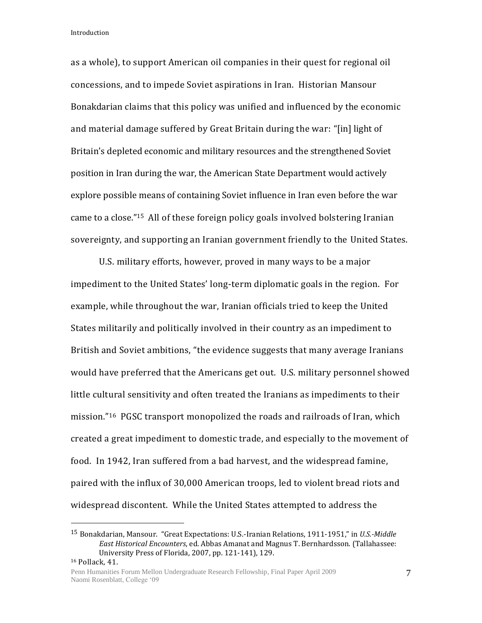$\overline{a}$ 

as a whole), to support American oil companies in their quest for regional oil concessions, and to impede Soviet aspirations in Iran. Historian Mansour Bonakdarian claims that this policy was unified and influenced by the economic and material damage suffered by Great Britain during the war: "[in] light of Britain's depleted economic and military resources and the strengthened Soviet position in Iran during the war, the American State Department would actively explore possible means of containing Soviet influence in Iran even before the war came to a close."15 All of these foreign policy goals involved bolstering Iranian sovereignty, and supporting an Iranian government friendly to the United States.

U.S. military efforts, however, proved in many ways to be a major impediment to the United States' long-term diplomatic goals in the region. For example, while throughout the war, Iranian officials tried to keep the United States militarily and politically involved in their country as an impediment to British and Soviet ambitions, "the evidence suggests that many average Iranians would have preferred that the Americans get out. U.S. military personnel showed little cultural sensitivity and often treated the Iranians as impediments to their mission."16 PGSC transport monopolized the roads and railroads of Iran, which created a great impediment to domestic trade, and especially to the movement of food. In 1942, Iran suffered from a bad harvest, and the widespread famine, paired with the influx of 30,000 American troops, led to violent bread riots and widespread discontent. While the United States attempted to address the

<sup>15</sup> Bonakdarian, Mansour. "Great Expectations: U.S.-Iranian Relations, 1911-1951," in *U.S.-Middle East Historical Encounters*, ed. Abbas Amanat and Magnus T. Bernhardsson. (Tallahassee: University Press of Florida, 2007, pp. 121-141), 129. <sup>16</sup> Pollack, 41.

Penn Humanities Forum Mellon Undergraduate Research Fellowship, Final Paper April 2009 Naomi Rosenblatt, College '09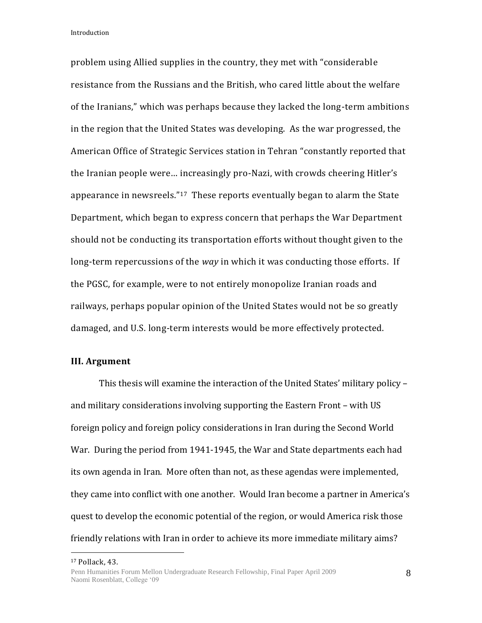problem using Allied supplies in the country, they met with "considerable resistance from the Russians and the British, who cared little about the welfare of the Iranians," which was perhaps because they lacked the long-term ambitions in the region that the United States was developing. As the war progressed, the American Office of Strategic Services station in Tehran "constantly reported that the Iranian people were… increasingly pro-Nazi, with crowds cheering Hitler's appearance in newsreels."17 These reports eventually began to alarm the State Department, which began to express concern that perhaps the War Department should not be conducting its transportation efforts without thought given to the long-term repercussions of the *way* in which it was conducting those efforts. If the PGSC, for example, were to not entirely monopolize Iranian roads and railways, perhaps popular opinion of the United States would not be so greatly damaged, and U.S. long-term interests would be more effectively protected.

#### **III. Argument**

This thesis will examine the interaction of the United States' military policy – and military considerations involving supporting the Eastern Front – with US foreign policy and foreign policy considerations in Iran during the Second World War. During the period from 1941-1945, the War and State departments each had its own agenda in Iran. More often than not, as these agendas were implemented, they came into conflict with one another. Would Iran become a partner in America's quest to develop the economic potential of the region, or would America risk those friendly relations with Iran in order to achieve its more immediate military aims?

 $\overline{a}$ 

8

<sup>17</sup> Pollack, 43.

Penn Humanities Forum Mellon Undergraduate Research Fellowship, Final Paper April 2009 Naomi Rosenblatt, College '09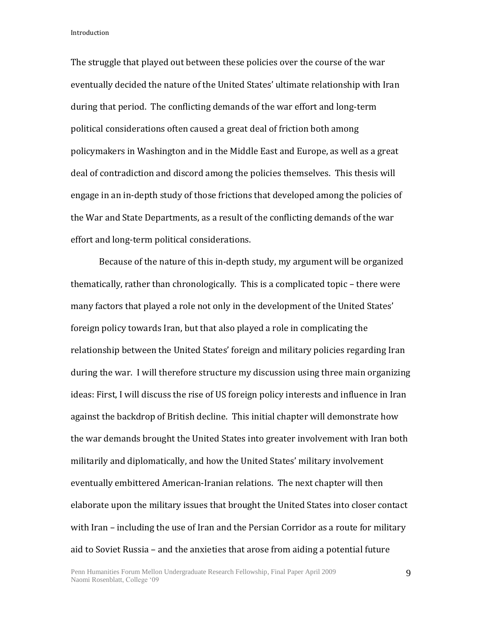The struggle that played out between these policies over the course of the war eventually decided the nature of the United States' ultimate relationship with Iran during that period. The conflicting demands of the war effort and long-term political considerations often caused a great deal of friction both among policymakers in Washington and in the Middle East and Europe, as well as a great deal of contradiction and discord among the policies themselves. This thesis will engage in an in-depth study of those frictions that developed among the policies of the War and State Departments, as a result of the conflicting demands of the war effort and long-term political considerations.

Because of the nature of this in-depth study, my argument will be organized thematically, rather than chronologically. This is a complicated topic – there were many factors that played a role not only in the development of the United States' foreign policy towards Iran, but that also played a role in complicating the relationship between the United States' foreign and military policies regarding Iran during the war. I will therefore structure my discussion using three main organizing ideas: First, I will discuss the rise of US foreign policy interests and influence in Iran against the backdrop of British decline. This initial chapter will demonstrate how the war demands brought the United States into greater involvement with Iran both militarily and diplomatically, and how the United States' military involvement eventually embittered American-Iranian relations. The next chapter will then elaborate upon the military issues that brought the United States into closer contact with Iran – including the use of Iran and the Persian Corridor as a route for military aid to Soviet Russia – and the anxieties that arose from aiding a potential future

9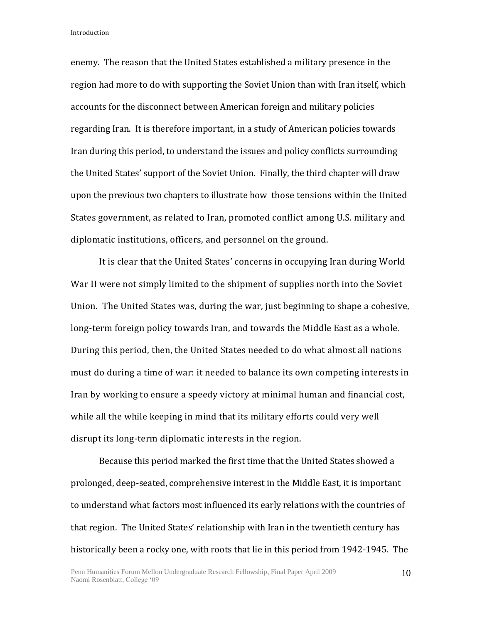enemy. The reason that the United States established a military presence in the region had more to do with supporting the Soviet Union than with Iran itself, which accounts for the disconnect between American foreign and military policies regarding Iran. It is therefore important, in a study of American policies towards Iran during this period, to understand the issues and policy conflicts surrounding the United States' support of the Soviet Union. Finally, the third chapter will draw upon the previous two chapters to illustrate how those tensions within the United States government, as related to Iran, promoted conflict among U.S. military and diplomatic institutions, officers, and personnel on the ground.

It is clear that the United States' concerns in occupying Iran during World War II were not simply limited to the shipment of supplies north into the Soviet Union. The United States was, during the war, just beginning to shape a cohesive, long-term foreign policy towards Iran, and towards the Middle East as a whole. During this period, then, the United States needed to do what almost all nations must do during a time of war: it needed to balance its own competing interests in Iran by working to ensure a speedy victory at minimal human and financial cost, while all the while keeping in mind that its military efforts could very well disrupt its long-term diplomatic interests in the region.

Because this period marked the first time that the United States showed a prolonged, deep-seated, comprehensive interest in the Middle East, it is important to understand what factors most influenced its early relations with the countries of that region. The United States' relationship with Iran in the twentieth century has historically been a rocky one, with roots that lie in this period from 1942-1945. The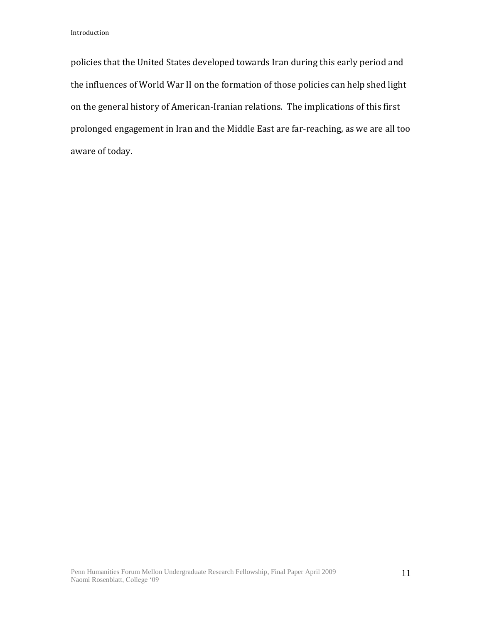policies that the United States developed towards Iran during this early period and the influences of World War II on the formation of those policies can help shed light on the general history of American-Iranian relations. The implications of this first prolonged engagement in Iran and the Middle East are far-reaching, as we are all too aware of today.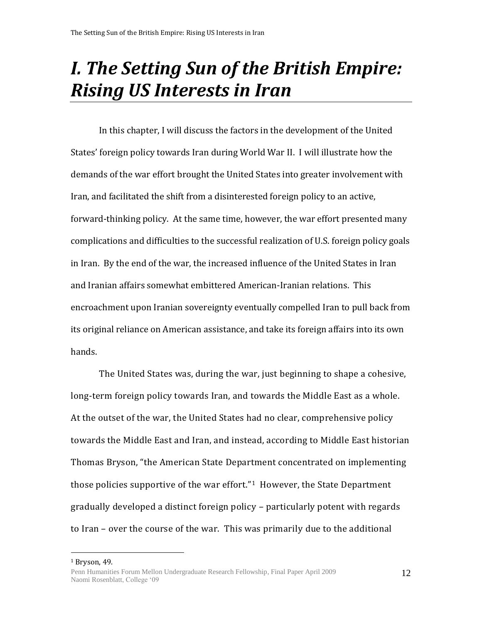# *I. The Setting Sun of the British Empire: Rising US Interests in Iran*

In this chapter, I will discuss the factors in the development of the United States' foreign policy towards Iran during World War II. I will illustrate how the demands of the war effort brought the United States into greater involvement with Iran, and facilitated the shift from a disinterested foreign policy to an active, forward-thinking policy. At the same time, however, the war effort presented many complications and difficulties to the successful realization of U.S. foreign policy goals in Iran. By the end of the war, the increased influence of the United States in Iran and Iranian affairs somewhat embittered American-Iranian relations. This encroachment upon Iranian sovereignty eventually compelled Iran to pull back from its original reliance on American assistance, and take its foreign affairs into its own hands.

The United States was, during the war, just beginning to shape a cohesive, long-term foreign policy towards Iran, and towards the Middle East as a whole. At the outset of the war, the United States had no clear, comprehensive policy towards the Middle East and Iran, and instead, according to Middle East historian Thomas Bryson, "the American State Department concentrated on implementing those policies supportive of the war effort."<sup>1</sup> However, the State Department gradually developed a distinct foreign policy – particularly potent with regards to Iran – over the course of the war. This was primarily due to the additional

 $\overline{a}$ 

12

<sup>1</sup> Bryson, 49.

Penn Humanities Forum Mellon Undergraduate Research Fellowship, Final Paper April 2009 Naomi Rosenblatt, College '09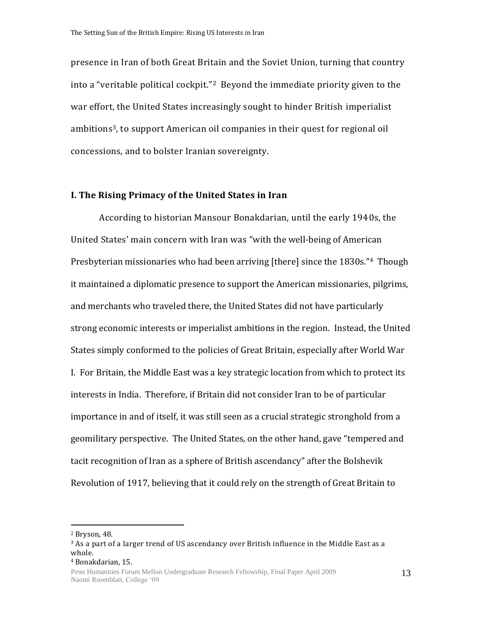presence in Iran of both Great Britain and the Soviet Union, turning that country into a "veritable political cockpit."2 Beyond the immediate priority given to the war effort, the United States increasingly sought to hinder British imperialist ambitions3, to support American oil companies in their quest for regional oil concessions, and to bolster Iranian sovereignty.

#### **I. The Rising Primacy of the United States in Iran**

According to historian Mansour Bonakdarian, until the early 1940s, the United States' main concern with Iran was "with the well-being of American Presbyterian missionaries who had been arriving [there] since the 1830s."4 Though it maintained a diplomatic presence to support the American missionaries, pilgrims, and merchants who traveled there, the United States did not have particularly strong economic interests or imperialist ambitions in the region. Instead, the United States simply conformed to the policies of Great Britain, especially after World War I. For Britain, the Middle East was a key strategic location from which to protect its interests in India. Therefore, if Britain did not consider Iran to be of particular importance in and of itself, it was still seen as a crucial strategic stronghold from a geomilitary perspective. The United States, on the other hand, gave "tempered and tacit recognition of Iran as a sphere of British ascendancy" after the Bolshevik Revolution of 1917, believing that it could rely on the strength of Great Britain to

<sup>2</sup> Bryson, 48.

 $3$  As a part of a larger trend of US ascendancy over British influence in the Middle East as a whole.

<sup>4</sup> Bonakdarian, 15.

Penn Humanities Forum Mellon Undergraduate Research Fellowship, Final Paper April 2009 Naomi Rosenblatt, College '09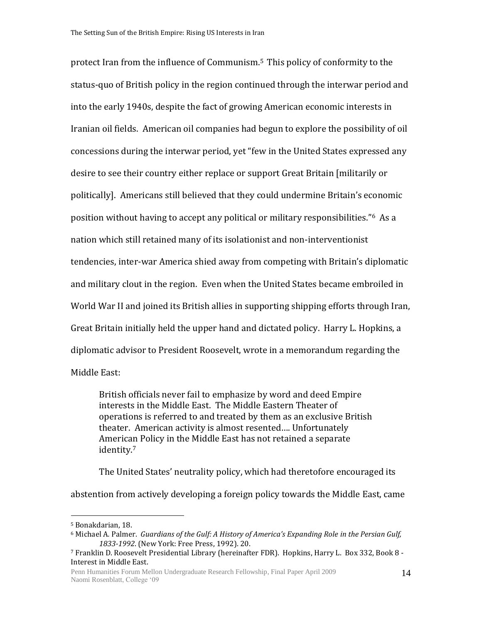protect Iran from the influence of Communism.<sup>5</sup> This policy of conformity to the status-quo of British policy in the region continued through the interwar period and into the early 1940s, despite the fact of growing American economic interests in Iranian oil fields. American oil companies had begun to explore the possibility of oil concessions during the interwar period, yet "few in the United States expressed any desire to see their country either replace or support Great Britain [militarily or politically]. Americans still believed that they could undermine Britain's economic position without having to accept any political or military responsibilities."6 As a nation which still retained many of its isolationist and non-interventionist tendencies, inter-war America shied away from competing with Britain's diplomatic and military clout in the region. Even when the United States became embroiled in World War II and joined its British allies in supporting shipping efforts through Iran, Great Britain initially held the upper hand and dictated policy. Harry L. Hopkins, a diplomatic advisor to President Roosevelt, wrote in a memorandum regarding the Middle East:

British officials never fail to emphasize by word and deed Empire interests in the Middle East. The Middle Eastern Theater of operations is referred to and treated by them as an exclusive British theater. American activity is almost resented…. Unfortunately American Policy in the Middle East has not retained a separate identity.<sup>7</sup>

The United States' neutrality policy, which had theretofore encouraged its abstention from actively developing a foreign policy towards the Middle East, came

<sup>5</sup> Bonakdarian, 18.

<sup>6</sup> Michael A*.* Palmer. *Guardians of the Gulf: A History of America's Expanding Role in the Persian Gulf, 1833-1992*. (New York: Free Press, 1992). 20.

<sup>7</sup> Franklin D. Roosevelt Presidential Library (hereinafter FDR). Hopkins, Harry L. Box 332, Book 8 - Interest in Middle East.

Penn Humanities Forum Mellon Undergraduate Research Fellowship, Final Paper April 2009 Naomi Rosenblatt, College '09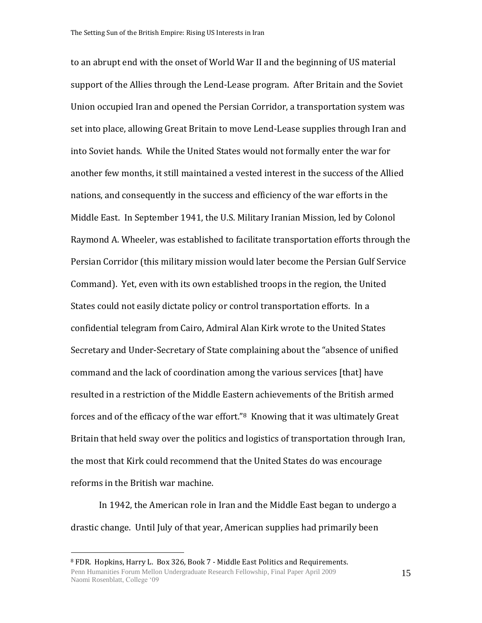to an abrupt end with the onset of World War II and the beginning of US material support of the Allies through the Lend-Lease program. After Britain and the Soviet Union occupied Iran and opened the Persian Corridor, a transportation system was set into place, allowing Great Britain to move Lend-Lease supplies through Iran and into Soviet hands. While the United States would not formally enter the war for another few months, it still maintained a vested interest in the success of the Allied nations, and consequently in the success and efficiency of the war efforts in the Middle East. In September 1941, the U.S. Military Iranian Mission, led by Colonol Raymond A. Wheeler, was established to facilitate transportation efforts through the Persian Corridor (this military mission would later become the Persian Gulf Service Command). Yet, even with its own established troops in the region, the United States could not easily dictate policy or control transportation efforts. In a confidential telegram from Cairo, Admiral Alan Kirk wrote to the United States Secretary and Under-Secretary of State complaining about the "absence of unified command and the lack of coordination among the various services [that] have resulted in a restriction of the Middle Eastern achievements of the British armed forces and of the efficacy of the war effort."8 Knowing that it was ultimately Great Britain that held sway over the politics and logistics of transportation through Iran, the most that Kirk could recommend that the United States do was encourage reforms in the British war machine.

In 1942, the American role in Iran and the Middle East began to undergo a drastic change. Until July of that year, American supplies had primarily been

 $\overline{a}$ 

15

Penn Humanities Forum Mellon Undergraduate Research Fellowship, Final Paper April 2009 Naomi Rosenblatt, College '09 <sup>8</sup> FDR. Hopkins, Harry L. Box 326, Book 7 - Middle East Politics and Requirements.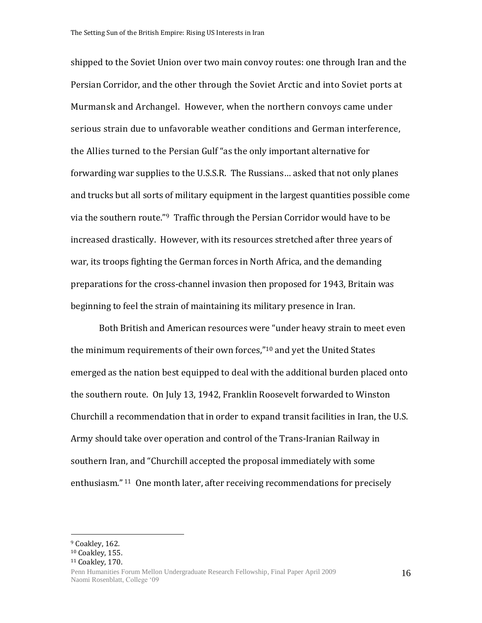shipped to the Soviet Union over two main convoy routes: one through Iran and the Persian Corridor, and the other through the Soviet Arctic and into Soviet ports at Murmansk and Archangel. However, when the northern convoys came under serious strain due to unfavorable weather conditions and German interference, the Allies turned to the Persian Gulf "as the only important alternative for forwarding war supplies to the U.S.S.R. The Russians… asked that not only planes and trucks but all sorts of military equipment in the largest quantities possible come via the southern route."9 Traffic through the Persian Corridor would have to be increased drastically. However, with its resources stretched after three years of war, its troops fighting the German forces in North Africa, and the demanding preparations for the cross-channel invasion then proposed for 1943, Britain was beginning to feel the strain of maintaining its military presence in Iran.

Both British and American resources were "under heavy strain to meet even the minimum requirements of their own forces,"<sup>10</sup> and yet the United States emerged as the nation best equipped to deal with the additional burden placed onto the southern route. On July 13, 1942, Franklin Roosevelt forwarded to Winston Churchill a recommendation that in order to expand transit facilities in Iran, the U.S. Army should take over operation and control of the Trans-Iranian Railway in southern Iran, and "Churchill accepted the proposal immediately with some enthusiasm." <sup>11</sup> One month later, after receiving recommendations for precisely

 $\overline{a}$ 

16

<sup>&</sup>lt;sup>9</sup> Coakley, 162.

<sup>10</sup> Coakley, 155.

<sup>11</sup> Coakley, 170.

Penn Humanities Forum Mellon Undergraduate Research Fellowship, Final Paper April 2009 Naomi Rosenblatt, College '09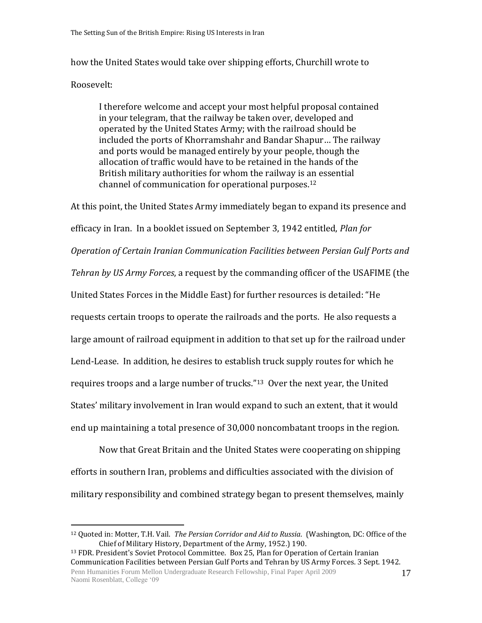how the United States would take over shipping efforts, Churchill wrote to Roosevelt:

I therefore welcome and accept your most helpful proposal contained in your telegram, that the railway be taken over, developed and operated by the United States Army; with the railroad should be included the ports of Khorramshahr and Bandar Shapur… The railway and ports would be managed entirely by your people, though the allocation of traffic would have to be retained in the hands of the British military authorities for whom the railway is an essential channel of communication for operational purposes.<sup>12</sup>

At this point, the United States Army immediately began to expand its presence and efficacy in Iran. In a booklet issued on September 3, 1942 entitled, *Plan for Operation of Certain Iranian Communication Facilities between Persian Gulf Ports and Tehran by US Army Forces*, a request by the commanding officer of the USAFIME (the United States Forces in the Middle East) for further resources is detailed: "He requests certain troops to operate the railroads and the ports. He also requests a large amount of railroad equipment in addition to that set up for the railroad under Lend-Lease. In addition, he desires to establish truck supply routes for which he requires troops and a large number of trucks."13 Over the next year, the United States' military involvement in Iran would expand to such an extent, that it would end up maintaining a total presence of 30,000 noncombatant troops in the region.

Now that Great Britain and the United States were cooperating on shipping efforts in southern Iran, problems and difficulties associated with the division of military responsibility and combined strategy began to present themselves, mainly

 $\overline{a}$ 

Penn Humanities Forum Mellon Undergraduate Research Fellowship, Final Paper April 2009 Naomi Rosenblatt, College '09 <sup>13</sup> FDR. President's Soviet Protocol Committee. Box 25, Plan for Operation of Certain Iranian Communication Facilities between Persian Gulf Ports and Tehran by US Army Forces. 3 Sept. 1942.

<sup>12</sup> Quoted in: Motter, T.H. Vail. *The Persian Corridor and Aid to Russia*. (Washington, DC: Office of the Chief of Military History, Department of the Army, 1952.) 190.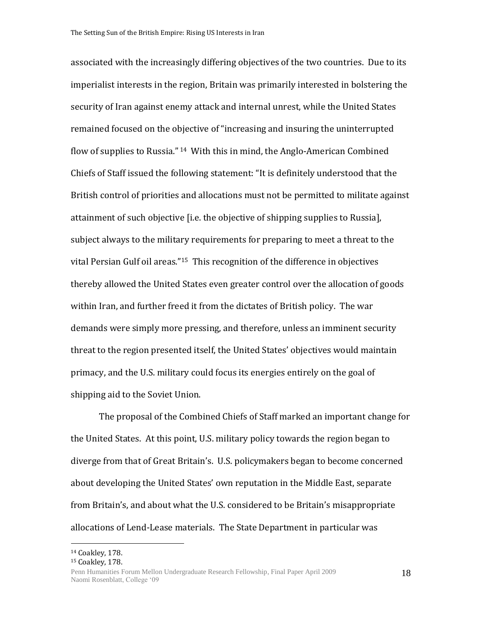associated with the increasingly differing objectives of the two countries. Due to its imperialist interests in the region, Britain was primarily interested in bolstering the security of Iran against enemy attack and internal unrest, while the United States remained focused on the objective of "increasing and insuring the uninterrupted flow of supplies to Russia." <sup>14</sup> With this in mind, the Anglo-American Combined Chiefs of Staff issued the following statement: "It is definitely understood that the British control of priorities and allocations must not be permitted to militate against attainment of such objective [i.e. the objective of shipping supplies to Russia], subject always to the military requirements for preparing to meet a threat to the vital Persian Gulf oil areas."15 This recognition of the difference in objectives thereby allowed the United States even greater control over the allocation of goods within Iran, and further freed it from the dictates of British policy. The war demands were simply more pressing, and therefore, unless an imminent security threat to the region presented itself, the United States' objectives would maintain primacy, and the U.S. military could focus its energies entirely on the goal of shipping aid to the Soviet Union.

The proposal of the Combined Chiefs of Staff marked an important change for the United States. At this point, U.S. military policy towards the region began to diverge from that of Great Britain's. U.S. policymakers began to become concerned about developing the United States' own reputation in the Middle East, separate from Britain's, and about what the U.S. considered to be Britain's misappropriate allocations of Lend-Lease materials. The State Department in particular was

 $\overline{a}$ 

18

<sup>14</sup> Coakley, 178.

<sup>15</sup> Coakley, 178.

Penn Humanities Forum Mellon Undergraduate Research Fellowship, Final Paper April 2009 Naomi Rosenblatt, College '09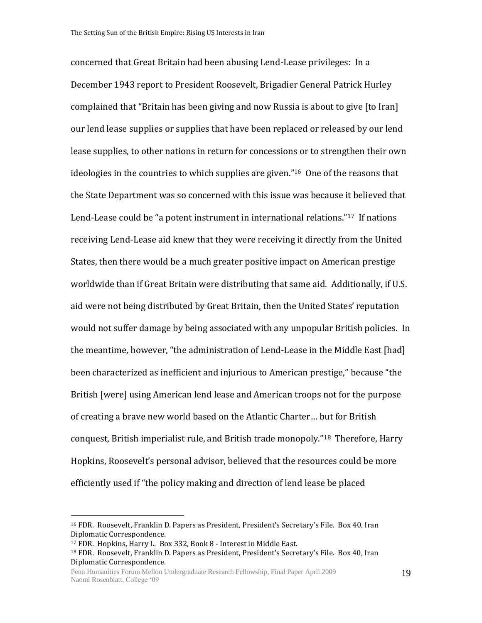concerned that Great Britain had been abusing Lend-Lease privileges: In a December 1943 report to President Roosevelt, Brigadier General Patrick Hurley complained that "Britain has been giving and now Russia is about to give [to Iran] our lend lease supplies or supplies that have been replaced or released by our lend lease supplies, to other nations in return for concessions or to strengthen their own ideologies in the countries to which supplies are given."16 One of the reasons that the State Department was so concerned with this issue was because it believed that Lend-Lease could be "a potent instrument in international relations."17 If nations receiving Lend-Lease aid knew that they were receiving it directly from the United States, then there would be a much greater positive impact on American prestige worldwide than if Great Britain were distributing that same aid. Additionally, if U.S. aid were not being distributed by Great Britain, then the United States' reputation would not suffer damage by being associated with any unpopular British policies. In the meantime, however, "the administration of Lend-Lease in the Middle East [had] been characterized as inefficient and injurious to American prestige," because "the British [were] using American lend lease and American troops not for the purpose of creating a brave new world based on the Atlantic Charter… but for British conquest, British imperialist rule, and British trade monopoly."18 Therefore, Harry Hopkins, Roosevelt's personal advisor, believed that the resources could be more efficiently used if "the policy making and direction of lend lease be placed

<sup>16</sup> FDR. Roosevelt, Franklin D. Papers as President, President's Secretary's File. Box 40, Iran Diplomatic Correspondence.

<sup>17</sup> FDR. Hopkins, Harry L. Box 332, Book 8 - Interest in Middle East.

<sup>&</sup>lt;sup>18</sup> FDR. Roosevelt, Franklin D. Papers as President, President's Secretary's File. Box 40, Iran Diplomatic Correspondence.

Penn Humanities Forum Mellon Undergraduate Research Fellowship, Final Paper April 2009 Naomi Rosenblatt, College '09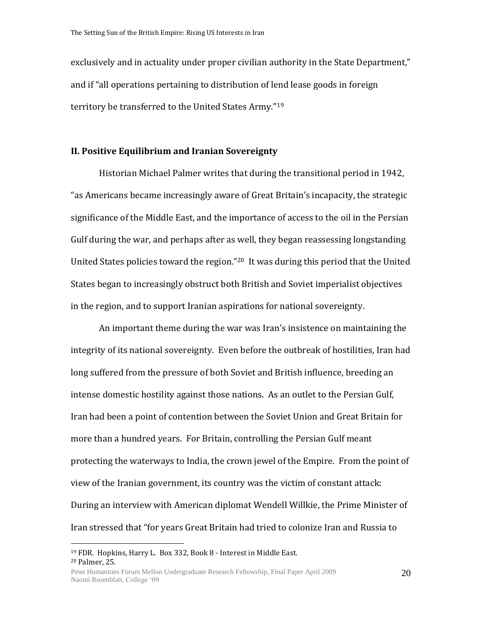exclusively and in actuality under proper civilian authority in the State Department," and if "all operations pertaining to distribution of lend lease goods in foreign territory be transferred to the United States Army."<sup>19</sup>

### **II. Positive Equilibrium and Iranian Sovereignty**

Historian Michael Palmer writes that during the transitional period in 1942, "as Americans became increasingly aware of Great Britain's incapacity, the strategic significance of the Middle East, and the importance of access to the oil in the Persian Gulf during the war, and perhaps after as well, they began reassessing longstanding United States policies toward the region."20 It was during this period that the United States began to increasingly obstruct both British and Soviet imperialist objectives in the region, and to support Iranian aspirations for national sovereignty.

An important theme during the war was Iran's insistence on maintaining the integrity of its national sovereignty. Even before the outbreak of hostilities, Iran had long suffered from the pressure of both Soviet and British influence, breeding an intense domestic hostility against those nations. As an outlet to the Persian Gulf, Iran had been a point of contention between the Soviet Union and Great Britain for more than a hundred years. For Britain, controlling the Persian Gulf meant protecting the waterways to India, the crown jewel of the Empire. From the point of view of the Iranian government, its country was the victim of constant attack: During an interview with American diplomat Wendell Willkie, the Prime Minister of Iran stressed that "for years Great Britain had tried to colonize Iran and Russia to

 $\overline{a}$ 

20

<sup>19</sup> FDR. Hopkins, Harry L. Box 332, Book 8 - Interest in Middle East. <sup>20</sup> Palmer, 25.

Penn Humanities Forum Mellon Undergraduate Research Fellowship, Final Paper April 2009 Naomi Rosenblatt, College '09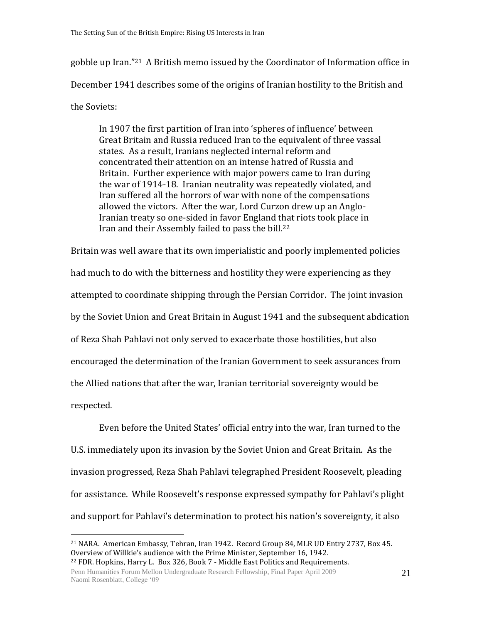gobble up Iran."21 A British memo issued by the Coordinator of Information office in December 1941 describes some of the origins of Iranian hostility to the British and the Soviets:

In 1907 the first partition of Iran into 'spheres of influence' between Great Britain and Russia reduced Iran to the equivalent of three vassal states. As a result, Iranians neglected internal reform and concentrated their attention on an intense hatred of Russia and Britain. Further experience with major powers came to Iran during the war of 1914-18. Iranian neutrality was repeatedly violated, and Iran suffered all the horrors of war with none of the compensations allowed the victors. After the war, Lord Curzon drew up an Anglo-Iranian treaty so one-sided in favor England that riots took place in Iran and their Assembly failed to pass the bill.<sup>22</sup>

Britain was well aware that its own imperialistic and poorly implemented policies had much to do with the bitterness and hostility they were experiencing as they attempted to coordinate shipping through the Persian Corridor. The joint invasion by the Soviet Union and Great Britain in August 1941 and the subsequent abdication of Reza Shah Pahlavi not only served to exacerbate those hostilities, but also encouraged the determination of the Iranian Government to seek assurances from the Allied nations that after the war, Iranian territorial sovereignty would be respected.

Even before the United States' official entry into the war, Iran turned to the U.S. immediately upon its invasion by the Soviet Union and Great Britain. As the invasion progressed, Reza Shah Pahlavi telegraphed President Roosevelt, pleading for assistance. While Roosevelt's response expressed sympathy for Pahlavi's plight and support for Pahlavi's determination to protect his nation's sovereignty, it also

Penn Humanities Forum Mellon Undergraduate Research Fellowship, Final Paper April 2009 Naomi Rosenblatt, College '09

<sup>21</sup> NARA. American Embassy, Tehran, Iran 1942. Record Group 84, MLR UD Entry 2737, Box 45. Overview of Willkie's audience with the Prime Minister, September 16, 1942. <sup>22</sup> FDR. Hopkins, Harry L. Box 326, Book 7 - Middle East Politics and Requirements.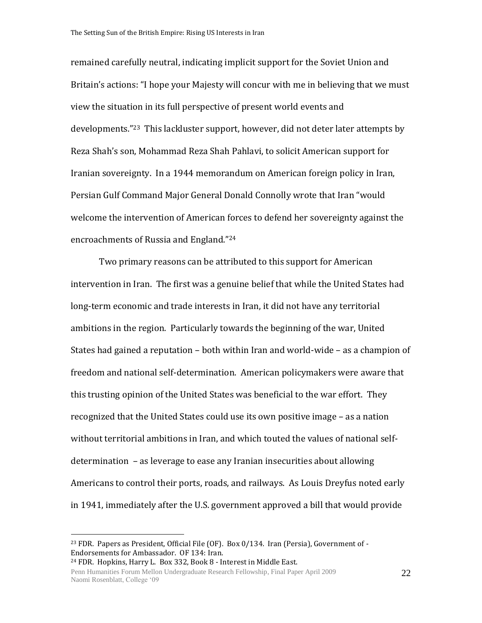remained carefully neutral, indicating implicit support for the Soviet Union and Britain's actions: "I hope your Majesty will concur with me in believing that we must view the situation in its full perspective of present world events and developments."23 This lackluster support, however, did not deter later attempts by Reza Shah's son, Mohammad Reza Shah Pahlavi, to solicit American support for Iranian sovereignty. In a 1944 memorandum on American foreign policy in Iran, Persian Gulf Command Major General Donald Connolly wrote that Iran "would welcome the intervention of American forces to defend her sovereignty against the encroachments of Russia and England."<sup>24</sup>

Two primary reasons can be attributed to this support for American intervention in Iran. The first was a genuine belief that while the United States had long-term economic and trade interests in Iran, it did not have any territorial ambitions in the region. Particularly towards the beginning of the war, United States had gained a reputation – both within Iran and world-wide – as a champion of freedom and national self-determination. American policymakers were aware that this trusting opinion of the United States was beneficial to the war effort. They recognized that the United States could use its own positive image – as a nation without territorial ambitions in Iran, and which touted the values of national selfdetermination – as leverage to ease any Iranian insecurities about allowing Americans to control their ports, roads, and railways. As Louis Dreyfus noted early in 1941, immediately after the U.S. government approved a bill that would provide

<sup>24</sup> FDR. Hopkins, Harry L. Box 332, Book 8 - Interest in Middle East.

<sup>&</sup>lt;sup>23</sup> FDR. Papers as President, Official File (OF). Box  $0/134$ . Iran (Persia), Government of -Endorsements for Ambassador. OF 134: Iran.

Penn Humanities Forum Mellon Undergraduate Research Fellowship, Final Paper April 2009 Naomi Rosenblatt, College '09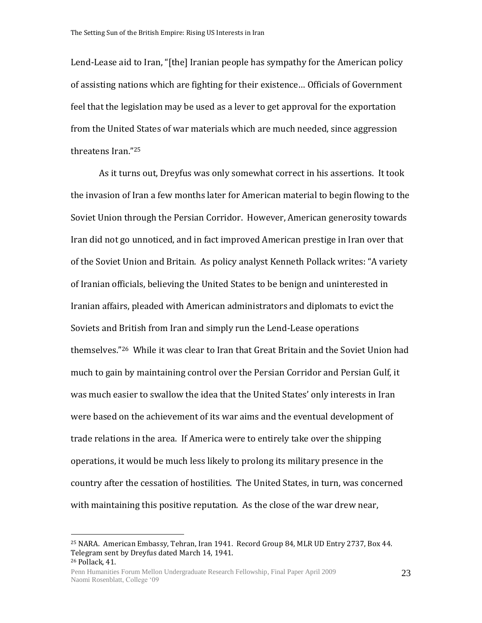Lend-Lease aid to Iran, "[the] Iranian people has sympathy for the American policy of assisting nations which are fighting for their existence… Officials of Government feel that the legislation may be used as a lever to get approval for the exportation from the United States of war materials which are much needed, since aggression threatens Iran."<sup>25</sup>

As it turns out, Dreyfus was only somewhat correct in his assertions. It took the invasion of Iran a few months later for American material to begin flowing to the Soviet Union through the Persian Corridor. However, American generosity towards Iran did not go unnoticed, and in fact improved American prestige in Iran over that of the Soviet Union and Britain. As policy analyst Kenneth Pollack writes: "A variety of Iranian officials, believing the United States to be benign and uninterested in Iranian affairs, pleaded with American administrators and diplomats to evict the Soviets and British from Iran and simply run the Lend-Lease operations themselves."26 While it was clear to Iran that Great Britain and the Soviet Union had much to gain by maintaining control over the Persian Corridor and Persian Gulf, it was much easier to swallow the idea that the United States' only interests in Iran were based on the achievement of its war aims and the eventual development of trade relations in the area. If America were to entirely take over the shipping operations, it would be much less likely to prolong its military presence in the country after the cessation of hostilities. The United States, in turn, was concerned with maintaining this positive reputation. As the close of the war drew near,

<sup>25</sup> NARA. American Embassy, Tehran, Iran 1941. Record Group 84, MLR UD Entry 2737, Box 44. Telegram sent by Dreyfus dated March 14, 1941. <sup>26</sup> Pollack, 41.

Penn Humanities Forum Mellon Undergraduate Research Fellowship, Final Paper April 2009 Naomi Rosenblatt, College '09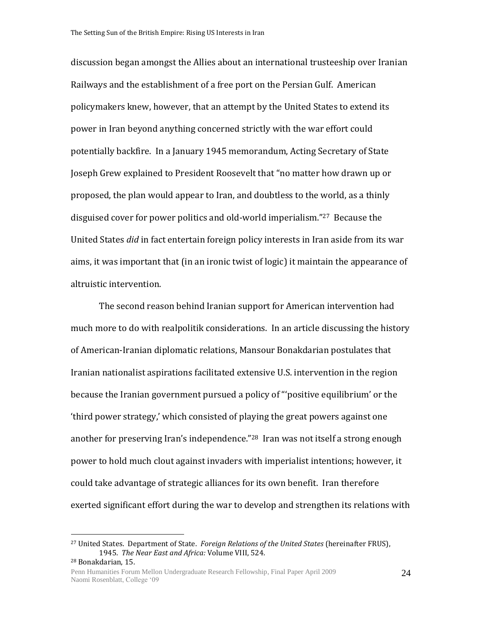discussion began amongst the Allies about an international trusteeship over Iranian Railways and the establishment of a free port on the Persian Gulf. American policymakers knew, however, that an attempt by the United States to extend its power in Iran beyond anything concerned strictly with the war effort could potentially backfire. In a January 1945 memorandum, Acting Secretary of State Joseph Grew explained to President Roosevelt that "no matter how drawn up or proposed, the plan would appear to Iran, and doubtless to the world, as a thinly disguised cover for power politics and old-world imperialism."27 Because the United States *did* in fact entertain foreign policy interests in Iran aside from its war aims, it was important that (in an ironic twist of logic) it maintain the appearance of altruistic intervention.

The second reason behind Iranian support for American intervention had much more to do with realpolitik considerations. In an article discussing the history of American-Iranian diplomatic relations, Mansour Bonakdarian postulates that Iranian nationalist aspirations facilitated extensive U.S. intervention in the region because the Iranian government pursued a policy of "'positive equilibrium' or the 'third power strategy,' which consisted of playing the great powers against one another for preserving Iran's independence."28 Iran was not itself a strong enough power to hold much clout against invaders with imperialist intentions; however, it could take advantage of strategic alliances for its own benefit. Iran therefore exerted significant effort during the war to develop and strengthen its relations with

<sup>27</sup> United States. Department of State. *Foreign Relations of the United States* (hereinafter FRUS), 1945. *The Near East and Africa:* Volume VIII, 524. <sup>28</sup> Bonakdarian, 15.

Penn Humanities Forum Mellon Undergraduate Research Fellowship, Final Paper April 2009 Naomi Rosenblatt, College '09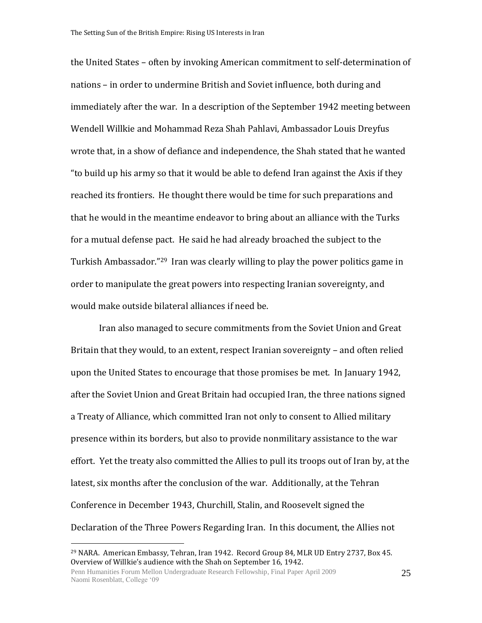the United States – often by invoking American commitment to self-determination of nations – in order to undermine British and Soviet influence, both during and immediately after the war. In a description of the September 1942 meeting between Wendell Willkie and Mohammad Reza Shah Pahlavi, Ambassador Louis Dreyfus wrote that, in a show of defiance and independence, the Shah stated that he wanted "to build up his army so that it would be able to defend Iran against the Axis if they reached its frontiers. He thought there would be time for such preparations and that he would in the meantime endeavor to bring about an alliance with the Turks for a mutual defense pact. He said he had already broached the subject to the Turkish Ambassador."29 Iran was clearly willing to play the power politics game in order to manipulate the great powers into respecting Iranian sovereignty, and would make outside bilateral alliances if need be.

Iran also managed to secure commitments from the Soviet Union and Great Britain that they would, to an extent, respect Iranian sovereignty – and often relied upon the United States to encourage that those promises be met. In January 1942, after the Soviet Union and Great Britain had occupied Iran, the three nations signed a Treaty of Alliance, which committed Iran not only to consent to Allied military presence within its borders, but also to provide nonmilitary assistance to the war effort. Yet the treaty also committed the Allies to pull its troops out of Iran by, at the latest, six months after the conclusion of the war. Additionally, at the Tehran Conference in December 1943, Churchill, Stalin, and Roosevelt signed the Declaration of the Three Powers Regarding Iran. In this document, the Allies not

<sup>29</sup> NARA. American Embassy, Tehran, Iran 1942. Record Group 84, MLR UD Entry 2737, Box 45. Overview of Willkie's audience with the Shah on September 16, 1942.

Penn Humanities Forum Mellon Undergraduate Research Fellowship, Final Paper April 2009 Naomi Rosenblatt, College '09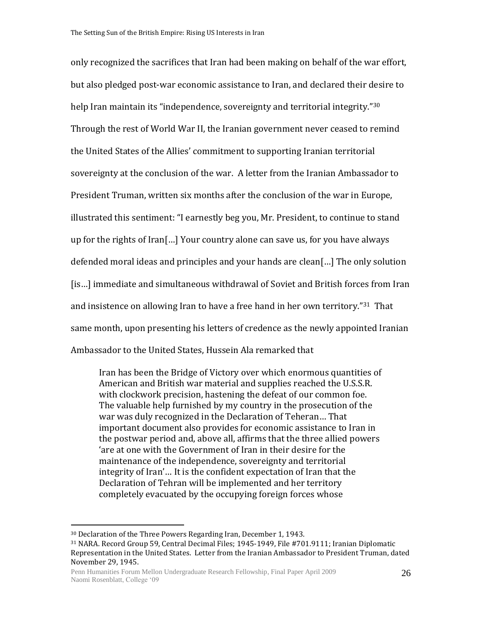only recognized the sacrifices that Iran had been making on behalf of the war effort, but also pledged post-war economic assistance to Iran, and declared their desire to help Iran maintain its "independence, sovereignty and territorial integrity."<sup>30</sup> Through the rest of World War II, the Iranian government never ceased to remind the United States of the Allies' commitment to supporting Iranian territorial sovereignty at the conclusion of the war. A letter from the Iranian Ambassador to President Truman, written six months after the conclusion of the war in Europe, illustrated this sentiment: "I earnestly beg you, Mr. President, to continue to stand up for the rights of Iran[…] Your country alone can save us, for you have always defended moral ideas and principles and your hands are clean[…] The only solution [is…] immediate and simultaneous withdrawal of Soviet and British forces from Iran and insistence on allowing Iran to have a free hand in her own territory."<sup>31</sup>That same month, upon presenting his letters of credence as the newly appointed Iranian Ambassador to the United States, Hussein Ala remarked that

Iran has been the Bridge of Victory over which enormous quantities of American and British war material and supplies reached the U.S.S.R. with clockwork precision, hastening the defeat of our common foe. The valuable help furnished by my country in the prosecution of the war was duly recognized in the Declaration of Teheran… That important document also provides for economic assistance to Iran in the postwar period and, above all, affirms that the three allied powers 'are at one with the Government of Iran in their desire for the maintenance of the independence, sovereignty and territorial integrity of Iran'… It is the confident expectation of Iran that the Declaration of Tehran will be implemented and her territory completely evacuated by the occupying foreign forces whose

<sup>30</sup> Declaration of the Three Powers Regarding Iran, December 1, 1943.

<sup>31</sup> NARA. Record Group 59, Central Decimal Files; 1945-1949, File #701.9111; Iranian Diplomatic Representation in the United States. Letter from the Iranian Ambassador to President Truman, dated November 29, 1945.

Penn Humanities Forum Mellon Undergraduate Research Fellowship, Final Paper April 2009 Naomi Rosenblatt, College '09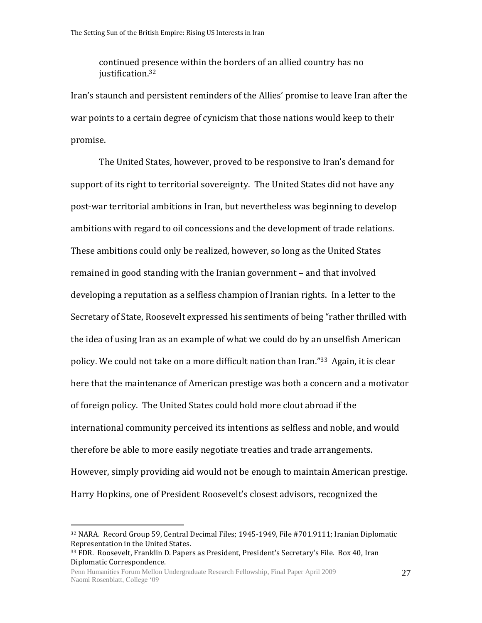continued presence within the borders of an allied country has no justification.<sup>32</sup>

Iran's staunch and persistent reminders of the Allies' promise to leave Iran after the war points to a certain degree of cynicism that those nations would keep to their promise.

The United States, however, proved to be responsive to Iran's demand for support of its right to territorial sovereignty. The United States did not have any post-war territorial ambitions in Iran, but nevertheless was beginning to develop ambitions with regard to oil concessions and the development of trade relations. These ambitions could only be realized, however, so long as the United States remained in good standing with the Iranian government – and that involved developing a reputation as a selfless champion of Iranian rights. In a letter to the Secretary of State, Roosevelt expressed his sentiments of being "rather thrilled with the idea of using Iran as an example of what we could do by an unselfish American policy. We could not take on a more difficult nation than Iran."33 Again, it is clear here that the maintenance of American prestige was both a concern and a motivator of foreign policy. The United States could hold more clout abroad if the international community perceived its intentions as selfless and noble, and would therefore be able to more easily negotiate treaties and trade arrangements. However, simply providing aid would not be enough to maintain American prestige. Harry Hopkins, one of President Roosevelt's closest advisors, recognized the

<sup>32</sup> NARA. Record Group 59, Central Decimal Files; 1945-1949, File #701.9111; Iranian Diplomatic Representation in the United States.

<sup>33</sup> FDR. Roosevelt, Franklin D. Papers as President, President's Secretary's File. Box 40, Iran Diplomatic Correspondence.

Penn Humanities Forum Mellon Undergraduate Research Fellowship, Final Paper April 2009 Naomi Rosenblatt, College '09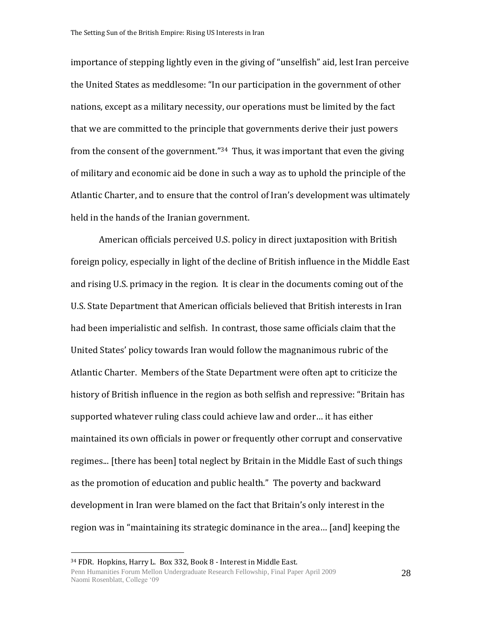importance of stepping lightly even in the giving of "unselfish" aid, lest Iran perceive the United States as meddlesome: "In our participation in the government of other nations, except as a military necessity, our operations must be limited by the fact that we are committed to the principle that governments derive their just powers from the consent of the government."34 Thus, it was important that even the giving of military and economic aid be done in such a way as to uphold the principle of the Atlantic Charter, and to ensure that the control of Iran's development was ultimately held in the hands of the Iranian government.

American officials perceived U.S. policy in direct juxtaposition with British foreign policy, especially in light of the decline of British influence in the Middle East and rising U.S. primacy in the region. It is clear in the documents coming out of the U.S. State Department that American officials believed that British interests in Iran had been imperialistic and selfish. In contrast, those same officials claim that the United States' policy towards Iran would follow the magnanimous rubric of the Atlantic Charter. Members of the State Department were often apt to criticize the history of British influence in the region as both selfish and repressive: "Britain has supported whatever ruling class could achieve law and order… it has either maintained its own officials in power or frequently other corrupt and conservative regimes... [there has been] total neglect by Britain in the Middle East of such things as the promotion of education and public health." The poverty and backward development in Iran were blamed on the fact that Britain's only interest in the region was in "maintaining its strategic dominance in the area… [and] keeping the

<sup>34</sup> FDR. Hopkins, Harry L. Box 332, Book 8 - Interest in Middle East.

Penn Humanities Forum Mellon Undergraduate Research Fellowship, Final Paper April 2009 Naomi Rosenblatt, College '09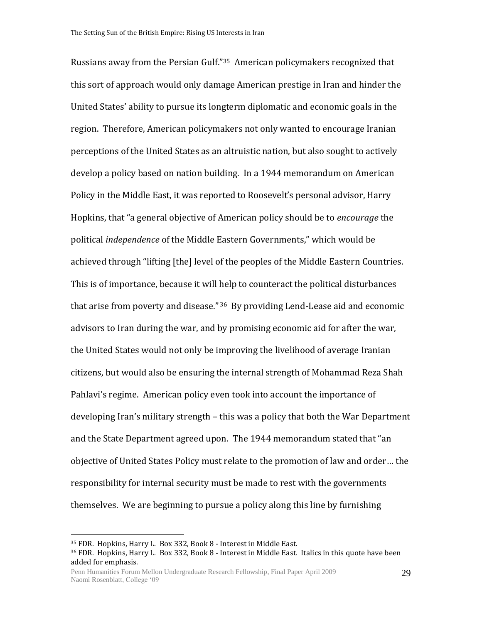Russians away from the Persian Gulf."35 American policymakers recognized that this sort of approach would only damage American prestige in Iran and hinder the United States' ability to pursue its longterm diplomatic and economic goals in the region. Therefore, American policymakers not only wanted to encourage Iranian perceptions of the United States as an altruistic nation, but also sought to actively develop a policy based on nation building. In a 1944 memorandum on American Policy in the Middle East, it was reported to Roosevelt's personal advisor, Harry Hopkins, that "a general objective of American policy should be to *encourage* the political *independence* of the Middle Eastern Governments," which would be achieved through "lifting [the] level of the peoples of the Middle Eastern Countries. This is of importance, because it will help to counteract the political disturbances that arise from poverty and disease." <sup>36</sup> By providing Lend-Lease aid and economic advisors to Iran during the war, and by promising economic aid for after the war, the United States would not only be improving the livelihood of average Iranian citizens, but would also be ensuring the internal strength of Mohammad Reza Shah Pahlavi's regime. American policy even took into account the importance of developing Iran's military strength – this was a policy that both the War Department and the State Department agreed upon. The 1944 memorandum stated that "an objective of United States Policy must relate to the promotion of law and order… the responsibility for internal security must be made to rest with the governments themselves. We are beginning to pursue a policy along this line by furnishing

<sup>35</sup> FDR. Hopkins, Harry L. Box 332, Book 8 - Interest in Middle East.

<sup>36</sup> FDR. Hopkins, Harry L. Box 332, Book 8 - Interest in Middle East. Italics in this quote have been added for emphasis.

Penn Humanities Forum Mellon Undergraduate Research Fellowship, Final Paper April 2009 Naomi Rosenblatt, College '09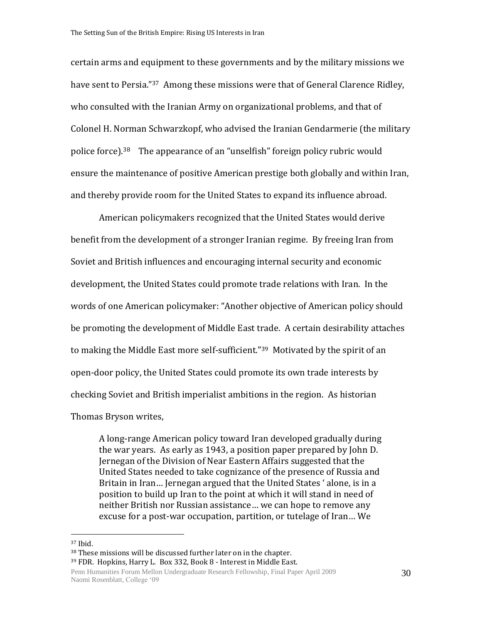certain arms and equipment to these governments and by the military missions we have sent to Persia."<sup>37</sup> Among these missions were that of General Clarence Ridley, who consulted with the Iranian Army on organizational problems, and that of Colonel H. Norman Schwarzkopf, who advised the Iranian Gendarmerie (the military police force).<sup>38</sup> The appearance of an "unselfish" foreign policy rubric would ensure the maintenance of positive American prestige both globally and within Iran, and thereby provide room for the United States to expand its influence abroad.

American policymakers recognized that the United States would derive benefit from the development of a stronger Iranian regime. By freeing Iran from Soviet and British influences and encouraging internal security and economic development, the United States could promote trade relations with Iran. In the words of one American policymaker: "Another objective of American policy should be promoting the development of Middle East trade. A certain desirability attaches to making the Middle East more self-sufficient."<sup>39</sup> Motivated by the spirit of an open-door policy, the United States could promote its own trade interests by checking Soviet and British imperialist ambitions in the region. As historian Thomas Bryson writes,

A long-range American policy toward Iran developed gradually during the war years. As early as 1943, a position paper prepared by John D. Jernegan of the Division of Near Eastern Affairs suggested that the United States needed to take cognizance of the presence of Russia and Britain in Iran… Jernegan argued that the United States ' alone, is in a position to build up Iran to the point at which it will stand in need of neither British nor Russian assistance… we can hope to remove any excuse for a post-war occupation, partition, or tutelage of Iran… We

<sup>37</sup> Ibid.

<sup>38</sup> These missions will be discussed further later on in the chapter.

<sup>39</sup> FDR. Hopkins, Harry L. Box 332, Book 8 - Interest in Middle East.

Penn Humanities Forum Mellon Undergraduate Research Fellowship, Final Paper April 2009 Naomi Rosenblatt, College '09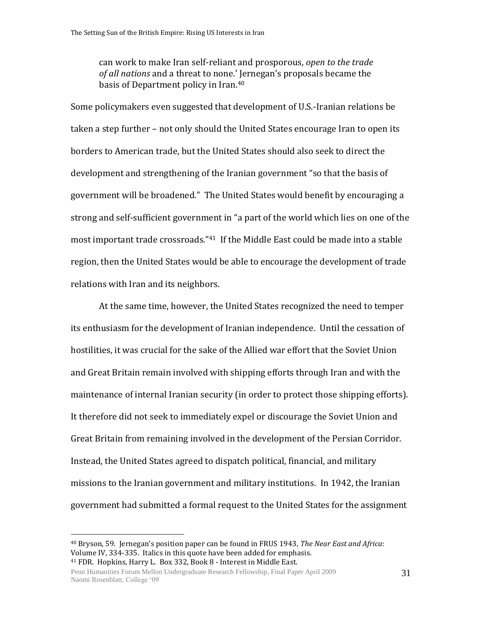can work to make Iran self-reliant and prosporous, *open to the trade of all nations* and a threat to none.' Jernegan's proposals became the basis of Department policy in Iran.<sup>40</sup>

Some policymakers even suggested that development of U.S.-Iranian relations be taken a step further – not only should the United States encourage Iran to open its borders to American trade, but the United States should also seek to direct the development and strengthening of the Iranian government "so that the basis of government will be broadened." The United States would benefit by encouraging a strong and self-sufficient government in "a part of the world which lies on one of the most important trade crossroads."41 If the Middle East could be made into a stable region, then the United States would be able to encourage the development of trade relations with Iran and its neighbors.

At the same time, however, the United States recognized the need to temper its enthusiasm for the development of Iranian independence. Until the cessation of hostilities, it was crucial for the sake of the Allied war effort that the Soviet Union and Great Britain remain involved with shipping efforts through Iran and with the maintenance of internal Iranian security (in order to protect those shipping efforts). It therefore did not seek to immediately expel or discourage the Soviet Union and Great Britain from remaining involved in the development of the Persian Corridor. Instead, the United States agreed to dispatch political, financial, and military missions to the Iranian government and military institutions. In 1942, the Iranian government had submitted a formal request to the United States for the assignment

<sup>40</sup> Bryson, 59. Jernegan's position paper can be found in FRUS 1943, *The Near East and Africa*: Volume IV, 334-335. Italics in this quote have been added for emphasis. <sup>41</sup> FDR. Hopkins, Harry L. Box 332, Book 8 - Interest in Middle East.

Penn Humanities Forum Mellon Undergraduate Research Fellowship, Final Paper April 2009 Naomi Rosenblatt, College '09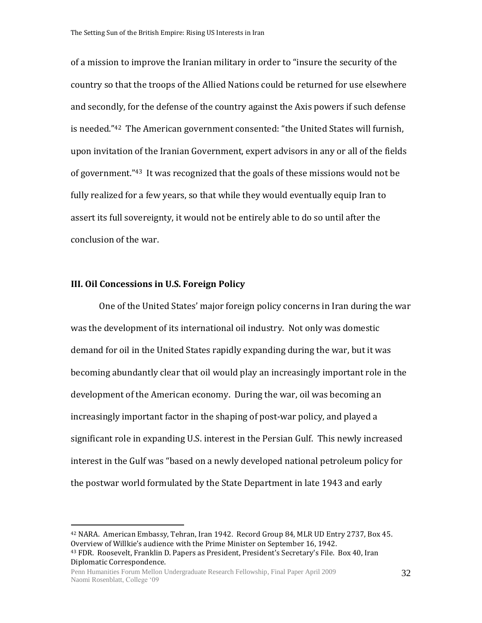of a mission to improve the Iranian military in order to "insure the security of the country so that the troops of the Allied Nations could be returned for use elsewhere and secondly, for the defense of the country against the Axis powers if such defense is needed."<sup>42</sup> The American government consented: "the United States will furnish, upon invitation of the Iranian Government, expert advisors in any or all of the fields of government."43 It was recognized that the goals of these missions would not be fully realized for a few years, so that while they would eventually equip Iran to assert its full sovereignty, it would not be entirely able to do so until after the conclusion of the war.

# **III. Oil Concessions in U.S. Foreign Policy**

 $\overline{a}$ 

One of the United States' major foreign policy concerns in Iran during the war was the development of its international oil industry. Not only was domestic demand for oil in the United States rapidly expanding during the war, but it was becoming abundantly clear that oil would play an increasingly important role in the development of the American economy. During the war, oil was becoming an increasingly important factor in the shaping of post-war policy, and played a significant role in expanding U.S. interest in the Persian Gulf. This newly increased interest in the Gulf was "based on a newly developed national petroleum policy for the postwar world formulated by the State Department in late 1943 and early

<sup>42</sup> NARA. American Embassy, Tehran, Iran 1942. Record Group 84, MLR UD Entry 2737, Box 45. Overview of Willkie's audience with the Prime Minister on September 16, 1942. <sup>43</sup> FDR. Roosevelt, Franklin D. Papers as President, President's Secretary's File. Box 40, Iran Diplomatic Correspondence.

Penn Humanities Forum Mellon Undergraduate Research Fellowship, Final Paper April 2009 Naomi Rosenblatt, College '09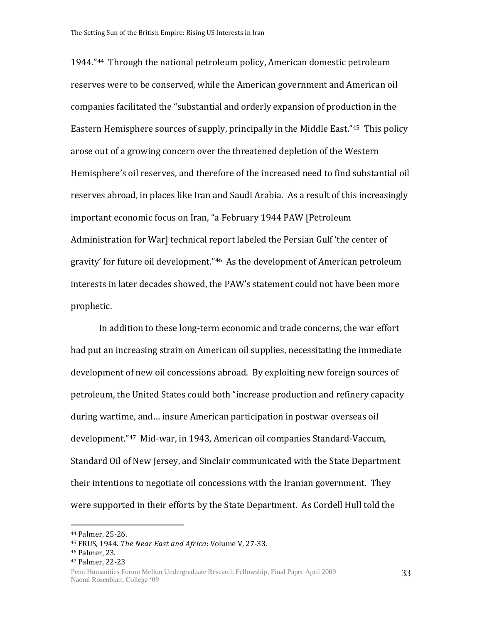1944."44 Through the national petroleum policy, American domestic petroleum reserves were to be conserved, while the American government and American oil companies facilitated the "substantial and orderly expansion of production in the Eastern Hemisphere sources of supply, principally in the Middle East."45 This policy arose out of a growing concern over the threatened depletion of the Western Hemisphere's oil reserves, and therefore of the increased need to find substantial oil reserves abroad, in places like Iran and Saudi Arabia. As a result of this increasingly important economic focus on Iran, "a February 1944 PAW [Petroleum Administration for War] technical report labeled the Persian Gulf 'the center of gravity' for future oil development."46 As the development of American petroleum interests in later decades showed, the PAW's statement could not have been more prophetic.

In addition to these long-term economic and trade concerns, the war effort had put an increasing strain on American oil supplies, necessitating the immediate development of new oil concessions abroad. By exploiting new foreign sources of petroleum, the United States could both "increase production and refinery capacity during wartime, and… insure American participation in postwar overseas oil development."47 Mid-war, in 1943, American oil companies Standard-Vaccum, Standard Oil of New Jersey, and Sinclair communicated with the State Department their intentions to negotiate oil concessions with the Iranian government. They were supported in their efforts by the State Department. As Cordell Hull told the

 $\overline{a}$ 

33

<sup>44</sup> Palmer, 25-26.

<sup>45</sup> FRUS, 1944. *The Near East and Africa*: Volume V, 27-33.

<sup>46</sup> Palmer, 23.

<sup>47</sup> Palmer, 22-23

Penn Humanities Forum Mellon Undergraduate Research Fellowship, Final Paper April 2009 Naomi Rosenblatt, College '09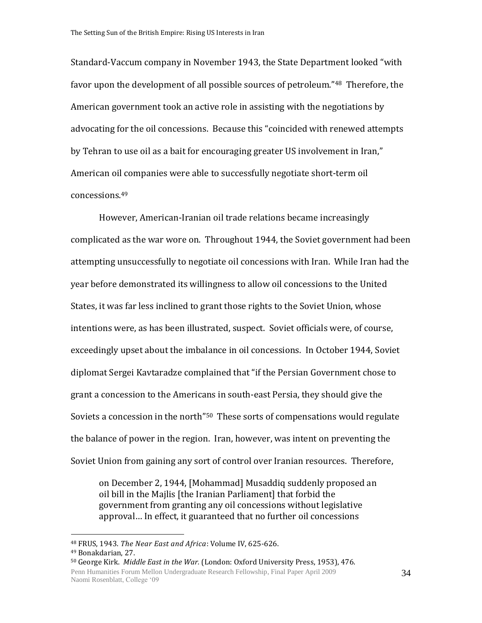Standard-Vaccum company in November 1943, the State Department looked "with favor upon the development of all possible sources of petroleum."48 Therefore, the American government took an active role in assisting with the negotiations by advocating for the oil concessions. Because this "coincided with renewed attempts by Tehran to use oil as a bait for encouraging greater US involvement in Iran," American oil companies were able to successfully negotiate short-term oil concessions.<sup>49</sup>

However, American-Iranian oil trade relations became increasingly complicated as the war wore on. Throughout 1944, the Soviet government had been attempting unsuccessfully to negotiate oil concessions with Iran. While Iran had the year before demonstrated its willingness to allow oil concessions to the United States, it was far less inclined to grant those rights to the Soviet Union, whose intentions were, as has been illustrated, suspect. Soviet officials were, of course, exceedingly upset about the imbalance in oil concessions. In October 1944, Soviet diplomat Sergei Kavtaradze complained that "if the Persian Government chose to grant a concession to the Americans in south-east Persia, they should give the Soviets a concession in the north"50 These sorts of compensations would regulate the balance of power in the region. Iran, however, was intent on preventing the Soviet Union from gaining any sort of control over Iranian resources. Therefore,

on December 2, 1944, [Mohammad] Musaddiq suddenly proposed an oil bill in the Majlis [the Iranian Parliament] that forbid the government from granting any oil concessions without legislative approval… In effect, it guaranteed that no further oil concessions

<sup>48</sup> FRUS, 1943. *The Near East and Africa*: Volume IV, 625-626.

<sup>49</sup> Bonakdarian, 27.

Penn Humanities Forum Mellon Undergraduate Research Fellowship, Final Paper April 2009 Naomi Rosenblatt, College '09 <sup>50</sup> George Kirk. *Middle East in the War.* (London: Oxford University Press, 1953), 476.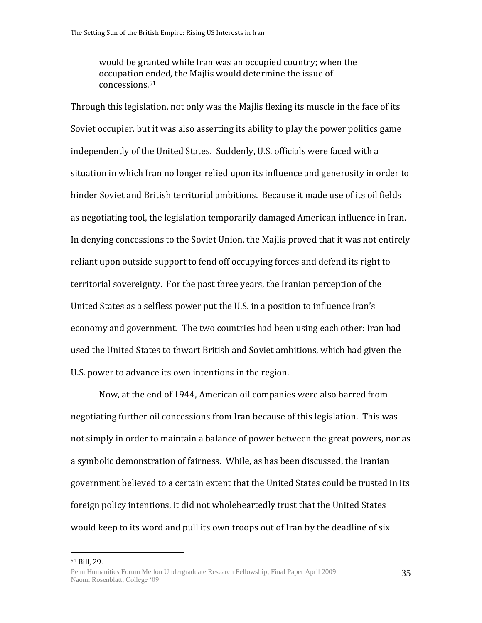would be granted while Iran was an occupied country; when the occupation ended, the Majlis would determine the issue of concessions.<sup>51</sup>

Through this legislation, not only was the Majlis flexing its muscle in the face of its Soviet occupier, but it was also asserting its ability to play the power politics game independently of the United States. Suddenly, U.S. officials were faced with a situation in which Iran no longer relied upon its influence and generosity in order to hinder Soviet and British territorial ambitions. Because it made use of its oil fields as negotiating tool, the legislation temporarily damaged American influence in Iran. In denying concessions to the Soviet Union, the Majlis proved that it was not entirely reliant upon outside support to fend off occupying forces and defend its right to territorial sovereignty. For the past three years, the Iranian perception of the United States as a selfless power put the U.S. in a position to influence Iran's economy and government. The two countries had been using each other: Iran had used the United States to thwart British and Soviet ambitions, which had given the U.S. power to advance its own intentions in the region.

Now, at the end of 1944, American oil companies were also barred from negotiating further oil concessions from Iran because of this legislation. This was not simply in order to maintain a balance of power between the great powers, nor as a symbolic demonstration of fairness. While, as has been discussed, the Iranian government believed to a certain extent that the United States could be trusted in its foreign policy intentions, it did not wholeheartedly trust that the United States would keep to its word and pull its own troops out of Iran by the deadline of six

<sup>51</sup> Bill, 29.

 $\overline{a}$ 

35

Penn Humanities Forum Mellon Undergraduate Research Fellowship, Final Paper April 2009 Naomi Rosenblatt, College '09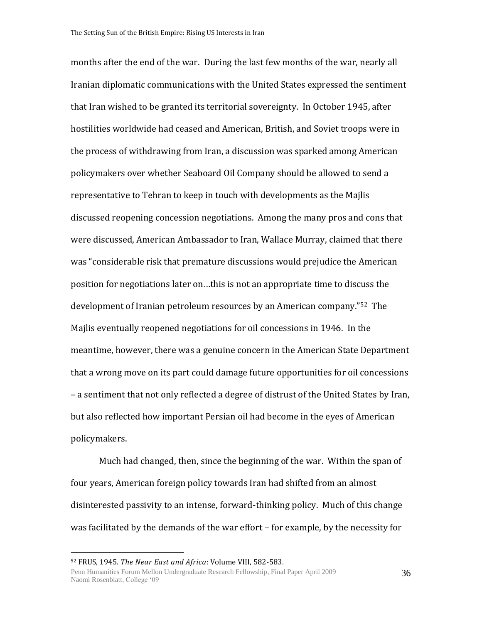months after the end of the war. During the last few months of the war, nearly all Iranian diplomatic communications with the United States expressed the sentiment that Iran wished to be granted its territorial sovereignty. In October 1945, after hostilities worldwide had ceased and American, British, and Soviet troops were in the process of withdrawing from Iran, a discussion was sparked among American policymakers over whether Seaboard Oil Company should be allowed to send a representative to Tehran to keep in touch with developments as the Majlis discussed reopening concession negotiations. Among the many pros and cons that were discussed, American Ambassador to Iran, Wallace Murray, claimed that there was "considerable risk that premature discussions would prejudice the American position for negotiations later on…this is not an appropriate time to discuss the development of Iranian petroleum resources by an American company."52 The Majlis eventually reopened negotiations for oil concessions in 1946. In the meantime, however, there was a genuine concern in the American State Department that a wrong move on its part could damage future opportunities for oil concessions – a sentiment that not only reflected a degree of distrust of the United States by Iran, but also reflected how important Persian oil had become in the eyes of American policymakers.

Much had changed, then, since the beginning of the war. Within the span of four years, American foreign policy towards Iran had shifted from an almost disinterested passivity to an intense, forward-thinking policy. Much of this change was facilitated by the demands of the war effort – for example, by the necessity for

<sup>52</sup> FRUS, 1945. *The Near East and Africa*: Volume VIII, 582-583.

Penn Humanities Forum Mellon Undergraduate Research Fellowship, Final Paper April 2009 Naomi Rosenblatt, College '09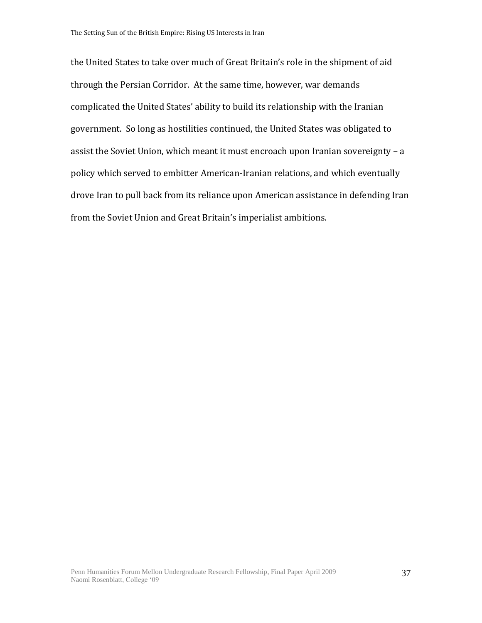the United States to take over much of Great Britain's role in the shipment of aid through the Persian Corridor. At the same time, however, war demands complicated the United States' ability to build its relationship with the Iranian government. So long as hostilities continued, the United States was obligated to assist the Soviet Union, which meant it must encroach upon Iranian sovereignty – a policy which served to embitter American-Iranian relations, and which eventually drove Iran to pull back from its reliance upon American assistance in defending Iran from the Soviet Union and Great Britain's imperialist ambitions.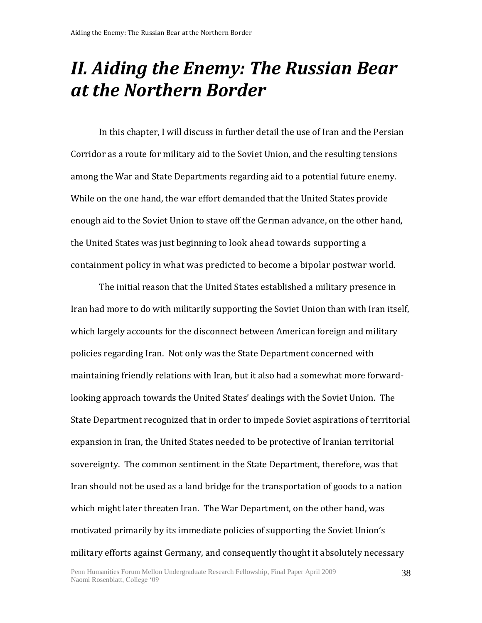# *II. Aiding the Enemy: The Russian Bear at the Northern Border*

In this chapter, I will discuss in further detail the use of Iran and the Persian Corridor as a route for military aid to the Soviet Union, and the resulting tensions among the War and State Departments regarding aid to a potential future enemy. While on the one hand, the war effort demanded that the United States provide enough aid to the Soviet Union to stave off the German advance, on the other hand, the United States was just beginning to look ahead towards supporting a containment policy in what was predicted to become a bipolar postwar world.

The initial reason that the United States established a military presence in Iran had more to do with militarily supporting the Soviet Union than with Iran itself, which largely accounts for the disconnect between American foreign and military policies regarding Iran. Not only was the State Department concerned with maintaining friendly relations with Iran, but it also had a somewhat more forwardlooking approach towards the United States' dealings with the Soviet Union. The State Department recognized that in order to impede Soviet aspirations of territorial expansion in Iran, the United States needed to be protective of Iranian territorial sovereignty. The common sentiment in the State Department, therefore, was that Iran should not be used as a land bridge for the transportation of goods to a nation which might later threaten Iran. The War Department, on the other hand, was motivated primarily by its immediate policies of supporting the Soviet Union's military efforts against Germany, and consequently thought it absolutely necessary

38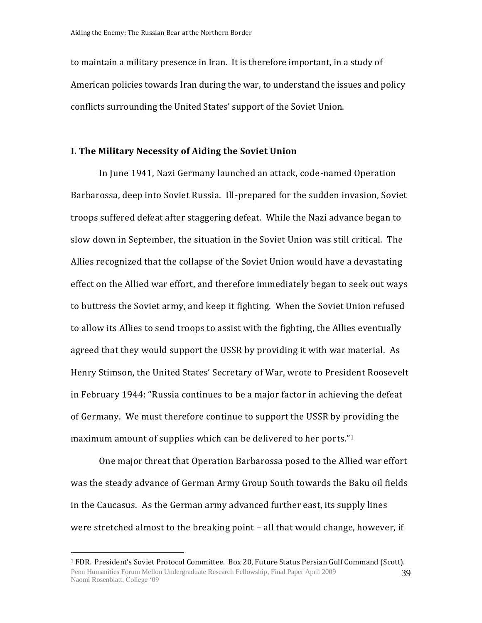to maintain a military presence in Iran. It is therefore important, in a study of American policies towards Iran during the war, to understand the issues and policy conflicts surrounding the United States' support of the Soviet Union.

#### **I. The Military Necessity of Aiding the Soviet Union**

In June 1941, Nazi Germany launched an attack, code-named Operation Barbarossa, deep into Soviet Russia. Ill-prepared for the sudden invasion, Soviet troops suffered defeat after staggering defeat. While the Nazi advance began to slow down in September, the situation in the Soviet Union was still critical. The Allies recognized that the collapse of the Soviet Union would have a devastating effect on the Allied war effort, and therefore immediately began to seek out ways to buttress the Soviet army, and keep it fighting. When the Soviet Union refused to allow its Allies to send troops to assist with the fighting, the Allies eventually agreed that they would support the USSR by providing it with war material. As Henry Stimson, the United States' Secretary of War, wrote to President Roosevelt in February 1944: "Russia continues to be a major factor in achieving the defeat of Germany. We must therefore continue to support the USSR by providing the maximum amount of supplies which can be delivered to her ports."<sup>1</sup>

One major threat that Operation Barbarossa posed to the Allied war effort was the steady advance of German Army Group South towards the Baku oil fields in the Caucasus. As the German army advanced further east, its supply lines were stretched almost to the breaking point – all that would change, however, if

Penn Humanities Forum Mellon Undergraduate Research Fellowship, Final Paper April 2009 Naomi Rosenblatt, College '09 39 <sup>1</sup> FDR. President's Soviet Protocol Committee. Box 20, Future Status Persian Gulf Command (Scott).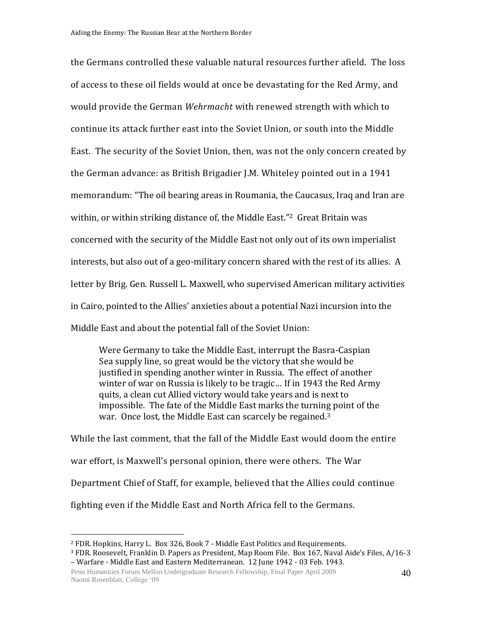the Germans controlled these valuable natural resources further afield. The loss of access to these oil fields would at once be devastating for the Red Army, and would provide the German *Wehrmacht* with renewed strength with which to continue its attack further east into the Soviet Union, or south into the Middle East. The security of the Soviet Union, then, was not the only concern created by the German advance: as British Brigadier J.M. Whiteley pointed out in a 1941 memorandum: "The oil bearing areas in Roumania, the Caucasus, Iraq and Iran are within, or within striking distance of, the Middle East."<sup>2</sup> Great Britain was concerned with the security of the Middle East not only out of its own imperialist interests, but also out of a geo-military concern shared with the rest of its allies. A letter by Brig. Gen. Russell L. Maxwell, who supervised American military activities in Cairo, pointed to the Allies' anxieties about a potential Nazi incursion into the Middle East and about the potential fall of the Soviet Union:

Were Germany to take the Middle East, interrupt the Basra-Caspian Sea supply line, so great would be the victory that she would be justified in spending another winter in Russia. The effect of another winter of war on Russia is likely to be tragic… If in 1943 the Red Army quits, a clean cut Allied victory would take years and is next to impossible. The fate of the Middle East marks the turning point of the war. Once lost, the Middle East can scarcely be regained.<sup>3</sup>

While the last comment, that the fall of the Middle East would doom the entire war effort, is Maxwell's personal opinion, there were others. The War Department Chief of Staff, for example, believed that the Allies could continue fighting even if the Middle East and North Africa fell to the Germans.

<sup>2</sup> FDR. Hopkins, Harry L. Box 326, Book 7 - Middle East Politics and Requirements.

<sup>3</sup> FDR. Roosevelt, Franklin D. Papers as President, Map Room File. Box 167, Naval Aide's Files, A/16-3 – Warfare - Middle East and Eastern Mediterranean. 12 June 1942 - 03 Feb. 1943.

Penn Humanities Forum Mellon Undergraduate Research Fellowship, Final Paper April 2009 Naomi Rosenblatt, College '09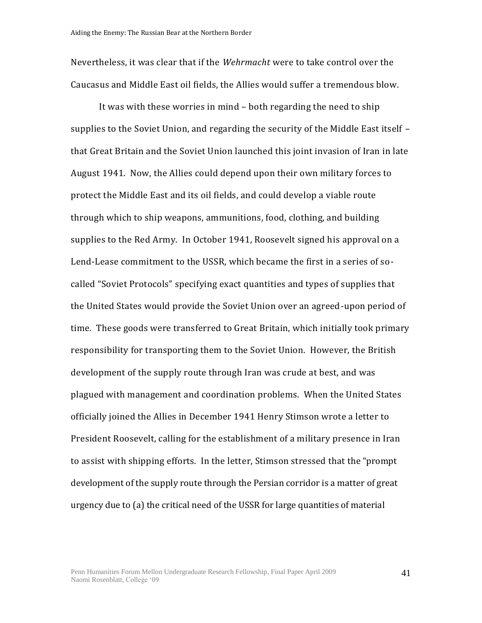Nevertheless, it was clear that if the *Wehrmacht* were to take control over the Caucasus and Middle East oil fields, the Allies would suffer a tremendous blow.

It was with these worries in mind – both regarding the need to ship supplies to the Soviet Union, and regarding the security of the Middle East itself – that Great Britain and the Soviet Union launched this joint invasion of Iran in late August 1941. Now, the Allies could depend upon their own military forces to protect the Middle East and its oil fields, and could develop a viable route through which to ship weapons, ammunitions, food, clothing, and building supplies to the Red Army. In October 1941, Roosevelt signed his approval on a Lend-Lease commitment to the USSR, which became the first in a series of socalled "Soviet Protocols" specifying exact quantities and types of supplies that the United States would provide the Soviet Union over an agreed-upon period of time. These goods were transferred to Great Britain, which initially took primary responsibility for transporting them to the Soviet Union. However, the British development of the supply route through Iran was crude at best, and was plagued with management and coordination problems. When the United States officially joined the Allies in December 1941 Henry Stimson wrote a letter to President Roosevelt, calling for the establishment of a military presence in Iran to assist with shipping efforts. In the letter, Stimson stressed that the "prompt development of the supply route through the Persian corridor is a matter of great urgency due to (a) the critical need of the USSR for large quantities of material

41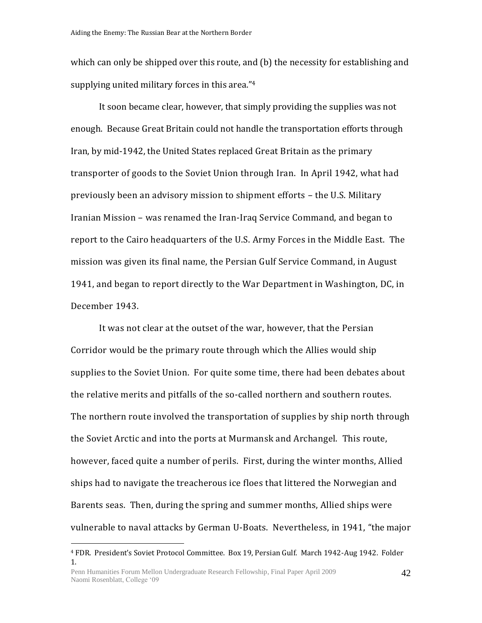which can only be shipped over this route, and (b) the necessity for establishing and supplying united military forces in this area."<sup>4</sup>

It soon became clear, however, that simply providing the supplies was not enough. Because Great Britain could not handle the transportation efforts through Iran, by mid-1942, the United States replaced Great Britain as the primary transporter of goods to the Soviet Union through Iran. In April 1942, what had previously been an advisory mission to shipment efforts – the U.S. Military Iranian Mission – was renamed the Iran-Iraq Service Command, and began to report to the Cairo headquarters of the U.S. Army Forces in the Middle East. The mission was given its final name, the Persian Gulf Service Command, in August 1941, and began to report directly to the War Department in Washington, DC, in December 1943.

It was not clear at the outset of the war, however, that the Persian Corridor would be the primary route through which the Allies would ship supplies to the Soviet Union. For quite some time, there had been debates about the relative merits and pitfalls of the so-called northern and southern routes. The northern route involved the transportation of supplies by ship north through the Soviet Arctic and into the ports at Murmansk and Archangel. This route, however, faced quite a number of perils. First, during the winter months, Allied ships had to navigate the treacherous ice floes that littered the Norwegian and Barents seas. Then, during the spring and summer months, Allied ships were vulnerable to naval attacks by German U-Boats. Nevertheless, in 1941, "the major

<sup>4</sup> FDR. President's Soviet Protocol Committee. Box 19, Persian Gulf. March 1942-Aug 1942. Folder 1.

Penn Humanities Forum Mellon Undergraduate Research Fellowship, Final Paper April 2009 Naomi Rosenblatt, College '09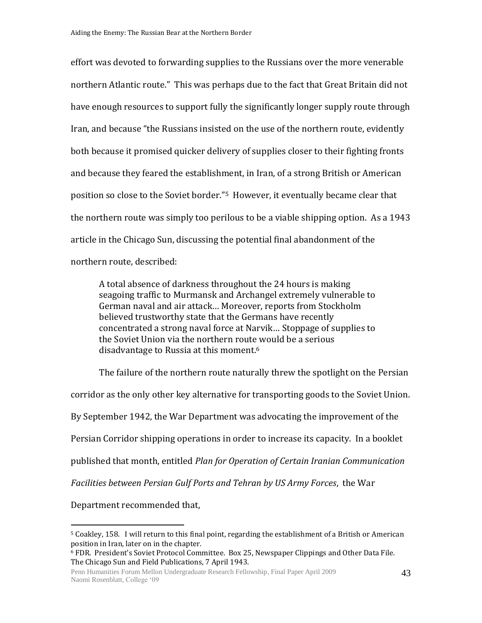effort was devoted to forwarding supplies to the Russians over the more venerable northern Atlantic route." This was perhaps due to the fact that Great Britain did not have enough resources to support fully the significantly longer supply route through Iran, and because "the Russians insisted on the use of the northern route, evidently both because it promised quicker delivery of supplies closer to their fighting fronts and because they feared the establishment, in Iran, of a strong British or American position so close to the Soviet border."5 However, it eventually became clear that the northern route was simply too perilous to be a viable shipping option. As a 1943 article in the Chicago Sun, discussing the potential final abandonment of the northern route, described:

A total absence of darkness throughout the 24 hours is making seagoing traffic to Murmansk and Archangel extremely vulnerable to German naval and air attack… Moreover, reports from Stockholm believed trustworthy state that the Germans have recently concentrated a strong naval force at Narvik… Stoppage of supplies to the Soviet Union via the northern route would be a serious disadvantage to Russia at this moment.<sup>6</sup>

The failure of the northern route naturally threw the spotlight on the Persian corridor as the only other key alternative for transporting goods to the Soviet Union. By September 1942, the War Department was advocating the improvement of the Persian Corridor shipping operations in order to increase its capacity. In a booklet published that month, entitled *Plan for Operation of Certain Iranian Communication Facilities between Persian Gulf Ports and Tehran by US Army Forces*, the War

Department recommended that,

<sup>5</sup> Coakley, 158. I will return to this final point, regarding the establishment of a British or American position in Iran, later on in the chapter.

<sup>6</sup> FDR. President's Soviet Protocol Committee. Box 25, Newspaper Clippings and Other Data File. The Chicago Sun and Field Publications, 7 April 1943.

Penn Humanities Forum Mellon Undergraduate Research Fellowship, Final Paper April 2009 Naomi Rosenblatt, College '09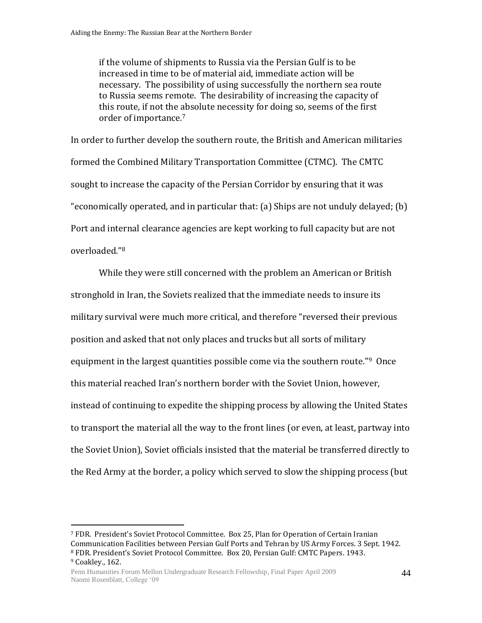if the volume of shipments to Russia via the Persian Gulf is to be increased in time to be of material aid, immediate action will be necessary. The possibility of using successfully the northern sea route to Russia seems remote. The desirability of increasing the capacity of this route, if not the absolute necessity for doing so, seems of the first order of importance.<sup>7</sup>

In order to further develop the southern route, the British and American militaries formed the Combined Military Transportation Committee (CTMC). The CMTC sought to increase the capacity of the Persian Corridor by ensuring that it was "economically operated, and in particular that: (a) Ships are not unduly delayed; (b) Port and internal clearance agencies are kept working to full capacity but are not overloaded."<sup>8</sup>

While they were still concerned with the problem an American or British stronghold in Iran, the Soviets realized that the immediate needs to insure its military survival were much more critical, and therefore "reversed their previous position and asked that not only places and trucks but all sorts of military equipment in the largest quantities possible come via the southern route."<sup>9</sup> Once this material reached Iran's northern border with the Soviet Union, however, instead of continuing to expedite the shipping process by allowing the United States to transport the material all the way to the front lines (or even, at least, partway into the Soviet Union), Soviet officials insisted that the material be transferred directly to the Red Army at the border, a policy which served to slow the shipping process (but

<sup>7</sup> FDR. President's Soviet Protocol Committee. Box 25, Plan for Operation of Certain Iranian Communication Facilities between Persian Gulf Ports and Tehran by US Army Forces. 3 Sept. 1942. <sup>8</sup> FDR. President's Soviet Protocol Committee. Box 20, Persian Gulf: CMTC Papers. 1943.

<sup>9</sup> Coakley., 162.

Penn Humanities Forum Mellon Undergraduate Research Fellowship, Final Paper April 2009 Naomi Rosenblatt, College '09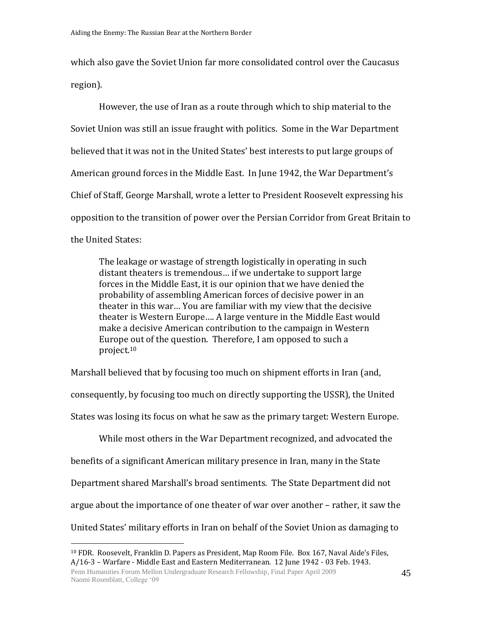which also gave the Soviet Union far more consolidated control over the Caucasus region).

However, the use of Iran as a route through which to ship material to the Soviet Union was still an issue fraught with politics. Some in the War Department believed that it was not in the United States' best interests to put large groups of American ground forces in the Middle East. In June 1942, the War Department's Chief of Staff, George Marshall, wrote a letter to President Roosevelt expressing his opposition to the transition of power over the Persian Corridor from Great Britain to the United States:

The leakage or wastage of strength logistically in operating in such distant theaters is tremendous… if we undertake to support large forces in the Middle East, it is our opinion that we have denied the probability of assembling American forces of decisive power in an theater in this war… You are familiar with my view that the decisive theater is Western Europe…. A large venture in the Middle East would make a decisive American contribution to the campaign in Western Europe out of the question. Therefore, I am opposed to such a project.<sup>10</sup>

Marshall believed that by focusing too much on shipment efforts in Iran (and, consequently, by focusing too much on directly supporting the USSR), the United States was losing its focus on what he saw as the primary target: Western Europe.

While most others in the War Department recognized, and advocated the benefits of a significant American military presence in Iran, many in the State Department shared Marshall's broad sentiments. The State Department did not argue about the importance of one theater of war over another – rather, it saw the United States' military efforts in Iran on behalf of the Soviet Union as damaging to

<sup>10</sup> FDR. Roosevelt, Franklin D. Papers as President, Map Room File. Box 167, Naval Aide's Files, A/16-3 – Warfare - Middle East and Eastern Mediterranean. 12 June 1942 - 03 Feb. 1943.

Penn Humanities Forum Mellon Undergraduate Research Fellowship, Final Paper April 2009 Naomi Rosenblatt, College '09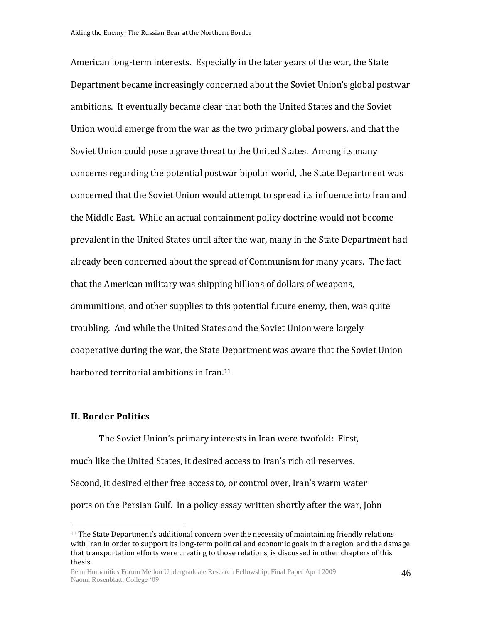American long-term interests. Especially in the later years of the war, the State Department became increasingly concerned about the Soviet Union's global postwar ambitions. It eventually became clear that both the United States and the Soviet Union would emerge from the war as the two primary global powers, and that the Soviet Union could pose a grave threat to the United States. Among its many concerns regarding the potential postwar bipolar world, the State Department was concerned that the Soviet Union would attempt to spread its influence into Iran and the Middle East. While an actual containment policy doctrine would not become prevalent in the United States until after the war, many in the State Department had already been concerned about the spread of Communism for many years. The fact that the American military was shipping billions of dollars of weapons, ammunitions, and other supplies to this potential future enemy, then, was quite troubling. And while the United States and the Soviet Union were largely cooperative during the war, the State Department was aware that the Soviet Union harbored territorial ambitions in Iran.<sup>11</sup>

## **II. Border Politics**

 $\overline{a}$ 

The Soviet Union's primary interests in Iran were twofold: First, much like the United States, it desired access to Iran's rich oil reserves. Second, it desired either free access to, or control over, Iran's warm water ports on the Persian Gulf. In a policy essay written shortly after the war, John

<sup>11</sup> The State Department's additional concern over the necessity of maintaining friendly relations with Iran in order to support its long-term political and economic goals in the region, and the damage that transportation efforts were creating to those relations, is discussed in other chapters of this thesis.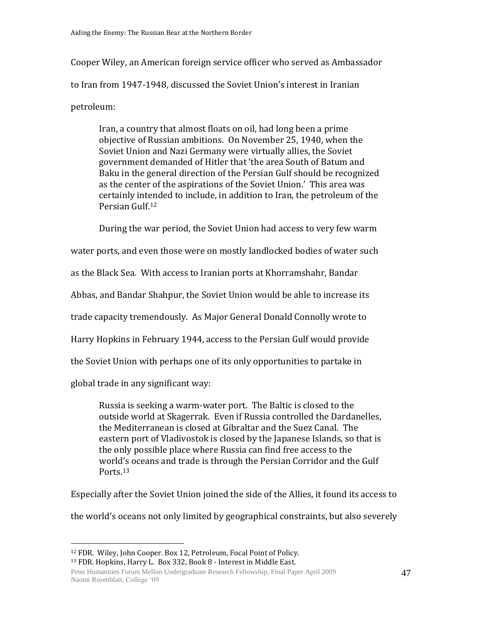Cooper Wiley, an American foreign service officer who served as Ambassador to Iran from 1947-1948, discussed the Soviet Union's interest in Iranian petroleum:

Iran, a country that almost floats on oil, had long been a prime objective of Russian ambitions. On November 25, 1940, when the Soviet Union and Nazi Germany were virtually allies, the Soviet government demanded of Hitler that 'the area South of Batum and Baku in the general direction of the Persian Gulf should be recognized as the center of the aspirations of the Soviet Union.' This area was certainly intended to include, in addition to Iran, the petroleum of the Persian Gulf.<sup>12</sup>

During the war period, the Soviet Union had access to very few warm

water ports, and even those were on mostly landlocked bodies of water such

as the Black Sea. With access to Iranian ports at Khorramshahr, Bandar

Abbas, and Bandar Shahpur, the Soviet Union would be able to increase its

trade capacity tremendously. As Major General Donald Connolly wrote to

Harry Hopkins in February 1944, access to the Persian Gulf would provide

the Soviet Union with perhaps one of its only opportunities to partake in

global trade in any significant way:

 $\overline{a}$ 

Russia is seeking a warm-water port. The Baltic is closed to the outside world at Skagerrak. Even if Russia controlled the Dardanelles, the Mediterranean is closed at Gibraltar and the Suez Canal. The eastern port of Vladivostok is closed by the Japanese Islands, so that is the only possible place where Russia can find free access to the world's oceans and trade is through the Persian Corridor and the Gulf Ports.<sup>13</sup>

Especially after the Soviet Union joined the side of the Allies, it found its access to

the world's oceans not only limited by geographical constraints, but also severely

<sup>13</sup> FDR. Hopkins, Harry L. Box 332, Book 8 - Interest in Middle East.

Penn Humanities Forum Mellon Undergraduate Research Fellowship, Final Paper April 2009 Naomi Rosenblatt, College '09

<sup>12</sup> FDR. Wiley, John Cooper. Box 12, Petroleum, Focal Point of Policy.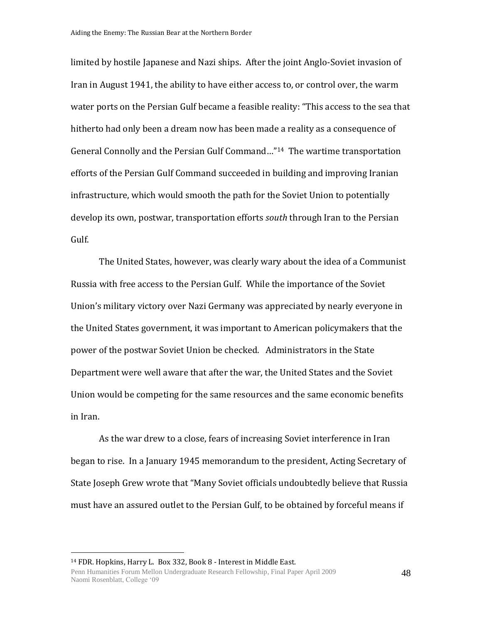limited by hostile Japanese and Nazi ships. After the joint Anglo-Soviet invasion of Iran in August 1941, the ability to have either access to, or control over, the warm water ports on the Persian Gulf became a feasible reality: "This access to the sea that hitherto had only been a dream now has been made a reality as a consequence of General Connolly and the Persian Gulf Command…"14 The wartime transportation efforts of the Persian Gulf Command succeeded in building and improving Iranian infrastructure, which would smooth the path for the Soviet Union to potentially develop its own, postwar, transportation efforts *south* through Iran to the Persian Gulf.

The United States, however, was clearly wary about the idea of a Communist Russia with free access to the Persian Gulf. While the importance of the Soviet Union's military victory over Nazi Germany was appreciated by nearly everyone in the United States government, it was important to American policymakers that the power of the postwar Soviet Union be checked. Administrators in the State Department were well aware that after the war, the United States and the Soviet Union would be competing for the same resources and the same economic benefits in Iran.

As the war drew to a close, fears of increasing Soviet interference in Iran began to rise. In a January 1945 memorandum to the president, Acting Secretary of State Joseph Grew wrote that "Many Soviet officials undoubtedly believe that Russia must have an assured outlet to the Persian Gulf, to be obtained by forceful means if

<sup>14</sup> FDR. Hopkins, Harry L. Box 332, Book 8 - Interest in Middle East.

Penn Humanities Forum Mellon Undergraduate Research Fellowship, Final Paper April 2009 Naomi Rosenblatt, College '09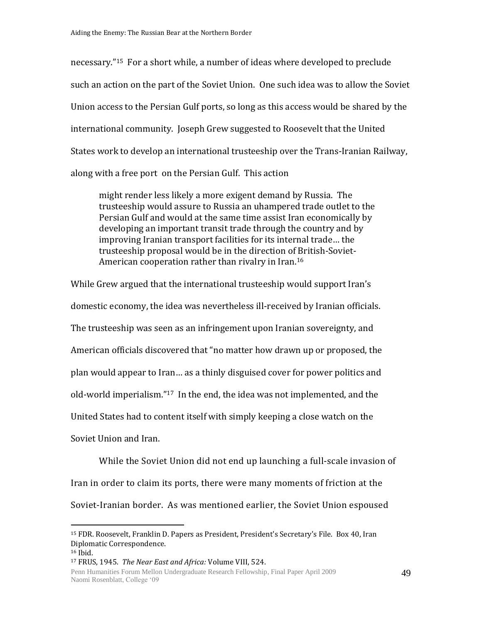necessary."15 For a short while, a number of ideas where developed to preclude such an action on the part of the Soviet Union. One such idea was to allow the Soviet Union access to the Persian Gulf ports, so long as this access would be shared by the international community. Joseph Grew suggested to Roosevelt that the United States work to develop an international trusteeship over the Trans-Iranian Railway, along with a free port on the Persian Gulf. This action

might render less likely a more exigent demand by Russia. The trusteeship would assure to Russia an uhampered trade outlet to the Persian Gulf and would at the same time assist Iran economically by developing an important transit trade through the country and by improving Iranian transport facilities for its internal trade… the trusteeship proposal would be in the direction of British-Soviet-American cooperation rather than rivalry in Iran.<sup>16</sup>

While Grew argued that the international trusteeship would support Iran's domestic economy, the idea was nevertheless ill-received by Iranian officials. The trusteeship was seen as an infringement upon Iranian sovereignty, and American officials discovered that "no matter how drawn up or proposed, the plan would appear to Iran… as a thinly disguised cover for power politics and old-world imperialism."17 In the end, the idea was not implemented, and the United States had to content itself with simply keeping a close watch on the Soviet Union and Iran.

While the Soviet Union did not end up launching a full-scale invasion of Iran in order to claim its ports, there were many moments of friction at the Soviet-Iranian border. As was mentioned earlier, the Soviet Union espoused

<sup>15</sup> FDR. Roosevelt, Franklin D. Papers as President, President's Secretary's File. Box 40, Iran Diplomatic Correspondence.

<sup>16</sup> Ibid.

<sup>17</sup> FRUS, 1945. *The Near East and Africa:* Volume VIII, 524.

Penn Humanities Forum Mellon Undergraduate Research Fellowship, Final Paper April 2009 Naomi Rosenblatt, College '09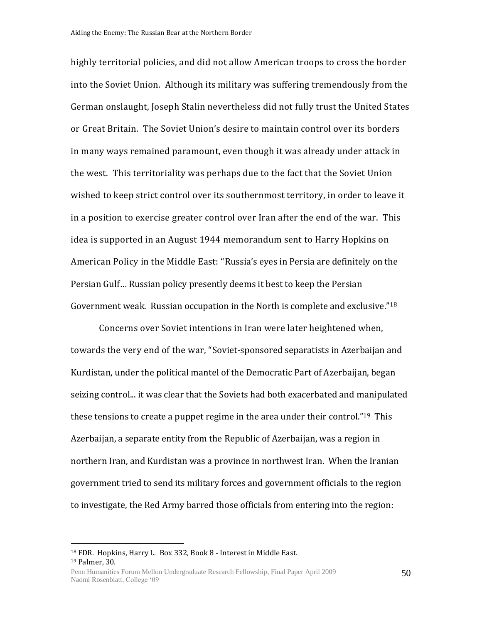highly territorial policies, and did not allow American troops to cross the border into the Soviet Union. Although its military was suffering tremendously from the German onslaught, Joseph Stalin nevertheless did not fully trust the United States or Great Britain. The Soviet Union's desire to maintain control over its borders in many ways remained paramount, even though it was already under attack in the west. This territoriality was perhaps due to the fact that the Soviet Union wished to keep strict control over its southernmost territory, in order to leave it in a position to exercise greater control over Iran after the end of the war. This idea is supported in an August 1944 memorandum sent to Harry Hopkins on American Policy in the Middle East: "Russia's eyes in Persia are definitely on the Persian Gulf… Russian policy presently deems it best to keep the Persian Government weak. Russian occupation in the North is complete and exclusive."<sup>18</sup>

Concerns over Soviet intentions in Iran were later heightened when, towards the very end of the war, "Soviet-sponsored separatists in Azerbaijan and Kurdistan, under the political mantel of the Democratic Part of Azerbaijan, began seizing control... it was clear that the Soviets had both exacerbated and manipulated these tensions to create a puppet regime in the area under their control."19 This Azerbaijan, a separate entity from the Republic of Azerbaijan, was a region in northern Iran, and Kurdistan was a province in northwest Iran. When the Iranian government tried to send its military forces and government officials to the region to investigate, the Red Army barred those officials from entering into the region:

<sup>18</sup> FDR. Hopkins, Harry L. Box 332, Book 8 - Interest in Middle East. <sup>19</sup> Palmer, 30.

Penn Humanities Forum Mellon Undergraduate Research Fellowship, Final Paper April 2009 Naomi Rosenblatt, College '09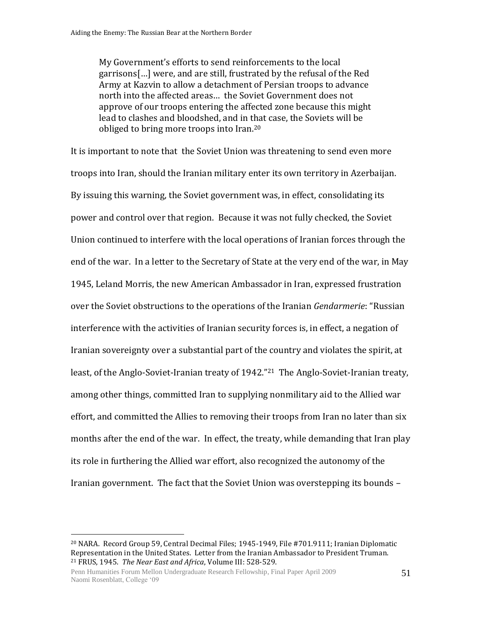My Government's efforts to send reinforcements to the local garrisons[…] were, and are still, frustrated by the refusal of the Red Army at Kazvin to allow a detachment of Persian troops to advance north into the affected areas… the Soviet Government does not approve of our troops entering the affected zone because this might lead to clashes and bloodshed, and in that case, the Soviets will be obliged to bring more troops into Iran.<sup>20</sup>

It is important to note that the Soviet Union was threatening to send even more troops into Iran, should the Iranian military enter its own territory in Azerbaijan. By issuing this warning, the Soviet government was, in effect, consolidating its power and control over that region. Because it was not fully checked, the Soviet Union continued to interfere with the local operations of Iranian forces through the end of the war. In a letter to the Secretary of State at the very end of the war, in May 1945, Leland Morris, the new American Ambassador in Iran, expressed frustration over the Soviet obstructions to the operations of the Iranian *Gendarmerie*: "Russian interference with the activities of Iranian security forces is, in effect, a negation of Iranian sovereignty over a substantial part of the country and violates the spirit, at least, of the Anglo-Soviet-Iranian treaty of 1942."<sup>21</sup> The Anglo-Soviet-Iranian treaty, among other things, committed Iran to supplying nonmilitary aid to the Allied war effort, and committed the Allies to removing their troops from Iran no later than six months after the end of the war. In effect, the treaty, while demanding that Iran play its role in furthering the Allied war effort, also recognized the autonomy of the Iranian government. The fact that the Soviet Union was overstepping its bounds –

<sup>20</sup> NARA. Record Group 59, Central Decimal Files; 1945-1949, File #701.9111; Iranian Diplomatic Representation in the United States. Letter from the Iranian Ambassador to President Truman. <sup>21</sup> FRUS, 1945. *The Near East and Africa*, Volume III: 528-529.

Penn Humanities Forum Mellon Undergraduate Research Fellowship, Final Paper April 2009 Naomi Rosenblatt, College '09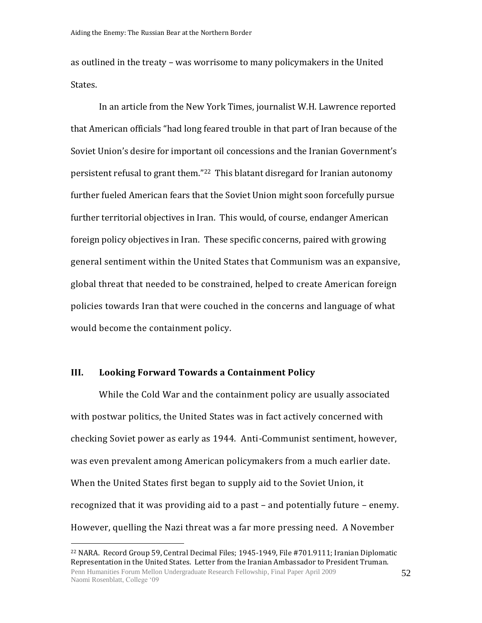as outlined in the treaty – was worrisome to many policymakers in the United States.

In an article from the New York Times, journalist W.H. Lawrence reported that American officials "had long feared trouble in that part of Iran because of the Soviet Union's desire for important oil concessions and the Iranian Government's persistent refusal to grant them."22 This blatant disregard for Iranian autonomy further fueled American fears that the Soviet Union might soon forcefully pursue further territorial objectives in Iran. This would, of course, endanger American foreign policy objectives in Iran. These specific concerns, paired with growing general sentiment within the United States that Communism was an expansive, global threat that needed to be constrained, helped to create American foreign policies towards Iran that were couched in the concerns and language of what would become the containment policy.

# **III. Looking Forward Towards a Containment Policy**

 $\overline{a}$ 

While the Cold War and the containment policy are usually associated with postwar politics, the United States was in fact actively concerned with checking Soviet power as early as 1944. Anti-Communist sentiment, however, was even prevalent among American policymakers from a much earlier date. When the United States first began to supply aid to the Soviet Union, it recognized that it was providing aid to a past – and potentially future – enemy. However, quelling the Nazi threat was a far more pressing need. A November

52

Penn Humanities Forum Mellon Undergraduate Research Fellowship, Final Paper April 2009 Naomi Rosenblatt, College '09 <sup>22</sup> NARA. Record Group 59, Central Decimal Files; 1945-1949, File #701.9111; Iranian Diplomatic Representation in the United States. Letter from the Iranian Ambassador to President Truman.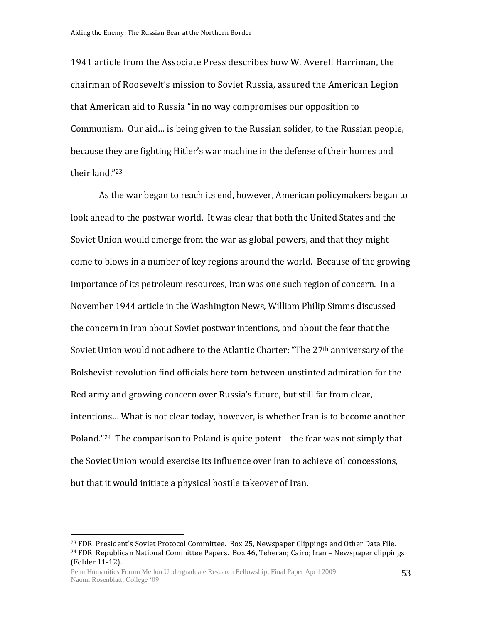1941 article from the Associate Press describes how W. Averell Harriman, the chairman of Roosevelt's mission to Soviet Russia, assured the American Legion that American aid to Russia "in no way compromises our opposition to Communism. Our aid… is being given to the Russian solider, to the Russian people, because they are fighting Hitler's war machine in the defense of their homes and their land."<sup>23</sup>

As the war began to reach its end, however, American policymakers began to look ahead to the postwar world. It was clear that both the United States and the Soviet Union would emerge from the war as global powers, and that they might come to blows in a number of key regions around the world. Because of the growing importance of its petroleum resources, Iran was one such region of concern. In a November 1944 article in the Washington News, William Philip Simms discussed the concern in Iran about Soviet postwar intentions, and about the fear that the Soviet Union would not adhere to the Atlantic Charter: "The 27<sup>th</sup> anniversary of the Bolshevist revolution find officials here torn between unstinted admiration for the Red army and growing concern over Russia's future, but still far from clear, intentions… What is not clear today, however, is whether Iran is to become another Poland."24 The comparison to Poland is quite potent – the fear was not simply that the Soviet Union would exercise its influence over Iran to achieve oil concessions, but that it would initiate a physical hostile takeover of Iran.

<sup>&</sup>lt;sup>23</sup> FDR. President's Soviet Protocol Committee. Box 25, Newspaper Clippings and Other Data File.  $24$  FDR. Republican National Committee Papers. Box 46, Teheran; Cairo; Iran – Newspaper clippings (Folder 11-12).

Penn Humanities Forum Mellon Undergraduate Research Fellowship, Final Paper April 2009 Naomi Rosenblatt, College '09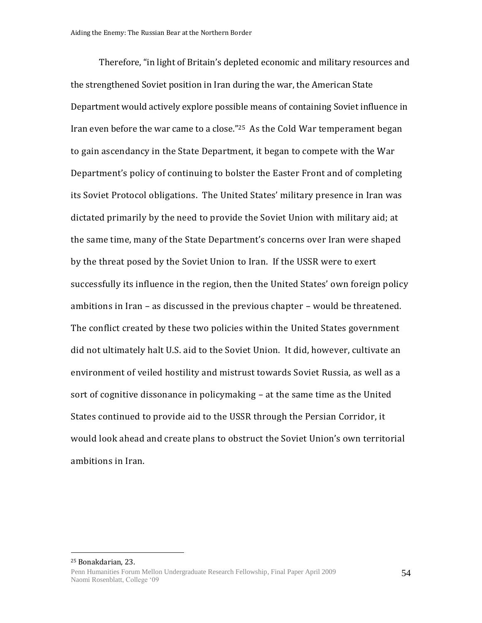Therefore, "in light of Britain's depleted economic and military resources and the strengthened Soviet position in Iran during the war, the American State Department would actively explore possible means of containing Soviet influence in Iran even before the war came to a close."25 As the Cold War temperament began to gain ascendancy in the State Department, it began to compete with the War Department's policy of continuing to bolster the Easter Front and of completing its Soviet Protocol obligations. The United States' military presence in Iran was dictated primarily by the need to provide the Soviet Union with military aid; at the same time, many of the State Department's concerns over Iran were shaped by the threat posed by the Soviet Union to Iran. If the USSR were to exert successfully its influence in the region, then the United States' own foreign policy ambitions in Iran – as discussed in the previous chapter – would be threatened. The conflict created by these two policies within the United States government did not ultimately halt U.S. aid to the Soviet Union. It did, however, cultivate an environment of veiled hostility and mistrust towards Soviet Russia, as well as a sort of cognitive dissonance in policymaking – at the same time as the United States continued to provide aid to the USSR through the Persian Corridor, it would look ahead and create plans to obstruct the Soviet Union's own territorial ambitions in Iran.

Penn Humanities Forum Mellon Undergraduate Research Fellowship, Final Paper April 2009 Naomi Rosenblatt, College '09 <sup>25</sup> Bonakdarian, 23.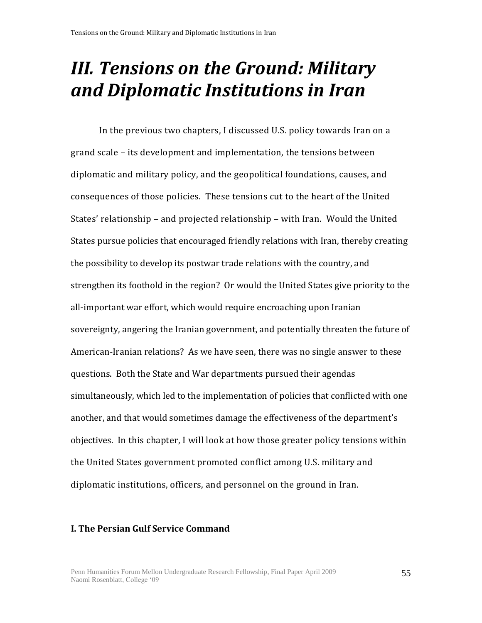# *III. Tensions on the Ground: Military and Diplomatic Institutions in Iran*

In the previous two chapters, I discussed U.S. policy towards Iran on a grand scale – its development and implementation, the tensions between diplomatic and military policy, and the geopolitical foundations, causes, and consequences of those policies. These tensions cut to the heart of the United States' relationship – and projected relationship – with Iran. Would the United States pursue policies that encouraged friendly relations with Iran, thereby creating the possibility to develop its postwar trade relations with the country, and strengthen its foothold in the region? Or would the United States give priority to the all-important war effort, which would require encroaching upon Iranian sovereignty, angering the Iranian government, and potentially threaten the future of American-Iranian relations? As we have seen, there was no single answer to these questions. Both the State and War departments pursued their agendas simultaneously, which led to the implementation of policies that conflicted with one another, and that would sometimes damage the effectiveness of the department's objectives. In this chapter, I will look at how those greater policy tensions within the United States government promoted conflict among U.S. military and diplomatic institutions, officers, and personnel on the ground in Iran.

### **I. The Persian Gulf Service Command**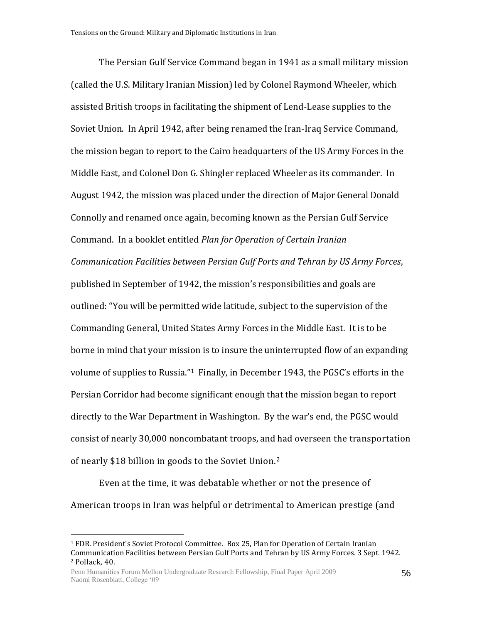The Persian Gulf Service Command began in 1941 as a small military mission (called the U.S. Military Iranian Mission) led by Colonel Raymond Wheeler, which assisted British troops in facilitating the shipment of Lend-Lease supplies to the Soviet Union. In April 1942, after being renamed the Iran-Iraq Service Command, the mission began to report to the Cairo headquarters of the US Army Forces in the Middle East, and Colonel Don G. Shingler replaced Wheeler as its commander. In August 1942, the mission was placed under the direction of Major General Donald Connolly and renamed once again, becoming known as the Persian Gulf Service Command. In a booklet entitled *Plan for Operation of Certain Iranian Communication Facilities between Persian Gulf Ports and Tehran by US Army Forces*, published in September of 1942, the mission's responsibilities and goals are outlined: "You will be permitted wide latitude, subject to the supervision of the Commanding General, United States Army Forces in the Middle East. It is to be borne in mind that your mission is to insure the uninterrupted flow of an expanding volume of supplies to Russia."1 Finally, in December 1943, the PGSC's efforts in the Persian Corridor had become significant enough that the mission began to report directly to the War Department in Washington. By the war's end, the PGSC would consist of nearly 30,000 noncombatant troops, and had overseen the transportation of nearly \$18 billion in goods to the Soviet Union.<sup>2</sup>

Even at the time, it was debatable whether or not the presence of American troops in Iran was helpful or detrimental to American prestige (and

<sup>1</sup> FDR. President's Soviet Protocol Committee. Box 25, Plan for Operation of Certain Iranian Communication Facilities between Persian Gulf Ports and Tehran by US Army Forces. 3 Sept. 1942. <sup>2</sup> Pollack, 40.

Penn Humanities Forum Mellon Undergraduate Research Fellowship, Final Paper April 2009 Naomi Rosenblatt, College '09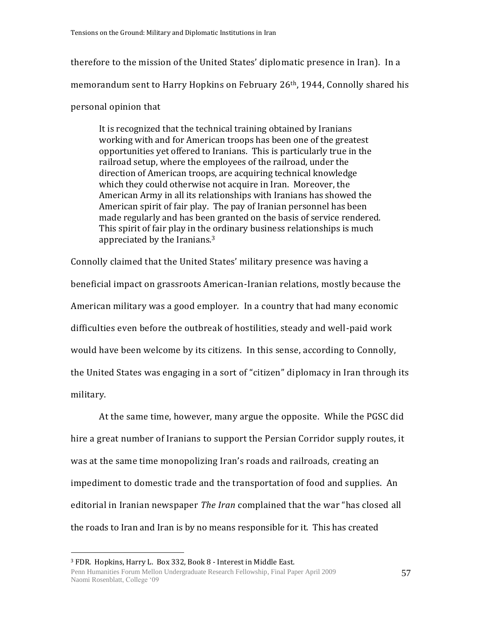therefore to the mission of the United States' diplomatic presence in Iran). In a memorandum sent to Harry Hopkins on February 26th, 1944, Connolly shared his

# personal opinion that

It is recognized that the technical training obtained by Iranians working with and for American troops has been one of the greatest opportunities yet offered to Iranians. This is particularly true in the railroad setup, where the employees of the railroad, under the direction of American troops, are acquiring technical knowledge which they could otherwise not acquire in Iran. Moreover, the American Army in all its relationships with Iranians has showed the American spirit of fair play. The pay of Iranian personnel has been made regularly and has been granted on the basis of service rendered. This spirit of fair play in the ordinary business relationships is much appreciated by the Iranians.<sup>3</sup>

Connolly claimed that the United States' military presence was having a beneficial impact on grassroots American-Iranian relations, mostly because the American military was a good employer. In a country that had many economic difficulties even before the outbreak of hostilities, steady and well-paid work would have been welcome by its citizens. In this sense, according to Connolly, the United States was engaging in a sort of "citizen" diplomacy in Iran through its military.

At the same time, however, many argue the opposite. While the PGSC did hire a great number of Iranians to support the Persian Corridor supply routes, it was at the same time monopolizing Iran's roads and railroads, creating an impediment to domestic trade and the transportation of food and supplies. An editorial in Iranian newspaper *The Iran* complained that the war "has closed all the roads to Iran and Iran is by no means responsible for it. This has created

<sup>3</sup> FDR. Hopkins, Harry L. Box 332, Book 8 - Interest in Middle East.

Penn Humanities Forum Mellon Undergraduate Research Fellowship, Final Paper April 2009 Naomi Rosenblatt, College '09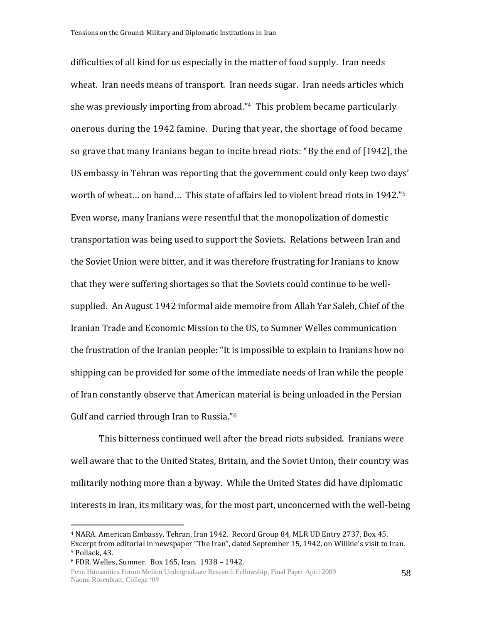difficulties of all kind for us especially in the matter of food supply. Iran needs wheat. Iran needs means of transport. Iran needs sugar. Iran needs articles which she was previously importing from abroad."4 This problem became particularly onerous during the 1942 famine. During that year, the shortage of food became so grave that many Iranians began to incite bread riots: "By the end of [1942], the US embassy in Tehran was reporting that the government could only keep two days' worth of wheat… on hand… This state of affairs led to violent bread riots in 1942."<sup>5</sup> Even worse, many Iranians were resentful that the monopolization of domestic transportation was being used to support the Soviets. Relations between Iran and the Soviet Union were bitter, and it was therefore frustrating for Iranians to know that they were suffering shortages so that the Soviets could continue to be wellsupplied. An August 1942 informal aide memoire from Allah Yar Saleh, Chief of the Iranian Trade and Economic Mission to the US, to Sumner Welles communication the frustration of the Iranian people: "It is impossible to explain to Iranians how no shipping can be provided for some of the immediate needs of Iran while the people of Iran constantly observe that American material is being unloaded in the Persian Gulf and carried through Iran to Russia."<sup>6</sup>

This bitterness continued well after the bread riots subsided. Iranians were well aware that to the United States, Britain, and the Soviet Union, their country was militarily nothing more than a byway. While the United States did have diplomatic interests in Iran, its military was, for the most part, unconcerned with the well-being

<sup>4</sup> NARA. American Embassy, Tehran, Iran 1942. Record Group 84, MLR UD Entry 2737, Box 45. Excerpt from editorial in newspaper "The Iran", dated September 15, 1942, on Willkie's visit to Iran. <sup>5</sup> Pollack, 43.

<sup>6</sup> FDR. Welles, Sumner. Box 165, Iran. 1938 – 1942.

Penn Humanities Forum Mellon Undergraduate Research Fellowship, Final Paper April 2009 Naomi Rosenblatt, College '09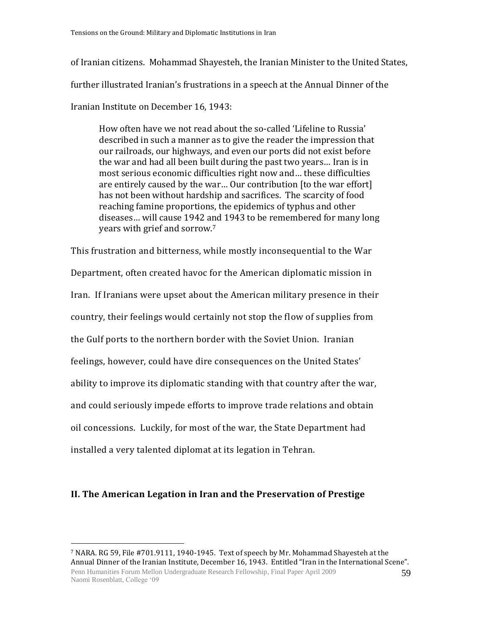of Iranian citizens. Mohammad Shayesteh, the Iranian Minister to the United States, further illustrated Iranian's frustrations in a speech at the Annual Dinner of the Iranian Institute on December 16, 1943:

How often have we not read about the so-called 'Lifeline to Russia' described in such a manner as to give the reader the impression that our railroads, our highways, and even our ports did not exist before the war and had all been built during the past two years… Iran is in most serious economic difficulties right now and… these difficulties are entirely caused by the war… Our contribution [to the war effort] has not been without hardship and sacrifices. The scarcity of food reaching famine proportions, the epidemics of typhus and other diseases… will cause 1942 and 1943 to be remembered for many long years with grief and sorrow.<sup>7</sup>

This frustration and bitterness, while mostly inconsequential to the War Department, often created havoc for the American diplomatic mission in Iran. If Iranians were upset about the American military presence in their country, their feelings would certainly not stop the flow of supplies from the Gulf ports to the northern border with the Soviet Union. Iranian feelings, however, could have dire consequences on the United States' ability to improve its diplomatic standing with that country after the war, and could seriously impede efforts to improve trade relations and obtain oil concessions. Luckily, for most of the war, the State Department had installed a very talented diplomat at its legation in Tehran.

# **II. The American Legation in Iran and the Preservation of Prestige**

Penn Humanities Forum Mellon Undergraduate Research Fellowship, Final Paper April 2009 Naomi Rosenblatt, College '09 59 <sup>7</sup> NARA. RG 59, File #701.9111, 1940-1945. Text of speech by Mr. Mohammad Shayesteh at the Annual Dinner of the Iranian Institute, December 16, 1943. Entitled "Iran in the International Scene".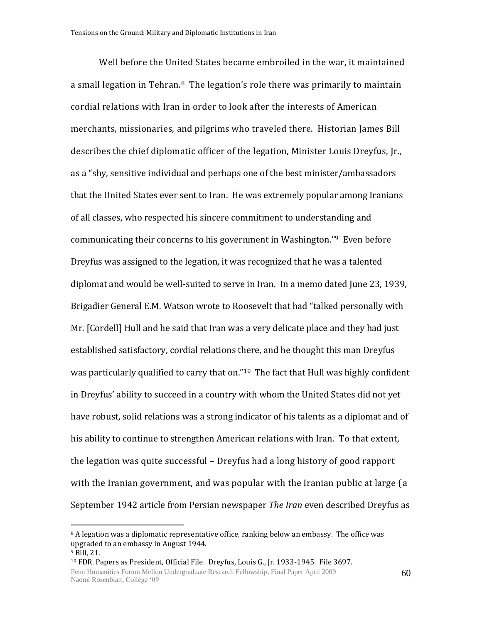Well before the United States became embroiled in the war, it maintained a small legation in Tehran.<sup>8</sup> The legation's role there was primarily to maintain cordial relations with Iran in order to look after the interests of American merchants, missionaries, and pilgrims who traveled there. Historian James Bill describes the chief diplomatic officer of the legation, Minister Louis Dreyfus, Jr., as a "shy, sensitive individual and perhaps one of the best minister/ambassadors that the United States ever sent to Iran. He was extremely popular among Iranians of all classes, who respected his sincere commitment to understanding and communicating their concerns to his government in Washington."9 Even before Dreyfus was assigned to the legation, it was recognized that he was a talented diplomat and would be well-suited to serve in Iran. In a memo dated June 23, 1939, Brigadier General E.M. Watson wrote to Roosevelt that had "talked personally with Mr. [Cordell] Hull and he said that Iran was a very delicate place and they had just established satisfactory, cordial relations there, and he thought this man Dreyfus was particularly qualified to carry that on."10 The fact that Hull was highly confident in Dreyfus' ability to succeed in a country with whom the United States did not yet have robust, solid relations was a strong indicator of his talents as a diplomat and of his ability to continue to strengthen American relations with Iran. To that extent, the legation was quite successful – Dreyfus had a long history of good rapport with the Iranian government, and was popular with the Iranian public at large (a September 1942 article from Persian newspaper *The Iran* even described Dreyfus as

 $8$  A legation was a diplomatic representative office, ranking below an embassy. The office was upgraded to an embassy in August 1944.

<sup>9</sup> Bill, 21.

<sup>10</sup> FDR. Papers as President, Official File. Dreyfus, Louis G., Jr. 1933-1945. File 3697.

Penn Humanities Forum Mellon Undergraduate Research Fellowship, Final Paper April 2009 Naomi Rosenblatt, College '09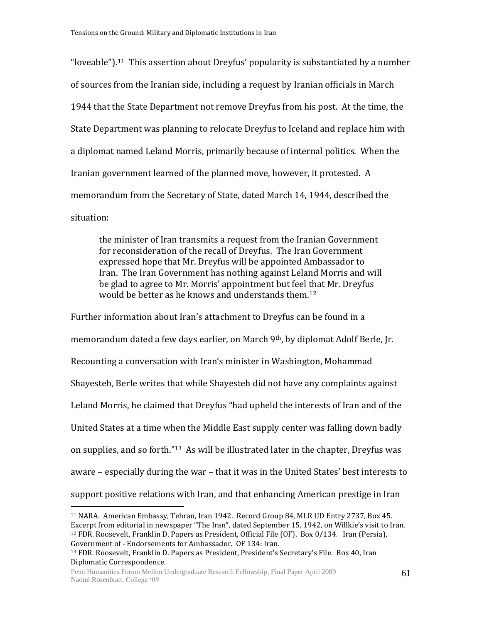"loveable").<sup>11</sup> This assertion about Dreyfus' popularity is substantiated by a number of sources from the Iranian side, including a request by Iranian officials in March 1944 that the State Department not remove Dreyfus from his post. At the time, the State Department was planning to relocate Dreyfus to Iceland and replace him with a diplomat named Leland Morris, primarily because of internal politics. When the Iranian government learned of the planned move, however, it protested. A memorandum from the Secretary of State, dated March 14, 1944, described the situation:

the minister of Iran transmits a request from the Iranian Government for reconsideration of the recall of Dreyfus. The Iran Government expressed hope that Mr. Dreyfus will be appointed Ambassador to Iran. The Iran Government has nothing against Leland Morris and will be glad to agree to Mr. Morris' appointment but feel that Mr. Dreyfus would be better as he knows and understands them.<sup>12</sup>

Further information about Iran's attachment to Dreyfus can be found in a memorandum dated a few days earlier, on March 9th, by diplomat Adolf Berle, Jr. Recounting a conversation with Iran's minister in Washington, Mohammad Shayesteh, Berle writes that while Shayesteh did not have any complaints against Leland Morris, he claimed that Dreyfus "had upheld the interests of Iran and of the United States at a time when the Middle East supply center was falling down badly on supplies, and so forth."13 As will be illustrated later in the chapter, Dreyfus was aware – especially during the war – that it was in the United States' best interests to support positive relations with Iran, and that enhancing American prestige in Iran

<sup>11</sup> NARA. American Embassy, Tehran, Iran 1942. Record Group 84, MLR UD Entry 2737, Box 45. Excerpt from editorial in newspaper "The Iran", dated September 15, 1942, on Willkie's visit to Iran. <sup>12</sup> FDR. Roosevelt, Franklin D. Papers as President, Official File (OF). Box 0/134. Iran (Persia), Government of - Endorsements for Ambassador. OF 134: Iran.

<sup>13</sup> FDR. Roosevelt, Franklin D. Papers as President, President's Secretary's File. Box 40, Iran Diplomatic Correspondence.

Penn Humanities Forum Mellon Undergraduate Research Fellowship, Final Paper April 2009 Naomi Rosenblatt, College '09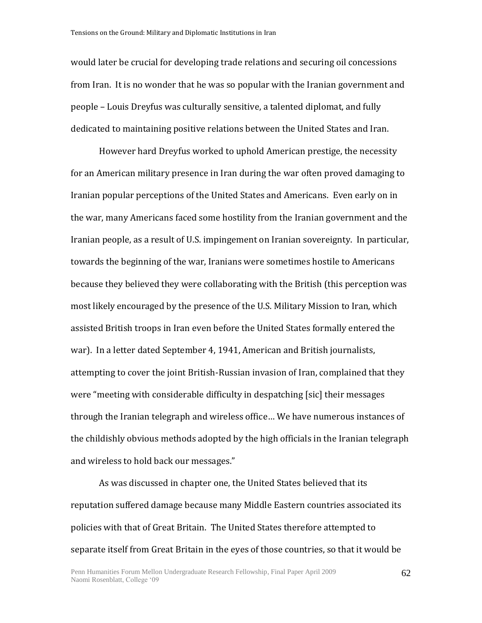would later be crucial for developing trade relations and securing oil concessions from Iran. It is no wonder that he was so popular with the Iranian government and people – Louis Dreyfus was culturally sensitive, a talented diplomat, and fully dedicated to maintaining positive relations between the United States and Iran.

However hard Dreyfus worked to uphold American prestige, the necessity for an American military presence in Iran during the war often proved damaging to Iranian popular perceptions of the United States and Americans. Even early on in the war, many Americans faced some hostility from the Iranian government and the Iranian people, as a result of U.S. impingement on Iranian sovereignty. In particular, towards the beginning of the war, Iranians were sometimes hostile to Americans because they believed they were collaborating with the British (this perception was most likely encouraged by the presence of the U.S. Military Mission to Iran, which assisted British troops in Iran even before the United States formally entered the war). In a letter dated September 4, 1941, American and British journalists, attempting to cover the joint British-Russian invasion of Iran, complained that they were "meeting with considerable difficulty in despatching [sic] their messages through the Iranian telegraph and wireless office… We have numerous instances of the childishly obvious methods adopted by the high officials in the Iranian telegraph and wireless to hold back our messages."

As was discussed in chapter one, the United States believed that its reputation suffered damage because many Middle Eastern countries associated its policies with that of Great Britain. The United States therefore attempted to separate itself from Great Britain in the eyes of those countries, so that it would be

62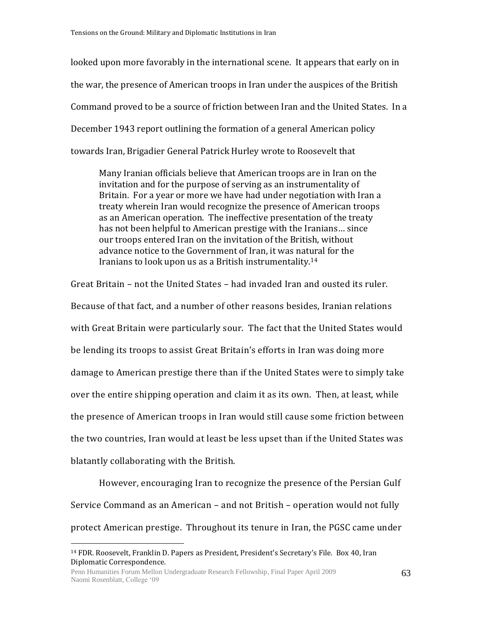looked upon more favorably in the international scene. It appears that early on in the war, the presence of American troops in Iran under the auspices of the British Command proved to be a source of friction between Iran and the United States. In a December 1943 report outlining the formation of a general American policy towards Iran, Brigadier General Patrick Hurley wrote to Roosevelt that

Many Iranian officials believe that American troops are in Iran on the invitation and for the purpose of serving as an instrumentality of Britain. For a year or more we have had under negotiation with Iran a treaty wherein Iran would recognize the presence of American troops as an American operation. The ineffective presentation of the treaty has not been helpful to American prestige with the Iranians… since our troops entered Iran on the invitation of the British, without advance notice to the Government of Iran, it was natural for the Iranians to look upon us as a British instrumentality.<sup>14</sup>

Great Britain – not the United States – had invaded Iran and ousted its ruler. Because of that fact, and a number of other reasons besides, Iranian relations with Great Britain were particularly sour. The fact that the United States would be lending its troops to assist Great Britain's efforts in Iran was doing more damage to American prestige there than if the United States were to simply take over the entire shipping operation and claim it as its own. Then, at least, while the presence of American troops in Iran would still cause some friction between the two countries, Iran would at least be less upset than if the United States was blatantly collaborating with the British.

However, encouraging Iran to recognize the presence of the Persian Gulf Service Command as an American – and not British – operation would not fully protect American prestige. Throughout its tenure in Iran, the PGSC came under

<sup>14</sup> FDR. Roosevelt, Franklin D. Papers as President, President's Secretary's File. Box 40, Iran Diplomatic Correspondence.

Penn Humanities Forum Mellon Undergraduate Research Fellowship, Final Paper April 2009 Naomi Rosenblatt, College '09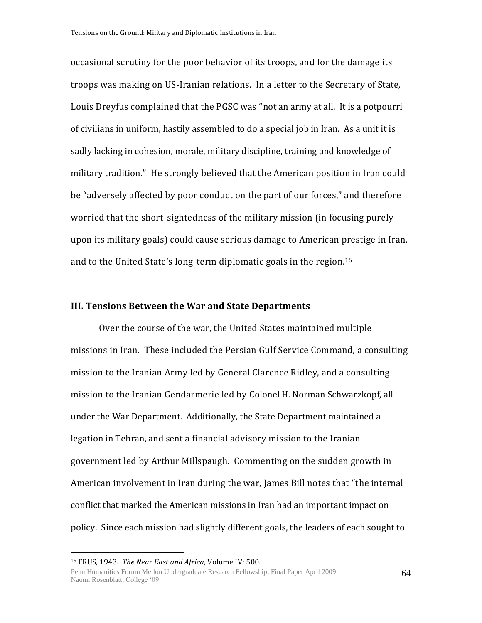occasional scrutiny for the poor behavior of its troops, and for the damage its troops was making on US-Iranian relations. In a letter to the Secretary of State, Louis Dreyfus complained that the PGSC was "not an army at all. It is a potpourri of civilians in uniform, hastily assembled to do a special job in Iran. As a unit it is sadly lacking in cohesion, morale, military discipline, training and knowledge of military tradition." He strongly believed that the American position in Iran could be "adversely affected by poor conduct on the part of our forces," and therefore worried that the short-sightedness of the military mission (in focusing purely upon its military goals) could cause serious damage to American prestige in Iran, and to the United State's long-term diplomatic goals in the region.<sup>15</sup>

#### **III. Tensions Between the War and State Departments**

Over the course of the war, the United States maintained multiple missions in Iran. These included the Persian Gulf Service Command, a consulting mission to the Iranian Army led by General Clarence Ridley, and a consulting mission to the Iranian Gendarmerie led by Colonel H. Norman Schwarzkopf, all under the War Department. Additionally, the State Department maintained a legation in Tehran, and sent a financial advisory mission to the Iranian government led by Arthur Millspaugh. Commenting on the sudden growth in American involvement in Iran during the war, James Bill notes that "the internal conflict that marked the American missions in Iran had an important impact on policy. Since each mission had slightly different goals, the leaders of each sought to

<sup>15</sup> FRUS, 1943. *The Near East and Africa*, Volume IV: 500.

Penn Humanities Forum Mellon Undergraduate Research Fellowship, Final Paper April 2009 Naomi Rosenblatt, College '09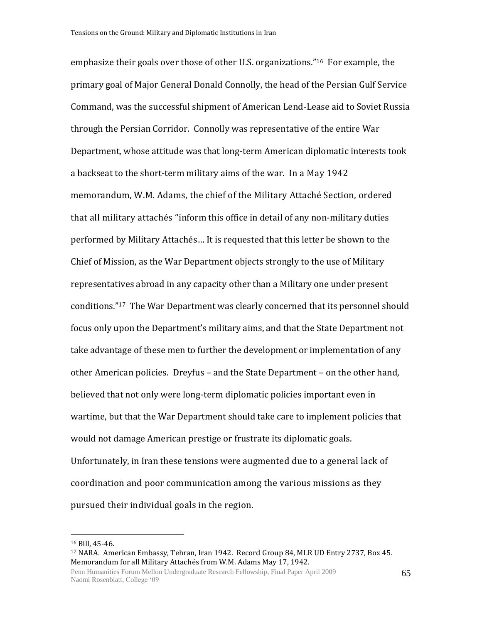emphasize their goals over those of other U.S. organizations."16 For example, the primary goal of Major General Donald Connolly, the head of the Persian Gulf Service Command, was the successful shipment of American Lend-Lease aid to Soviet Russia through the Persian Corridor. Connolly was representative of the entire War Department, whose attitude was that long-term American diplomatic interests took a backseat to the short-term military aims of the war. In a May 1942 memorandum, W.M. Adams, the chief of the Military Attaché Section, ordered that all military attachés "inform this office in detail of any non-military duties performed by Military Attachés… It is requested that this letter be shown to the Chief of Mission, as the War Department objects strongly to the use of Military representatives abroad in any capacity other than a Military one under present conditions."17 The War Department was clearly concerned that its personnel should focus only upon the Department's military aims, and that the State Department not take advantage of these men to further the development or implementation of any other American policies. Dreyfus – and the State Department – on the other hand, believed that not only were long-term diplomatic policies important even in wartime, but that the War Department should take care to implement policies that would not damage American prestige or frustrate its diplomatic goals. Unfortunately, in Iran these tensions were augmented due to a general lack of coordination and poor communication among the various missions as they pursued their individual goals in the region.

<sup>16</sup> Bill, 45-46.

<sup>17</sup> NARA. American Embassy, Tehran, Iran 1942. Record Group 84, MLR UD Entry 2737, Box 45. Memorandum for all Military Attachés from W.M. Adams May 17, 1942.

Penn Humanities Forum Mellon Undergraduate Research Fellowship, Final Paper April 2009 Naomi Rosenblatt, College '09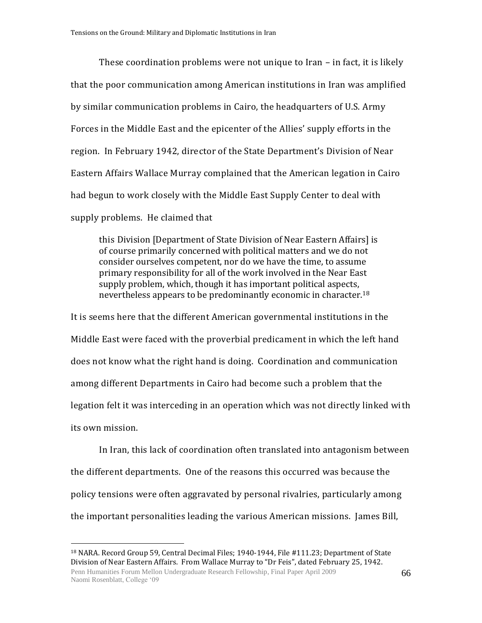These coordination problems were not unique to Iran – in fact, it is likely that the poor communication among American institutions in Iran was amplified by similar communication problems in Cairo, the headquarters of U.S. Army Forces in the Middle East and the epicenter of the Allies' supply efforts in the region. In February 1942, director of the State Department's Division of Near Eastern Affairs Wallace Murray complained that the American legation in Cairo had begun to work closely with the Middle East Supply Center to deal with supply problems. He claimed that

this Division [Department of State Division of Near Eastern Affairs] is of course primarily concerned with political matters and we do not consider ourselves competent, nor do we have the time, to assume primary responsibility for all of the work involved in the Near East supply problem, which, though it has important political aspects, nevertheless appears to be predominantly economic in character.<sup>18</sup>

It is seems here that the different American governmental institutions in the Middle East were faced with the proverbial predicament in which the left hand does not know what the right hand is doing. Coordination and communication among different Departments in Cairo had become such a problem that the legation felt it was interceding in an operation which was not directly linked with its own mission.

In Iran, this lack of coordination often translated into antagonism between the different departments. One of the reasons this occurred was because the policy tensions were often aggravated by personal rivalries, particularly among the important personalities leading the various American missions. James Bill,

<sup>&</sup>lt;sup>18</sup> NARA. Record Group 59, Central Decimal Files; 1940-1944, File #111.23; Department of State Division of Near Eastern Affairs. From Wallace Murray to "Dr Feis", dated February 25, 1942.

Penn Humanities Forum Mellon Undergraduate Research Fellowship, Final Paper April 2009 Naomi Rosenblatt, College '09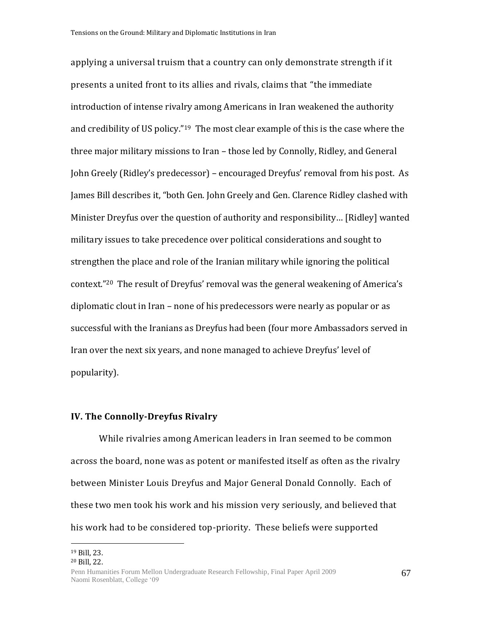applying a universal truism that a country can only demonstrate strength if it presents a united front to its allies and rivals, claims that "the immediate introduction of intense rivalry among Americans in Iran weakened the authority and credibility of US policy."19 The most clear example of this is the case where the three major military missions to Iran – those led by Connolly, Ridley, and General John Greely (Ridley's predecessor) – encouraged Dreyfus' removal from his post. As James Bill describes it, "both Gen. John Greely and Gen. Clarence Ridley clashed with Minister Dreyfus over the question of authority and responsibility… [Ridley] wanted military issues to take precedence over political considerations and sought to strengthen the place and role of the Iranian military while ignoring the political context."<sup>20</sup> The result of Dreyfus' removal was the general weakening of America's diplomatic clout in Iran – none of his predecessors were nearly as popular or as successful with the Iranians as Dreyfus had been (four more Ambassadors served in Iran over the next six years, and none managed to achieve Dreyfus' level of popularity).

## **IV. The Connolly-Dreyfus Rivalry**

While rivalries among American leaders in Iran seemed to be common across the board, none was as potent or manifested itself as often as the rivalry between Minister Louis Dreyfus and Major General Donald Connolly. Each of these two men took his work and his mission very seriously, and believed that his work had to be considered top-priority. These beliefs were supported

 $\overline{a}$ 

67

<sup>19</sup> Bill, 23.

<sup>20</sup> Bill, 22.

Penn Humanities Forum Mellon Undergraduate Research Fellowship, Final Paper April 2009 Naomi Rosenblatt, College '09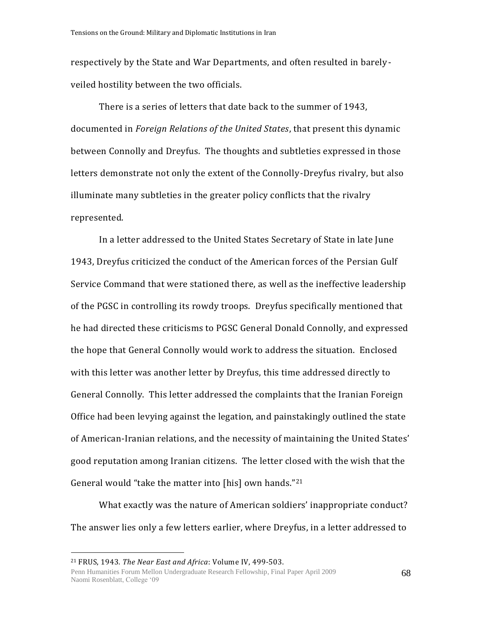respectively by the State and War Departments, and often resulted in barelyveiled hostility between the two officials.

There is a series of letters that date back to the summer of 1943, documented in *Foreign Relations of the United States*, that present this dynamic between Connolly and Dreyfus. The thoughts and subtleties expressed in those letters demonstrate not only the extent of the Connolly-Dreyfus rivalry, but also illuminate many subtleties in the greater policy conflicts that the rivalry represented.

In a letter addressed to the United States Secretary of State in late June 1943, Dreyfus criticized the conduct of the American forces of the Persian Gulf Service Command that were stationed there, as well as the ineffective leadership of the PGSC in controlling its rowdy troops. Dreyfus specifically mentioned that he had directed these criticisms to PGSC General Donald Connolly, and expressed the hope that General Connolly would work to address the situation. Enclosed with this letter was another letter by Dreyfus, this time addressed directly to General Connolly. This letter addressed the complaints that the Iranian Foreign Office had been levying against the legation, and painstakingly outlined the state of American-Iranian relations, and the necessity of maintaining the United States' good reputation among Iranian citizens. The letter closed with the wish that the General would "take the matter into [his] own hands."<sup>21</sup>

What exactly was the nature of American soldiers' inappropriate conduct? The answer lies only a few letters earlier, where Dreyfus, in a letter addressed to

<sup>21</sup> FRUS, 1943*. The Near East and Africa*: Volume IV, 499-503.

Penn Humanities Forum Mellon Undergraduate Research Fellowship, Final Paper April 2009 Naomi Rosenblatt, College '09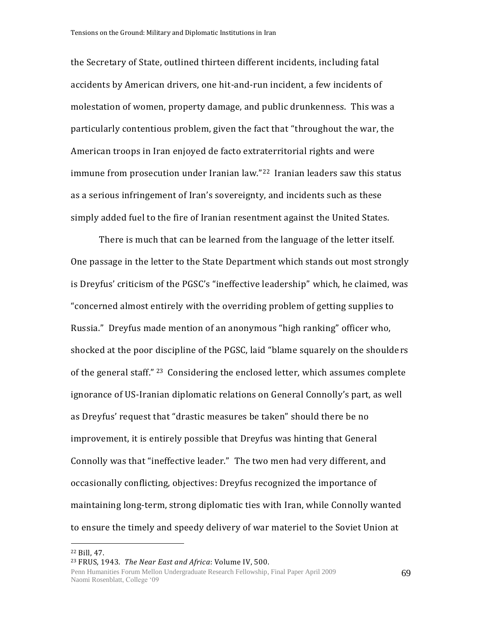the Secretary of State, outlined thirteen different incidents, including fatal accidents by American drivers, one hit-and-run incident, a few incidents of molestation of women, property damage, and public drunkenness. This was a particularly contentious problem, given the fact that "throughout the war, the American troops in Iran enjoyed de facto extraterritorial rights and were immune from prosecution under Iranian law."<sup>22</sup> Iranian leaders saw this status as a serious infringement of Iran's sovereignty, and incidents such as these simply added fuel to the fire of Iranian resentment against the United States.

There is much that can be learned from the language of the letter itself. One passage in the letter to the State Department which stands out most strongly is Dreyfus' criticism of the PGSC's "ineffective leadership" which, he claimed, was "concerned almost entirely with the overriding problem of getting supplies to Russia." Dreyfus made mention of an anonymous "high ranking" officer who, shocked at the poor discipline of the PGSC, laid "blame squarely on the shoulders of the general staff." <sup>23</sup> Considering the enclosed letter, which assumes complete ignorance of US-Iranian diplomatic relations on General Connolly's part, as well as Dreyfus' request that "drastic measures be taken" should there be no improvement, it is entirely possible that Dreyfus was hinting that General Connolly was that "ineffective leader." The two men had very different, and occasionally conflicting, objectives: Dreyfus recognized the importance of maintaining long-term, strong diplomatic ties with Iran, while Connolly wanted to ensure the timely and speedy delivery of war materiel to the Soviet Union at

<sup>22</sup> Bill, 47.

<sup>23</sup> FRUS, 1943. *The Near East and Africa*: Volume IV, 500.

Penn Humanities Forum Mellon Undergraduate Research Fellowship, Final Paper April 2009 Naomi Rosenblatt, College '09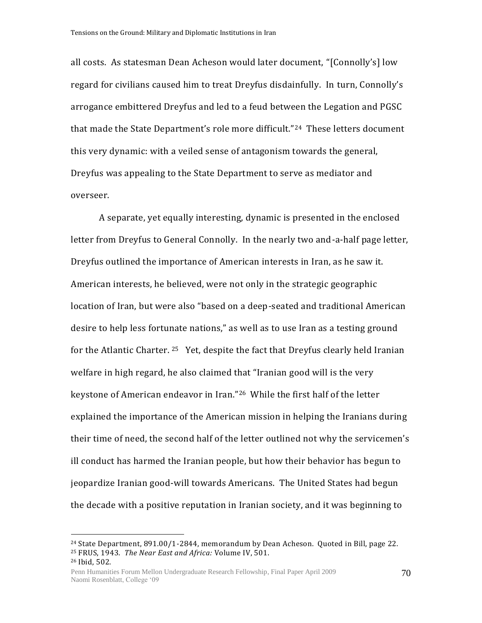all costs. As statesman Dean Acheson would later document, "[Connolly's] low regard for civilians caused him to treat Dreyfus disdainfully. In turn, Connolly's arrogance embittered Dreyfus and led to a feud between the Legation and PGSC that made the State Department's role more difficult."24 These letters document this very dynamic: with a veiled sense of antagonism towards the general, Dreyfus was appealing to the State Department to serve as mediator and overseer.

A separate, yet equally interesting, dynamic is presented in the enclosed letter from Dreyfus to General Connolly. In the nearly two and-a-half page letter, Dreyfus outlined the importance of American interests in Iran, as he saw it. American interests, he believed, were not only in the strategic geographic location of Iran, but were also "based on a deep-seated and traditional American desire to help less fortunate nations," as well as to use Iran as a testing ground for the Atlantic Charter. <sup>25</sup> Yet, despite the fact that Dreyfus clearly held Iranian welfare in high regard, he also claimed that "Iranian good will is the very keystone of American endeavor in Iran."26 While the first half of the letter explained the importance of the American mission in helping the Iranians during their time of need, the second half of the letter outlined not why the servicemen's ill conduct has harmed the Iranian people, but how their behavior has begun to jeopardize Iranian good-will towards Americans. The United States had begun the decade with a positive reputation in Iranian society, and it was beginning to

 $24$  State Department, 891.00/1-2844, memorandum by Dean Acheson. Quoted in Bill, page 22. <sup>25</sup> FRUS, 1943. *The Near East and Africa:* Volume IV, 501.

<sup>26</sup> Ibid, 502.

Penn Humanities Forum Mellon Undergraduate Research Fellowship, Final Paper April 2009 Naomi Rosenblatt, College '09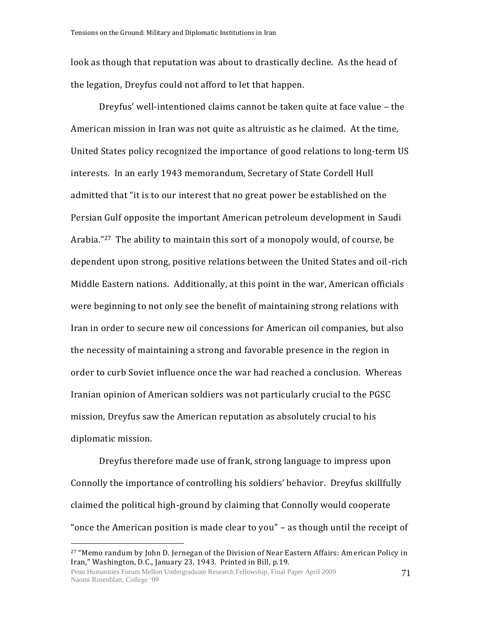look as though that reputation was about to drastically decline. As the head of the legation, Dreyfus could not afford to let that happen.

Dreyfus' well-intentioned claims cannot be taken quite at face value – the American mission in Iran was not quite as altruistic as he claimed. At the time, United States policy recognized the importance of good relations to long-term US interests. In an early 1943 memorandum, Secretary of State Cordell Hull admitted that "it is to our interest that no great power be established on the Persian Gulf opposite the important American petroleum development in Saudi Arabia."27 The ability to maintain this sort of a monopoly would, of course, be dependent upon strong, positive relations between the United States and oil-rich Middle Eastern nations. Additionally, at this point in the war, American officials were beginning to not only see the benefit of maintaining strong relations with Iran in order to secure new oil concessions for American oil companies, but also the necessity of maintaining a strong and favorable presence in the region in order to curb Soviet influence once the war had reached a conclusion. Whereas Iranian opinion of American soldiers was not particularly crucial to the PGSC mission, Dreyfus saw the American reputation as absolutely crucial to his diplomatic mission.

Dreyfus therefore made use of frank, strong language to impress upon Connolly the importance of controlling his soldiers' behavior. Dreyfus skillfully claimed the political high-ground by claiming that Connolly would cooperate "once the American position is made clear to you" – as though until the receipt of

<sup>&</sup>lt;sup>27</sup> "Memo randum by John D. Jernegan of the Division of Near Eastern Affairs: American Policy in Iran," Washington, D.C., January 23, 1943. Printed in Bill, p.19.

Penn Humanities Forum Mellon Undergraduate Research Fellowship, Final Paper April 2009 Naomi Rosenblatt, College '09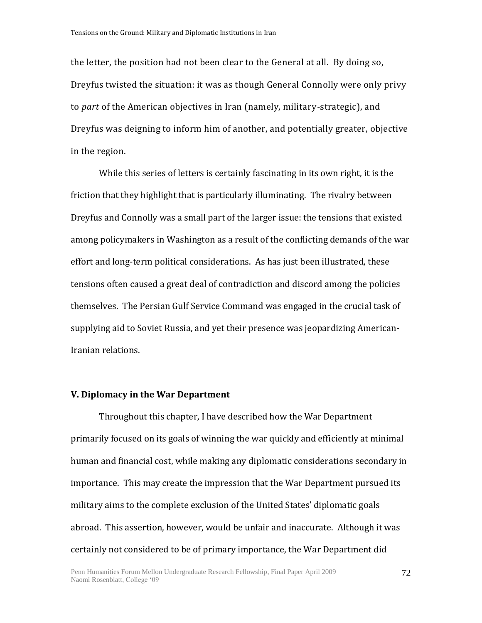the letter, the position had not been clear to the General at all. By doing so, Dreyfus twisted the situation: it was as though General Connolly were only privy to *part* of the American objectives in Iran (namely, military-strategic), and Dreyfus was deigning to inform him of another, and potentially greater, objective in the region.

While this series of letters is certainly fascinating in its own right, it is the friction that they highlight that is particularly illuminating. The rivalry between Dreyfus and Connolly was a small part of the larger issue: the tensions that existed among policymakers in Washington as a result of the conflicting demands of the war effort and long-term political considerations. As has just been illustrated, these tensions often caused a great deal of contradiction and discord among the policies themselves. The Persian Gulf Service Command was engaged in the crucial task of supplying aid to Soviet Russia, and yet their presence was jeopardizing American-Iranian relations.

#### **V. Diplomacy in the War Department**

Throughout this chapter, I have described how the War Department primarily focused on its goals of winning the war quickly and efficiently at minimal human and financial cost, while making any diplomatic considerations secondary in importance. This may create the impression that the War Department pursued its military aims to the complete exclusion of the United States' diplomatic goals abroad. This assertion, however, would be unfair and inaccurate. Although it was certainly not considered to be of primary importance, the War Department did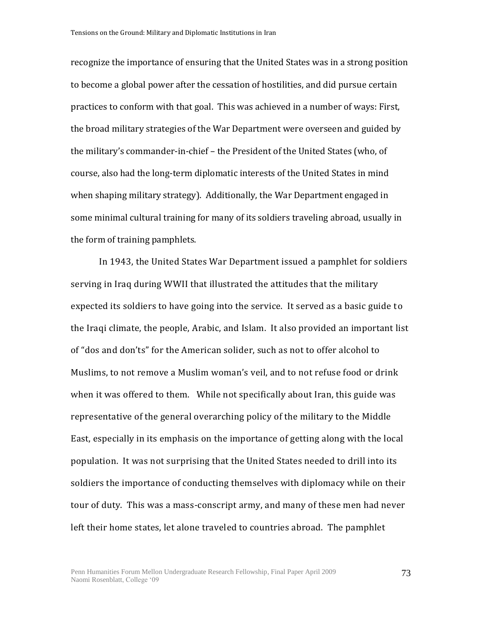recognize the importance of ensuring that the United States was in a strong position to become a global power after the cessation of hostilities, and did pursue certain practices to conform with that goal. This was achieved in a number of ways: First, the broad military strategies of the War Department were overseen and guided by the military's commander-in-chief – the President of the United States (who, of course, also had the long-term diplomatic interests of the United States in mind when shaping military strategy). Additionally, the War Department engaged in some minimal cultural training for many of its soldiers traveling abroad, usually in the form of training pamphlets.

In 1943, the United States War Department issued a pamphlet for soldiers serving in Iraq during WWII that illustrated the attitudes that the military expected its soldiers to have going into the service. It served as a basic guide to the Iraqi climate, the people, Arabic, and Islam. It also provided an important list of "dos and don'ts" for the American solider, such as not to offer alcohol to Muslims, to not remove a Muslim woman's veil, and to not refuse food or drink when it was offered to them. While not specifically about Iran, this guide was representative of the general overarching policy of the military to the Middle East, especially in its emphasis on the importance of getting along with the local population. It was not surprising that the United States needed to drill into its soldiers the importance of conducting themselves with diplomacy while on their tour of duty. This was a mass-conscript army, and many of these men had never left their home states, let alone traveled to countries abroad. The pamphlet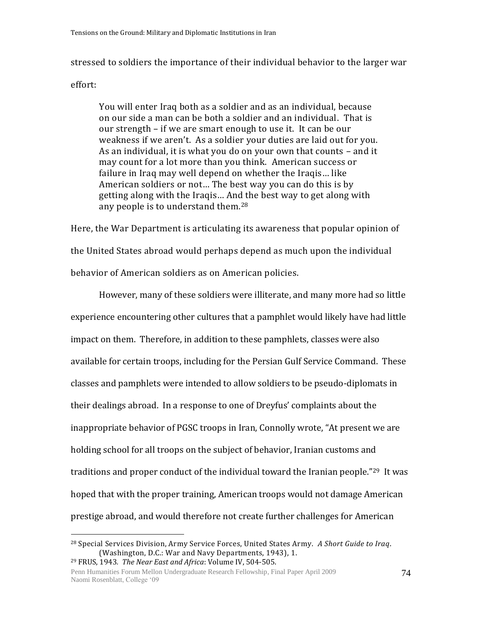stressed to soldiers the importance of their individual behavior to the larger war

### effort:

 $\overline{a}$ 

You will enter Iraq both as a soldier and as an individual, because on our side a man can be both a soldier and an individual. That is our strength – if we are smart enough to use it. It can be our weakness if we aren't. As a soldier your duties are laid out for you. As an individual, it is what you do on your own that counts – and it may count for a lot more than you think. American success or failure in Iraq may well depend on whether the Iraqis… like American soldiers or not… The best way you can do this is by getting along with the Iraqis… And the best way to get along with any people is to understand them.<sup>28</sup>

Here, the War Department is articulating its awareness that popular opinion of the United States abroad would perhaps depend as much upon the individual behavior of American soldiers as on American policies.

However, many of these soldiers were illiterate, and many more had so little experience encountering other cultures that a pamphlet would likely have had little impact on them. Therefore, in addition to these pamphlets, classes were also available for certain troops, including for the Persian Gulf Service Command. These classes and pamphlets were intended to allow soldiers to be pseudo-diplomats in their dealings abroad. In a response to one of Dreyfus' complaints about the inappropriate behavior of PGSC troops in Iran, Connolly wrote, "At present we are holding school for all troops on the subject of behavior, Iranian customs and traditions and proper conduct of the individual toward the Iranian people."29 It was hoped that with the proper training, American troops would not damage American prestige abroad, and would therefore not create further challenges for American

<sup>28</sup> Special Services Division, Army Service Forces, United States Army. *A Short Guide to Iraq*. (Washington, D.C.: War and Navy Departments, 1943), 1. <sup>29</sup> FRUS, 1943*. The Near East and Africa*: Volume IV, 504-505.

Penn Humanities Forum Mellon Undergraduate Research Fellowship, Final Paper April 2009 Naomi Rosenblatt, College '09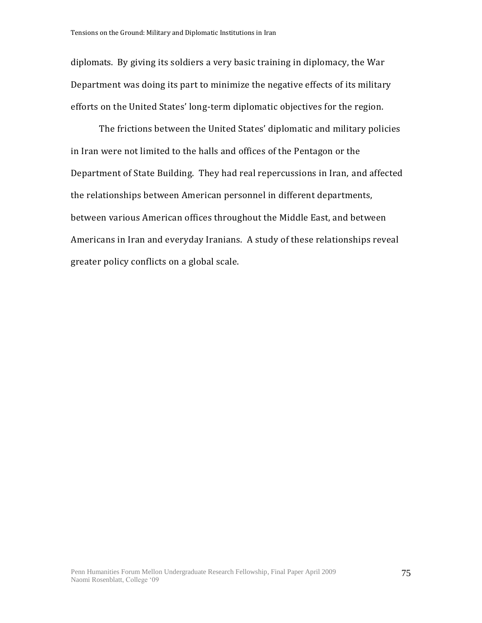diplomats. By giving its soldiers a very basic training in diplomacy, the War Department was doing its part to minimize the negative effects of its military efforts on the United States' long-term diplomatic objectives for the region.

The frictions between the United States' diplomatic and military policies in Iran were not limited to the halls and offices of the Pentagon or the Department of State Building. They had real repercussions in Iran, and affected the relationships between American personnel in different departments, between various American offices throughout the Middle East, and between Americans in Iran and everyday Iranians. A study of these relationships reveal greater policy conflicts on a global scale.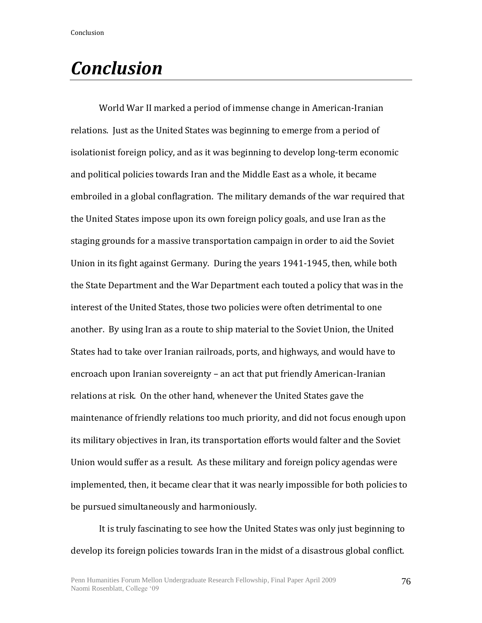World War II marked a period of immense change in American-Iranian relations. Just as the United States was beginning to emerge from a period of isolationist foreign policy, and as it was beginning to develop long-term economic and political policies towards Iran and the Middle East as a whole, it became embroiled in a global conflagration. The military demands of the war required that the United States impose upon its own foreign policy goals, and use Iran as the staging grounds for a massive transportation campaign in order to aid the Soviet Union in its fight against Germany. During the years 1941-1945, then, while both the State Department and the War Department each touted a policy that was in the interest of the United States, those two policies were often detrimental to one another. By using Iran as a route to ship material to the Soviet Union, the United States had to take over Iranian railroads, ports, and highways, and would have to encroach upon Iranian sovereignty – an act that put friendly American-Iranian relations at risk. On the other hand, whenever the United States gave the maintenance of friendly relations too much priority, and did not focus enough upon its military objectives in Iran, its transportation efforts would falter and the Soviet Union would suffer as a result. As these military and foreign policy agendas were implemented, then, it became clear that it was nearly impossible for both policies to be pursued simultaneously and harmoniously.

It is truly fascinating to see how the United States was only just beginning to develop its foreign policies towards Iran in the midst of a disastrous global conflict.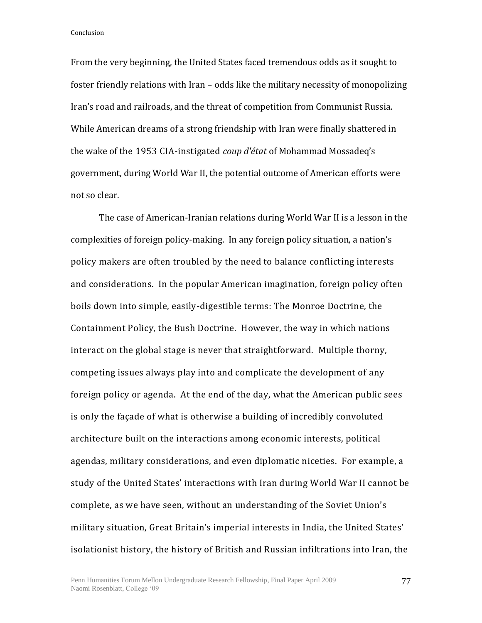From the very beginning, the United States faced tremendous odds as it sought to foster friendly relations with Iran – odds like the military necessity of monopolizing Iran's road and railroads, and the threat of competition from Communist Russia. While American dreams of a strong friendship with Iran were finally shattered in the wake of the 1953 CIA-instigated *coup d'état* of Mohammad Mossadeq's government, during World War II, the potential outcome of American efforts were not so clear.

The case of American-Iranian relations during World War II is a lesson in the complexities of foreign policy-making. In any foreign policy situation, a nation's policy makers are often troubled by the need to balance conflicting interests and considerations. In the popular American imagination, foreign policy often boils down into simple, easily-digestible terms: The Monroe Doctrine, the Containment Policy, the Bush Doctrine. However, the way in which nations interact on the global stage is never that straightforward. Multiple thorny, competing issues always play into and complicate the development of any foreign policy or agenda. At the end of the day, what the American public sees is only the façade of what is otherwise a building of incredibly convoluted architecture built on the interactions among economic interests, political agendas, military considerations, and even diplomatic niceties. For example, a study of the United States' interactions with Iran during World War II cannot be complete, as we have seen, without an understanding of the Soviet Union's military situation, Great Britain's imperial interests in India, the United States' isolationist history, the history of British and Russian infiltrations into Iran, the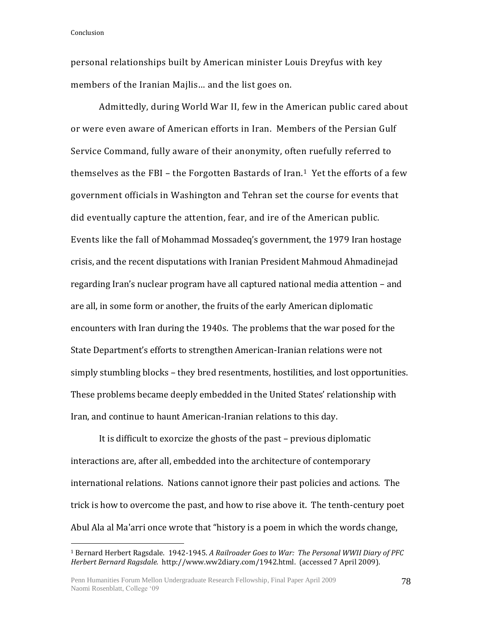$\overline{a}$ 

personal relationships built by American minister Louis Dreyfus with key members of the Iranian Majlis… and the list goes on.

Admittedly, during World War II, few in the American public cared about or were even aware of American efforts in Iran. Members of the Persian Gulf Service Command, fully aware of their anonymity, often ruefully referred to themselves as the FBI – the Forgotten Bastards of Iran.<sup>1</sup> Yet the efforts of a few government officials in Washington and Tehran set the course for events that did eventually capture the attention, fear, and ire of the American public. Events like the fall of Mohammad Mossadeq's government, the 1979 Iran hostage crisis, and the recent disputations with Iranian President Mahmoud Ahmadinejad regarding Iran's nuclear program have all captured national media attention – and are all, in some form or another, the fruits of the early American diplomatic encounters with Iran during the 1940s. The problems that the war posed for the State Department's efforts to strengthen American-Iranian relations were not simply stumbling blocks – they bred resentments, hostilities, and lost opportunities. These problems became deeply embedded in the United States' relationship with Iran, and continue to haunt American-Iranian relations to this day.

It is difficult to exorcize the ghosts of the past – previous diplomatic interactions are, after all, embedded into the architecture of contemporary international relations. Nations cannot ignore their past policies and actions. The trick is how to overcome the past, and how to rise above it. The tenth-century poet Abul Ala al Ma'arri once wrote that "history is a poem in which the words change,

<sup>1</sup> Bernard Herbert Ragsdale. 1942-1945. *A Railroader Goes to War: The Personal WWII Diary of PFC Herbert Bernard Ragsdale.* http://www.ww2diary.com/1942.html. (accessed 7 April 2009).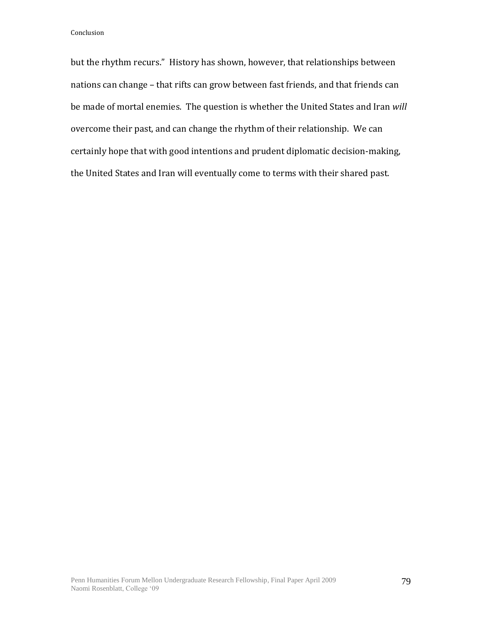but the rhythm recurs." History has shown, however, that relationships between nations can change – that rifts can grow between fast friends, and that friends can be made of mortal enemies. The question is whether the United States and Iran *will* overcome their past, and can change the rhythm of their relationship. We can certainly hope that with good intentions and prudent diplomatic decision-making, the United States and Iran will eventually come to terms with their shared past.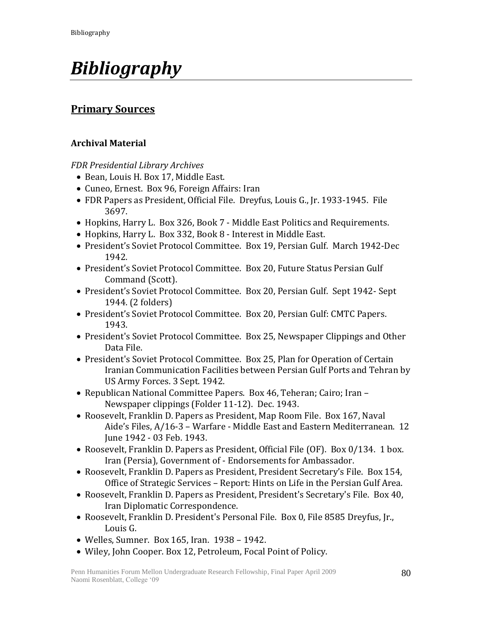# *Bibliography*

## **Primary Sources**

## **Archival Material**

*FDR Presidential Library Archives*

- Bean, Louis H. Box 17, Middle East.
- Cuneo, Ernest. Box 96, Foreign Affairs: Iran
- FDR Papers as President, Official File. Dreyfus, Louis G., Jr. 1933-1945. File 3697.
- Hopkins, Harry L. Box 326, Book 7 Middle East Politics and Requirements.
- Hopkins, Harry L. Box 332, Book 8 Interest in Middle East.
- President's Soviet Protocol Committee. Box 19, Persian Gulf. March 1942-Dec 1942.
- President's Soviet Protocol Committee. Box 20, Future Status Persian Gulf Command (Scott).
- President's Soviet Protocol Committee. Box 20, Persian Gulf. Sept 1942- Sept 1944. (2 folders)
- President's Soviet Protocol Committee. Box 20, Persian Gulf: CMTC Papers. 1943.
- President's Soviet Protocol Committee. Box 25, Newspaper Clippings and Other Data File.
- President's Soviet Protocol Committee. Box 25, Plan for Operation of Certain Iranian Communication Facilities between Persian Gulf Ports and Tehran by US Army Forces. 3 Sept. 1942.
- Republican National Committee Papers. Box 46, Teheran; Cairo; Iran Newspaper clippings (Folder 11-12). Dec. 1943.
- Roosevelt, Franklin D. Papers as President, Map Room File. Box 167, Naval Aide's Files, A/16-3 – Warfare - Middle East and Eastern Mediterranean. 12 June 1942 - 03 Feb. 1943.
- Roosevelt, Franklin D. Papers as President, Official File (OF). Box 0/134. 1 box. Iran (Persia), Government of - Endorsements for Ambassador.
- Roosevelt, Franklin D. Papers as President, President Secretary's File. Box 154, Office of Strategic Services – Report: Hints on Life in the Persian Gulf Area.
- Roosevelt, Franklin D. Papers as President, President's Secretary's File. Box 40, Iran Diplomatic Correspondence.
- Roosevelt, Franklin D. President's Personal File. Box 0, File 8585 Dreyfus, Jr., Louis G.
- Welles, Sumner. Box 165, Iran. 1938 1942.
- Wiley, John Cooper. Box 12, Petroleum, Focal Point of Policy.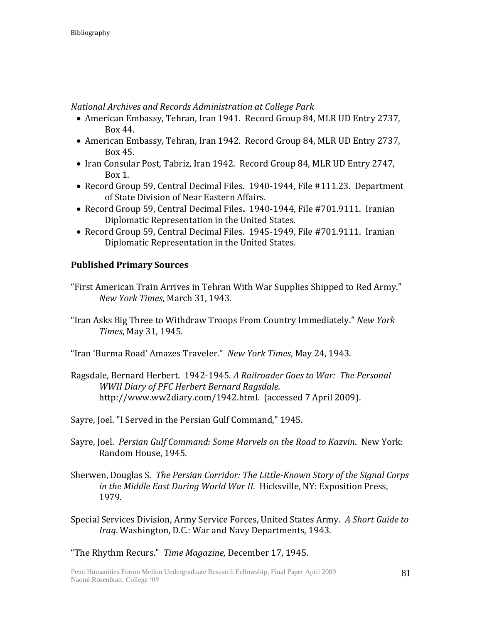*National Archives and Records Administration at College Park*

- American Embassy, Tehran, Iran 1941. Record Group 84, MLR UD Entry 2737, Box 44.
- American Embassy, Tehran, Iran 1942. Record Group 84, MLR UD Entry 2737, Box 45.
- Iran Consular Post, Tabriz, Iran 1942. Record Group 84, MLR UD Entry 2747, Box 1.
- Record Group 59, Central Decimal Files. 1940-1944, File #111.23. Department of State Division of Near Eastern Affairs.
- Record Group 59, Central Decimal Files**.** 1940-1944, File #701.9111.Iranian Diplomatic Representation in the United States.
- Record Group 59, Central Decimal Files. 1945-1949, File #701.9111. Iranian Diplomatic Representation in the United States.

## **Published Primary Sources**

- "First American Train Arrives in Tehran With War Supplies Shipped to Red Army." *New York Times*, March 31, 1943.
- "Iran Asks Big Three to Withdraw Troops From Country Immediately." *New York Times*, May 31, 1945.
- "Iran 'Burma Road' Amazes Traveler." *New York Times*, May 24, 1943.
- Ragsdale, Bernard Herbert. 1942-1945. *A Railroader Goes to War: The Personal WWII Diary of PFC Herbert Bernard Ragsdale.* http://www.ww2diary.com/1942.html. (accessed 7 April 2009).
- Sayre, Joel. "I Served in the Persian Gulf Command," 1945.
- Sayre, Joel. *Persian Gulf Command: Some Marvels on the Road to Kazvin*. New York: Random House, 1945.
- Sherwen, Douglas S. *The Persian Corridor: The Little-Known Story of the Signal Corps in the Middle East During World War II*. Hicksville, NY: Exposition Press, 1979.
- Special Services Division, Army Service Forces, United States Army. *A Short Guide to Iraq*. Washington, D.C.: War and Navy Departments, 1943.

"The Rhythm Recurs." *Time Magazine,* December 17, 1945.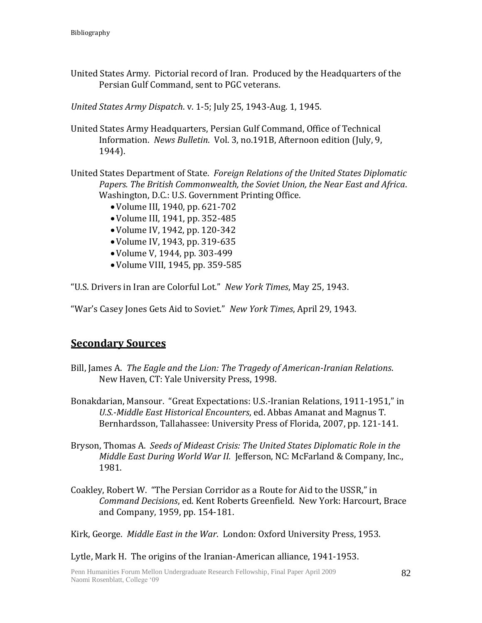United States Army. Pictorial record of Iran. Produced by the Headquarters of the Persian Gulf Command, sent to PGC veterans.

*United States Army Dispatch*. v. 1-5; July 25, 1943-Aug. 1, 1945.

United States Army Headquarters, Persian Gulf Command, Office of Technical Information. *News Bulletin*. Vol. 3, no.191B, Afternoon edition (July, 9, 1944).

United States Department of State. *Foreign Relations of the United States Diplomatic Papers. The British Commonwealth, the Soviet Union, the Near East and Africa*. Washington, D.C.: U.S. Government Printing Office.

- Volume III, 1940, pp. 621-702
- Volume III, 1941, pp. 352-485
- Volume IV, 1942, pp. 120-342
- Volume IV, 1943, pp. 319-635
- Volume V, 1944, pp. 303-499
- Volume VIII, 1945, pp. 359-585

"U.S. Drivers in Iran are Colorful Lot." *New York Times*, May 25, 1943.

"War's Casey Jones Gets Aid to Soviet." *New York Times*, April 29, 1943.

## **Secondary Sources**

- Bill, James A. *The Eagle and the Lion: The Tragedy of American-Iranian Relations*. New Haven, CT: Yale University Press, 1998.
- Bonakdarian, Mansour. "Great Expectations: U.S.-Iranian Relations, 1911-1951," in *U.S.-Middle East Historical Encounters*, ed. Abbas Amanat and Magnus T. Bernhardsson, Tallahassee: University Press of Florida, 2007, pp. 121-141.
- Bryson, Thomas A. *Seeds of Mideast Crisis: The United States Diplomatic Role in the Middle East During World War II.* Jefferson, NC: McFarland & Company, Inc., 1981.
- Coakley, Robert W. "The Persian Corridor as a Route for Aid to the USSR," in *Command Decisions*, ed. Kent Roberts Greenfield. New York: Harcourt, Brace and Company, 1959, pp. 154-181.

Kirk, George. *Middle East in the War*. London: Oxford University Press, 1953.

Lytle, Mark H. The origins of the Iranian-American alliance, 1941-1953.